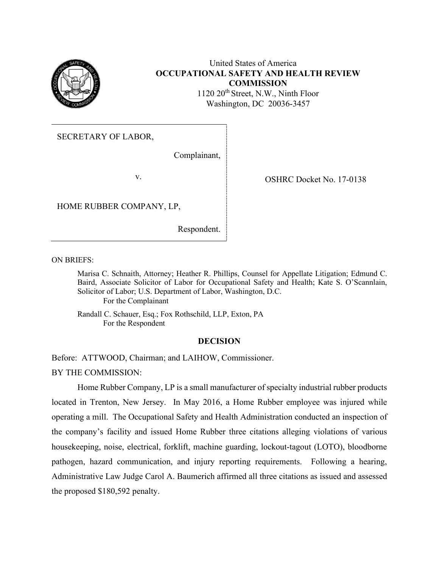

# United States of America **OCCUPATIONAL SAFETY AND HEALTH REVIEW COMMISSION**

1120 20th Street, N.W., Ninth Floor Washington, DC 20036-3457

SECRETARY OF LABOR,

Complainant,

v. SHRC Docket No. 17-0138

HOME RUBBER COMPANY, LP,

Respondent.

ON BRIEFS:

Marisa C. Schnaith, Attorney; Heather R. Phillips, Counsel for Appellate Litigation; Edmund C. Baird, Associate Solicitor of Labor for Occupational Safety and Health; Kate S. O'Scannlain, Solicitor of Labor; U.S. Department of Labor, Washington, D.C. For the Complainant

Randall C. Schauer, Esq.; Fox Rothschild, LLP, Exton, PA For the Respondent

### **DECISION**

Before: ATTWOOD, Chairman; and LAIHOW, Commissioner.

BY THE COMMISSION:

Home Rubber Company, LP is a small manufacturer of specialty industrial rubber products located in Trenton, New Jersey. In May 2016, a Home Rubber employee was injured while operating a mill. The Occupational Safety and Health Administration conducted an inspection of the company's facility and issued Home Rubber three citations alleging violations of various housekeeping, noise, electrical, forklift, machine guarding, lockout-tagout (LOTO), bloodborne pathogen, hazard communication, and injury reporting requirements. Following a hearing, Administrative Law Judge Carol A. Baumerich affirmed all three citations as issued and assessed the proposed \$180,592 penalty.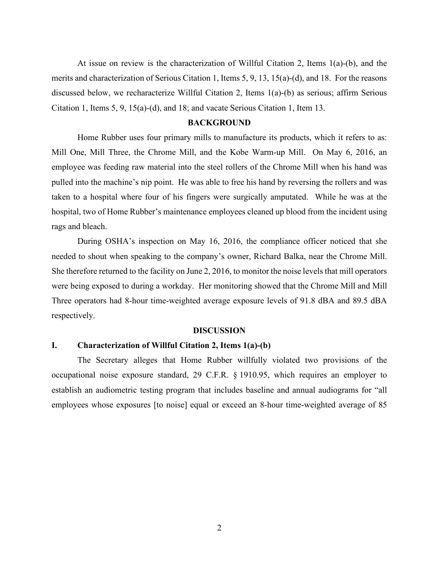At issue on review is the characterization of Willful Citation 2, Items 1(a)-(b), and the merits and characterization of Serious Citation 1, Items 5, 9, 13, 15(a)-(d), and 18. For the reasons discussed below, we recharacterize Willful Citation 2, Items 1(a)-(b) as serious; affirm Serious Citation 1, Items 5, 9, 15(a)-(d), and 18; and vacate Serious Citation 1, Item 13.

### **BACKGROUND**

Home Rubber uses four primary mills to manufacture its products, which it refers to as: Mill One, Mill Three, the Chrome Mill, and the Kobe Warm-up Mill. On May 6, 2016, an employee was feeding raw material into the steel rollers of the Chrome Mill when his hand was pulled into the machine's nip point. He was able to free his hand by reversing the rollers and was taken to a hospital where four of his fingers were surgically amputated. While he was at the hospital, two of Home Rubber's maintenance employees cleaned up blood from the incident using rags and bleach.

 During OSHA's inspection on May 16, 2016, the compliance officer noticed that she needed to shout when speaking to the company's owner, Richard Balka, near the Chrome Mill. She therefore returned to the facility on June 2, 2016, to monitor the noise levels that mill operators were being exposed to during a workday. Her monitoring showed that the Chrome Mill and Mill Three operators had 8-hour time-weighted average exposure levels of 91.8 dBA and 89.5 dBA respectively.

#### **DISCUSSION**

#### **I. Characterization of Willful Citation 2, Items 1(a)-(b)**

The Secretary alleges that Home Rubber willfully violated two provisions of the occupational noise exposure standard, 29 C.F.R. § 1910.95, which requires an employer to establish an audiometric testing program that includes baseline and annual audiograms for "all employees whose exposures [to noise] equal or exceed an 8-hour time-weighted average of 85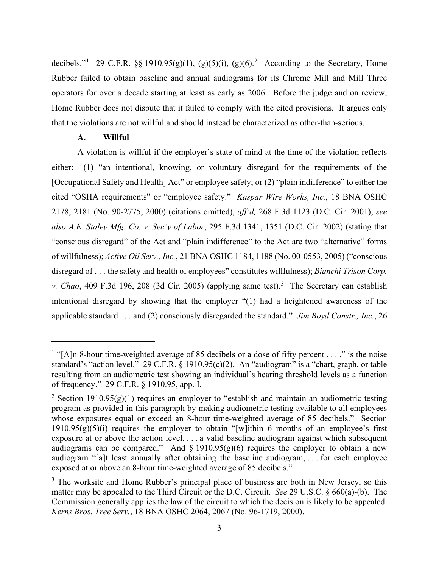decibels."<sup>[1](#page-2-0)</sup> [2](#page-2-1)9 C.F.R. §§ 1910.95(g)(1), (g)(5)(i), (g)(6).<sup>2</sup> According to the Secretary, Home Rubber failed to obtain baseline and annual audiograms for its Chrome Mill and Mill Three operators for over a decade starting at least as early as 2006. Before the judge and on review, Home Rubber does not dispute that it failed to comply with the cited provisions. It argues only that the violations are not willful and should instead be characterized as other-than-serious.

### **A. Willful**

A violation is willful if the employer's state of mind at the time of the violation reflects either: (1) "an intentional, knowing, or voluntary disregard for the requirements of the [Occupational Safety and Health] Act" or employee safety; or (2) "plain indifference" to either the cited "OSHA requirements" or "employee safety." *Kaspar Wire Works, Inc.*, 18 BNA OSHC 2178, 2181 (No. 90-2775, 2000) (citations omitted), *aff'd,* 268 F.3d 1123 (D.C. Cir. 2001); *see also A.E. Staley Mfg. Co. v. Sec'y of Labor*, 295 F.3d 1341, 1351 (D.C. Cir. 2002) (stating that "conscious disregard" of the Act and "plain indifference" to the Act are two "alternative" forms of willfulness); *Active Oil Serv., Inc.*, 21 BNA OSHC 1184, 1188 (No. 00-0553, 2005) ("conscious disregard of . . . the safety and health of employees" constitutes willfulness); *Bianchi Trison Corp. v. Chao*, 409 F.[3](#page-2-2)d 196, 208 (3d Cir. 2005) (applying same test).<sup>3</sup> The Secretary can establish intentional disregard by showing that the employer "(1) had a heightened awareness of the applicable standard . . . and (2) consciously disregarded the standard." *Jim Boyd Constr., Inc.*, 26

<span id="page-2-0"></span><sup>&</sup>lt;sup>1</sup> "[A]n 8-hour time-weighted average of 85 decibels or a dose of fifty percent . . . ." is the noise standard's "action level." 29 C.F.R. § 1910.95(c)(2). An "audiogram" is a "chart, graph, or table resulting from an audiometric test showing an individual's hearing threshold levels as a function of frequency." 29 C.F.R. § 1910.95, app. I.

<span id="page-2-1"></span><sup>&</sup>lt;sup>2</sup> Section 1910.95(g)(1) requires an employer to "establish and maintain an audiometric testing program as provided in this paragraph by making audiometric testing available to all employees whose exposures equal or exceed an 8-hour time-weighted average of 85 decibels." Section 1910.95 $(g)(5)(i)$  requires the employer to obtain "[w]ithin 6 months of an employee's first exposure at or above the action level, . . . a valid baseline audiogram against which subsequent audiograms can be compared." And  $\S$  1910.95(g)(6) requires the employer to obtain a new audiogram "[a]t least annually after obtaining the baseline audiogram, . . . for each employee exposed at or above an 8-hour time-weighted average of 85 decibels."

<span id="page-2-2"></span> $3$  The worksite and Home Rubber's principal place of business are both in New Jersey, so this matter may be appealed to the Third Circuit or the D.C. Circuit. *See* 29 U.S.C. § 660(a)-(b). The Commission generally applies the law of the circuit to which the decision is likely to be appealed. *Kerns Bros. Tree Serv.*, 18 BNA OSHC 2064, 2067 (No. 96-1719, 2000).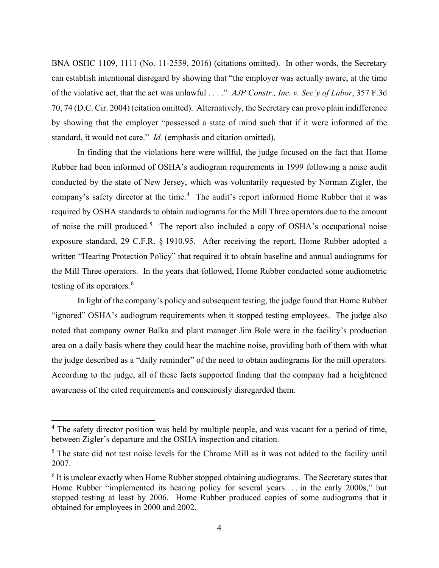BNA OSHC 1109, 1111 (No. 11-2559, 2016) (citations omitted). In other words, the Secretary can establish intentional disregard by showing that "the employer was actually aware, at the time of the violative act, that the act was unlawful . . . ." *AJP Constr., Inc. v. Sec'y of Labor*, 357 F.3d 70, 74 (D.C. Cir. 2004) (citation omitted). Alternatively, the Secretary can prove plain indifference by showing that the employer "possessed a state of mind such that if it were informed of the standard, it would not care." *Id.* (emphasis and citation omitted).

In finding that the violations here were willful, the judge focused on the fact that Home Rubber had been informed of OSHA's audiogram requirements in 1999 following a noise audit conducted by the state of New Jersey, which was voluntarily requested by Norman Zigler, the company's safety director at the time.<sup>[4](#page-3-0)</sup> The audit's report informed Home Rubber that it was required by OSHA standards to obtain audiograms for the Mill Three operators due to the amount of noise the mill produced.<sup>[5](#page-3-1)</sup> The report also included a copy of OSHA's occupational noise exposure standard, 29 C.F.R. § 1910.95. After receiving the report, Home Rubber adopted a written "Hearing Protection Policy" that required it to obtain baseline and annual audiograms for the Mill Three operators. In the years that followed, Home Rubber conducted some audiometric testing of its operators.<sup>[6](#page-3-2)</sup>

In light of the company's policy and subsequent testing, the judge found that Home Rubber "ignored" OSHA's audiogram requirements when it stopped testing employees. The judge also noted that company owner Balka and plant manager Jim Bole were in the facility's production area on a daily basis where they could hear the machine noise, providing both of them with what the judge described as a "daily reminder" of the need to obtain audiograms for the mill operators. According to the judge, all of these facts supported finding that the company had a heightened awareness of the cited requirements and consciously disregarded them.

<span id="page-3-0"></span><sup>&</sup>lt;sup>4</sup> The safety director position was held by multiple people, and was vacant for a period of time, between Zigler's departure and the OSHA inspection and citation.

<span id="page-3-1"></span><sup>&</sup>lt;sup>5</sup> The state did not test noise levels for the Chrome Mill as it was not added to the facility until 2007.

<span id="page-3-2"></span> $6$  It is unclear exactly when Home Rubber stopped obtaining audiograms. The Secretary states that Home Rubber "implemented its hearing policy for several years ... in the early 2000s," but stopped testing at least by 2006. Home Rubber produced copies of some audiograms that it obtained for employees in 2000 and 2002.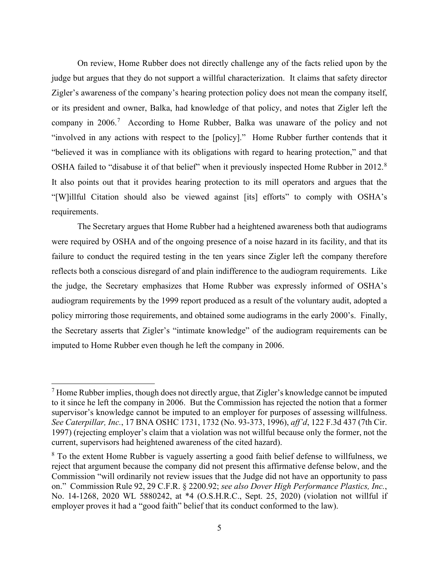On review, Home Rubber does not directly challenge any of the facts relied upon by the judge but argues that they do not support a willful characterization. It claims that safety director Zigler's awareness of the company's hearing protection policy does not mean the company itself, or its president and owner, Balka, had knowledge of that policy, and notes that Zigler left the company in  $2006$ .<sup>[7](#page-4-0)</sup> According to Home Rubber, Balka was unaware of the policy and not "involved in any actions with respect to the [policy]." Home Rubber further contends that it "believed it was in compliance with its obligations with regard to hearing protection," and that OSHA failed to "disabuse it of that belief" when it previously inspected Home Rubber in 2012.<sup>[8](#page-4-1)</sup> It also points out that it provides hearing protection to its mill operators and argues that the "[W]illful Citation should also be viewed against [its] efforts" to comply with OSHA's requirements.

The Secretary argues that Home Rubber had a heightened awareness both that audiograms were required by OSHA and of the ongoing presence of a noise hazard in its facility, and that its failure to conduct the required testing in the ten years since Zigler left the company therefore reflects both a conscious disregard of and plain indifference to the audiogram requirements. Like the judge, the Secretary emphasizes that Home Rubber was expressly informed of OSHA's audiogram requirements by the 1999 report produced as a result of the voluntary audit, adopted a policy mirroring those requirements, and obtained some audiograms in the early 2000's. Finally, the Secretary asserts that Zigler's "intimate knowledge" of the audiogram requirements can be imputed to Home Rubber even though he left the company in 2006.

<span id="page-4-0"></span> $<sup>7</sup>$  Home Rubber implies, though does not directly argue, that Zigler's knowledge cannot be imputed</sup> to it since he left the company in 2006. But the Commission has rejected the notion that a former supervisor's knowledge cannot be imputed to an employer for purposes of assessing willfulness. *See Caterpillar, Inc.*, 17 BNA OSHC 1731, 1732 (No. 93-373, 1996), *aff'd*, 122 F.3d 437 (7th Cir. 1997) (rejecting employer's claim that a violation was not willful because only the former, not the current, supervisors had heightened awareness of the cited hazard).

<span id="page-4-1"></span><sup>&</sup>lt;sup>8</sup> To the extent Home Rubber is vaguely asserting a good faith belief defense to willfulness, we reject that argument because the company did not present this affirmative defense below, and the Commission "will ordinarily not review issues that the Judge did not have an opportunity to pass on." Commission Rule 92, 29 C.F.R. § 2200.92; *see also Dover High Performance Plastics, Inc.*, No. 14-1268, 2020 WL 5880242, at \*4 (O.S.H.R.C., Sept. 25, 2020) (violation not willful if employer proves it had a "good faith" belief that its conduct conformed to the law).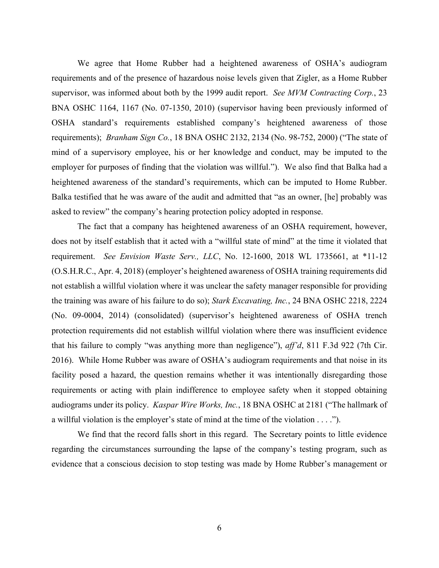We agree that Home Rubber had a heightened awareness of OSHA's audiogram requirements and of the presence of hazardous noise levels given that Zigler, as a Home Rubber supervisor, was informed about both by the 1999 audit report. *See MVM Contracting Corp.*, 23 BNA OSHC 1164, 1167 (No. 07-1350, 2010) (supervisor having been previously informed of OSHA standard's requirements established company's heightened awareness of those requirements); *Branham Sign Co.*, 18 BNA OSHC 2132, 2134 (No. 98-752, 2000) ("The state of mind of a supervisory employee, his or her knowledge and conduct, may be imputed to the employer for purposes of finding that the violation was willful."). We also find that Balka had a heightened awareness of the standard's requirements, which can be imputed to Home Rubber. Balka testified that he was aware of the audit and admitted that "as an owner, [he] probably was asked to review" the company's hearing protection policy adopted in response.

The fact that a company has heightened awareness of an OSHA requirement, however, does not by itself establish that it acted with a "willful state of mind" at the time it violated that requirement. *See Envision Waste Serv., LLC*, No. 12-1600, 2018 WL 1735661, at \*11-12 (O.S.H.R.C., Apr. 4, 2018) (employer's heightened awareness of OSHA training requirements did not establish a willful violation where it was unclear the safety manager responsible for providing the training was aware of his failure to do so); *Stark Excavating, Inc.*, 24 BNA OSHC 2218, 2224 (No. 09-0004, 2014) (consolidated) (supervisor's heightened awareness of OSHA trench protection requirements did not establish willful violation where there was insufficient evidence that his failure to comply "was anything more than negligence"), *aff'd*, 811 F.3d 922 (7th Cir. 2016). While Home Rubber was aware of OSHA's audiogram requirements and that noise in its facility posed a hazard, the question remains whether it was intentionally disregarding those requirements or acting with plain indifference to employee safety when it stopped obtaining audiograms under its policy. *Kaspar Wire Works, Inc.*, 18 BNA OSHC at 2181 ("The hallmark of a willful violation is the employer's state of mind at the time of the violation  $\dots$ .").

We find that the record falls short in this regard. The Secretary points to little evidence regarding the circumstances surrounding the lapse of the company's testing program, such as evidence that a conscious decision to stop testing was made by Home Rubber's management or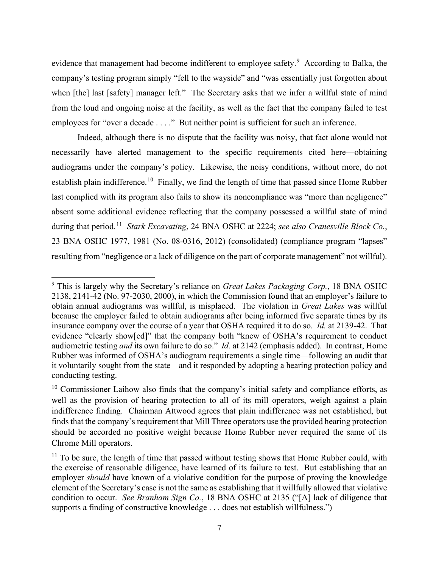evidence that management had become indifferent to employee safety.<sup>[9](#page-6-0)</sup> According to Balka, the company's testing program simply "fell to the wayside" and "was essentially just forgotten about when [the] last [safety] manager left." The Secretary asks that we infer a willful state of mind from the loud and ongoing noise at the facility, as well as the fact that the company failed to test employees for "over a decade . . . ." But neither point is sufficient for such an inference.

Indeed, although there is no dispute that the facility was noisy, that fact alone would not necessarily have alerted management to the specific requirements cited here—obtaining audiograms under the company's policy. Likewise, the noisy conditions, without more, do not establish plain indifference.<sup>10</sup> Finally, we find the length of time that passed since Home Rubber last complied with its program also fails to show its noncompliance was "more than negligence" absent some additional evidence reflecting that the company possessed a willful state of mind during that period. [11](#page-6-2) *Stark Excavating*, 24 BNA OSHC at 2224; *see also Cranesville Block Co.*, 23 BNA OSHC 1977, 1981 (No. 08-0316, 2012) (consolidated) (compliance program "lapses" resulting from "negligence or a lack of diligence on the part of corporate management" not willful).

<span id="page-6-0"></span><sup>9</sup> This is largely why the Secretary's reliance on *Great Lakes Packaging Corp.*, 18 BNA OSHC 2138, 2141-42 (No. 97-2030, 2000), in which the Commission found that an employer's failure to obtain annual audiograms was willful, is misplaced. The violation in *Great Lakes* was willful because the employer failed to obtain audiograms after being informed five separate times by its insurance company over the course of a year that OSHA required it to do so. *Id.* at 2139-42. That evidence "clearly show[ed]" that the company both "knew of OSHA's requirement to conduct audiometric testing *and* its own failure to do so." *Id.* at 2142 (emphasis added). In contrast, Home Rubber was informed of OSHA's audiogram requirements a single time—following an audit that it voluntarily sought from the state—and it responded by adopting a hearing protection policy and conducting testing.

<span id="page-6-1"></span> $10$  Commissioner Laihow also finds that the company's initial safety and compliance efforts, as well as the provision of hearing protection to all of its mill operators, weigh against a plain indifference finding. Chairman Attwood agrees that plain indifference was not established, but finds that the company's requirement that Mill Three operators use the provided hearing protection should be accorded no positive weight because Home Rubber never required the same of its Chrome Mill operators.

<span id="page-6-2"></span> $11$  To be sure, the length of time that passed without testing shows that Home Rubber could, with the exercise of reasonable diligence, have learned of its failure to test. But establishing that an employer *should* have known of a violative condition for the purpose of proving the knowledge element of the Secretary's case is not the same as establishing that it willfully allowed that violative condition to occur. *See Branham Sign Co.*, 18 BNA OSHC at 2135 ("[A] lack of diligence that supports a finding of constructive knowledge . . . does not establish willfulness.")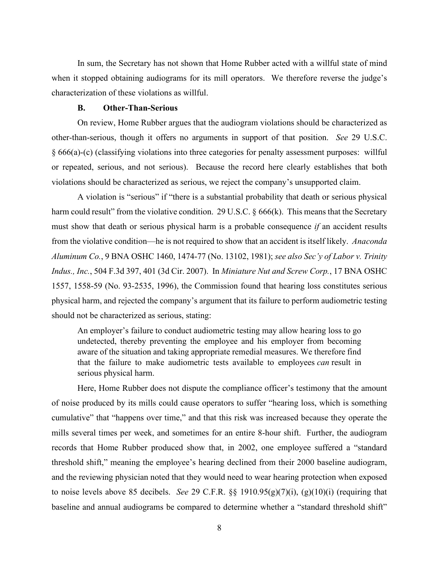In sum, the Secretary has not shown that Home Rubber acted with a willful state of mind when it stopped obtaining audiograms for its mill operators. We therefore reverse the judge's characterization of these violations as willful.

### **B. Other-Than-Serious**

On review, Home Rubber argues that the audiogram violations should be characterized as other-than-serious, though it offers no arguments in support of that position. *See* 29 U.S.C. § 666(a)-(c) (classifying violations into three categories for penalty assessment purposes: willful or repeated, serious, and not serious). Because the record here clearly establishes that both violations should be characterized as serious, we reject the company's unsupported claim.

A violation is "serious" if "there is a substantial probability that death or serious physical harm could result" from the violative condition. 29 U.S.C. § 666(k). This means that the Secretary must show that death or serious physical harm is a probable consequence *if* an accident results from the violative condition—he is not required to show that an accident is itself likely. *Anaconda Aluminum Co.*, 9 BNA OSHC 1460, 1474-77 (No. 13102, 1981); *see also Sec'y of Labor v. Trinity Indus., Inc.*, 504 F.3d 397, 401 (3d Cir. 2007). In *Miniature Nut and Screw Corp.*, 17 BNA OSHC 1557, 1558-59 (No. 93-2535, 1996), the Commission found that hearing loss constitutes serious physical harm, and rejected the company's argument that its failure to perform audiometric testing should not be characterized as serious, stating:

An employer's failure to conduct audiometric testing may allow hearing loss to go undetected, thereby preventing the employee and his employer from becoming aware of the situation and taking appropriate remedial measures. We therefore find that the failure to make audiometric tests available to employees *can* result in serious physical harm.

Here, Home Rubber does not dispute the compliance officer's testimony that the amount of noise produced by its mills could cause operators to suffer "hearing loss, which is something cumulative" that "happens over time," and that this risk was increased because they operate the mills several times per week, and sometimes for an entire 8-hour shift. Further, the audiogram records that Home Rubber produced show that, in 2002, one employee suffered a "standard threshold shift," meaning the employee's hearing declined from their 2000 baseline audiogram, and the reviewing physician noted that they would need to wear hearing protection when exposed to noise levels above 85 decibels. *See* 29 C.F.R. §§ 1910.95(g)(7)(i), (g)(10)(i) (requiring that baseline and annual audiograms be compared to determine whether a "standard threshold shift"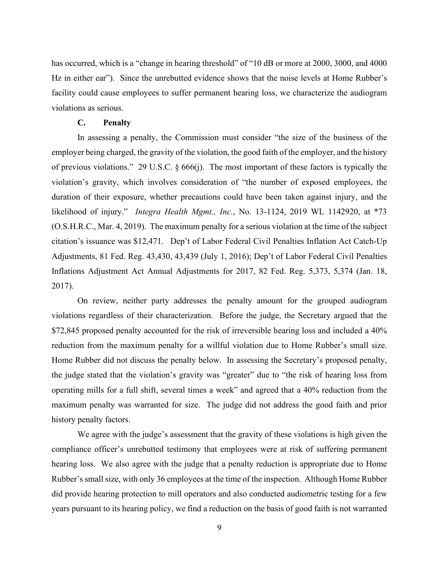has occurred, which is a "change in hearing threshold" of "10 dB or more at 2000, 3000, and 4000 Hz in either ear"). Since the unrebutted evidence shows that the noise levels at Home Rubber's facility could cause employees to suffer permanent hearing loss, we characterize the audiogram violations as serious.

### **C. Penalty**

In assessing a penalty, the Commission must consider "the size of the business of the employer being charged, the gravity of the violation, the good faith of the employer, and the history of previous violations." 29 U.S.C. § 666(j). The most important of these factors is typically the violation's gravity, which involves consideration of "the number of exposed employees, the duration of their exposure, whether precautions could have been taken against injury, and the likelihood of injury." *Integra Health Mgmt., Inc.*, No. 13-1124, 2019 WL 1142920, at \*73 (O.S.H.R.C., Mar. 4, 2019). The maximum penalty for a serious violation at the time of the subject citation's issuance was \$12,471. Dep't of Labor Federal Civil Penalties Inflation Act Catch-Up Adjustments, 81 Fed. Reg. 43,430, 43,439 (July 1, 2016); Dep't of Labor Federal Civil Penalties Inflations Adjustment Act Annual Adjustments for 2017, 82 Fed. Reg. 5,373, 5,374 (Jan. 18, 2017).

On review, neither party addresses the penalty amount for the grouped audiogram violations regardless of their characterization. Before the judge, the Secretary argued that the \$72,845 proposed penalty accounted for the risk of irreversible hearing loss and included a 40% reduction from the maximum penalty for a willful violation due to Home Rubber's small size. Home Rubber did not discuss the penalty below. In assessing the Secretary's proposed penalty, the judge stated that the violation's gravity was "greater" due to "the risk of hearing loss from operating mills for a full shift, several times a week" and agreed that a 40% reduction from the maximum penalty was warranted for size. The judge did not address the good faith and prior history penalty factors.

We agree with the judge's assessment that the gravity of these violations is high given the compliance officer's unrebutted testimony that employees were at risk of suffering permanent hearing loss. We also agree with the judge that a penalty reduction is appropriate due to Home Rubber's small size, with only 36 employees at the time of the inspection. Although Home Rubber did provide hearing protection to mill operators and also conducted audiometric testing for a few years pursuant to its hearing policy, we find a reduction on the basis of good faith is not warranted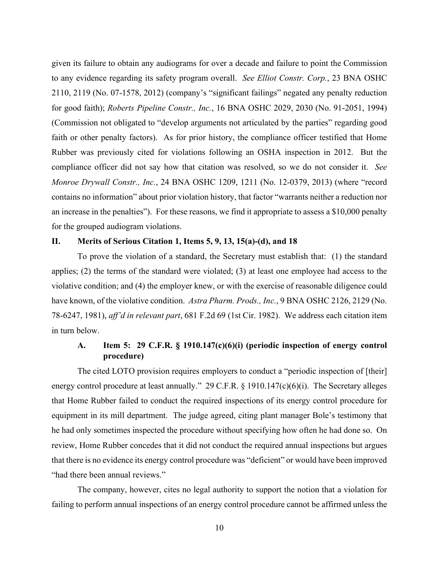given its failure to obtain any audiograms for over a decade and failure to point the Commission to any evidence regarding its safety program overall. *See Elliot Constr. Corp.*, 23 BNA OSHC 2110, 2119 (No. 07-1578, 2012) (company's "significant failings" negated any penalty reduction for good faith); *Roberts Pipeline Constr., Inc.*, 16 BNA OSHC 2029, 2030 (No. 91-2051, 1994) (Commission not obligated to "develop arguments not articulated by the parties" regarding good faith or other penalty factors). As for prior history, the compliance officer testified that Home Rubber was previously cited for violations following an OSHA inspection in 2012. But the compliance officer did not say how that citation was resolved, so we do not consider it. *See Monroe Drywall Constr., Inc.*, 24 BNA OSHC 1209, 1211 (No. 12-0379, 2013) (where "record contains no information" about prior violation history, that factor "warrants neither a reduction nor an increase in the penalties"). For these reasons, we find it appropriate to assess a \$10,000 penalty for the grouped audiogram violations.

### **II. Merits of Serious Citation 1, Items 5, 9, 13, 15(a)-(d), and 18**

To prove the violation of a standard, the Secretary must establish that: (1) the standard applies; (2) the terms of the standard were violated; (3) at least one employee had access to the violative condition; and (4) the employer knew, or with the exercise of reasonable diligence could have known, of the violative condition. *Astra Pharm. Prods., Inc.*, 9 BNA OSHC 2126, 2129 (No. 78-6247, 1981), *aff'd in relevant part*, 681 F.2d 69 (1st Cir. 1982). We address each citation item in turn below.

# **A. Item 5: 29 C.F.R. § 1910.147(c)(6)(i) (periodic inspection of energy control procedure)**

The cited LOTO provision requires employers to conduct a "periodic inspection of [their] energy control procedure at least annually." 29 C.F.R. § 1910.147(c)(6)(i). The Secretary alleges that Home Rubber failed to conduct the required inspections of its energy control procedure for equipment in its mill department. The judge agreed, citing plant manager Bole's testimony that he had only sometimes inspected the procedure without specifying how often he had done so. On review, Home Rubber concedes that it did not conduct the required annual inspections but argues that there is no evidence its energy control procedure was "deficient" or would have been improved "had there been annual reviews."

The company, however, cites no legal authority to support the notion that a violation for failing to perform annual inspections of an energy control procedure cannot be affirmed unless the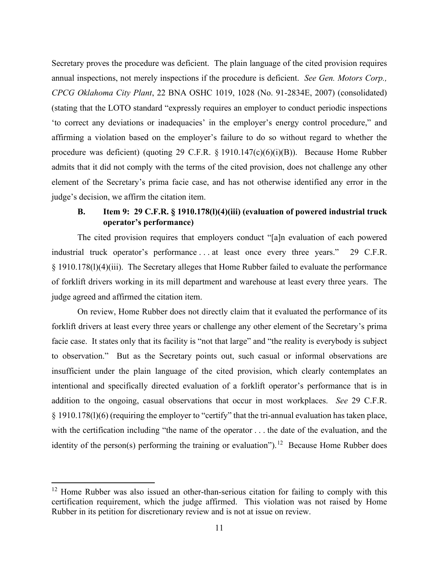Secretary proves the procedure was deficient. The plain language of the cited provision requires annual inspections, not merely inspections if the procedure is deficient. *See Gen. Motors Corp., CPCG Oklahoma City Plant*, 22 BNA OSHC 1019, 1028 (No. 91-2834E, 2007) (consolidated) (stating that the LOTO standard "expressly requires an employer to conduct periodic inspections 'to correct any deviations or inadequacies' in the employer's energy control procedure," and affirming a violation based on the employer's failure to do so without regard to whether the procedure was deficient) (quoting 29 C.F.R. § 1910.147(c)(6)(i)(B)). Because Home Rubber admits that it did not comply with the terms of the cited provision, does not challenge any other element of the Secretary's prima facie case, and has not otherwise identified any error in the judge's decision, we affirm the citation item.

# **B. Item 9: 29 C.F.R. § 1910.178(l)(4)(iii) (evaluation of powered industrial truck operator's performance)**

The cited provision requires that employers conduct "[a]n evaluation of each powered industrial truck operator's performance . . . at least once every three years." 29 C.F.R. § 1910.178(l)(4)(iii). The Secretary alleges that Home Rubber failed to evaluate the performance of forklift drivers working in its mill department and warehouse at least every three years. The judge agreed and affirmed the citation item.

On review, Home Rubber does not directly claim that it evaluated the performance of its forklift drivers at least every three years or challenge any other element of the Secretary's prima facie case. It states only that its facility is "not that large" and "the reality is everybody is subject to observation." But as the Secretary points out, such casual or informal observations are insufficient under the plain language of the cited provision, which clearly contemplates an intentional and specifically directed evaluation of a forklift operator's performance that is in addition to the ongoing, casual observations that occur in most workplaces. *See* 29 C.F.R. § 1910.178(l)(6) (requiring the employer to "certify" that the tri-annual evaluation has taken place, with the certification including "the name of the operator . . . the date of the evaluation, and the identity of the person(s) performing the training or evaluation").<sup>12</sup> Because Home Rubber does

<span id="page-10-0"></span> $12$  Home Rubber was also issued an other-than-serious citation for failing to comply with this certification requirement, which the judge affirmed. This violation was not raised by Home Rubber in its petition for discretionary review and is not at issue on review.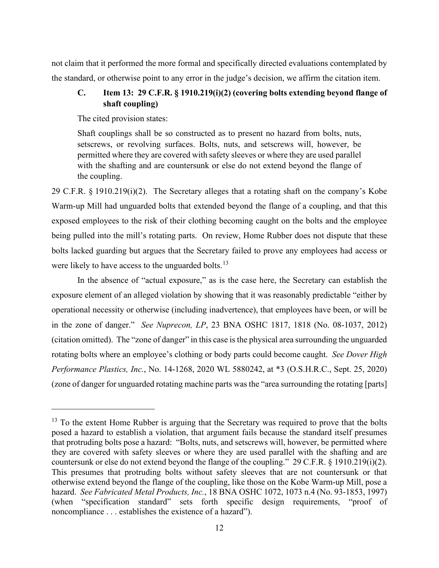not claim that it performed the more formal and specifically directed evaluations contemplated by the standard, or otherwise point to any error in the judge's decision, we affirm the citation item.

# **C. Item 13: 29 C.F.R. § 1910.219(i)(2) (covering bolts extending beyond flange of shaft coupling)**

The cited provision states:

Shaft couplings shall be so constructed as to present no hazard from bolts, nuts, setscrews, or revolving surfaces. Bolts, nuts, and setscrews will, however, be permitted where they are covered with safety sleeves or where they are used parallel with the shafting and are countersunk or else do not extend beyond the flange of the coupling.

29 C.F.R. § 1910.219(i)(2). The Secretary alleges that a rotating shaft on the company's Kobe Warm-up Mill had unguarded bolts that extended beyond the flange of a coupling, and that this exposed employees to the risk of their clothing becoming caught on the bolts and the employee being pulled into the mill's rotating parts. On review, Home Rubber does not dispute that these bolts lacked guarding but argues that the Secretary failed to prove any employees had access or were likely to have access to the unguarded bolts.<sup>13</sup>

In the absence of "actual exposure," as is the case here, the Secretary can establish the exposure element of an alleged violation by showing that it was reasonably predictable "either by operational necessity or otherwise (including inadvertence), that employees have been, or will be in the zone of danger." *See Nuprecon, LP*, 23 BNA OSHC 1817, 1818 (No. 08-1037, 2012) (citation omitted). The "zone of danger" in this case is the physical area surrounding the unguarded rotating bolts where an employee's clothing or body parts could become caught. *See Dover High Performance Plastics, Inc.*, No. 14-1268, 2020 WL 5880242, at \*3 (O.S.H.R.C., Sept. 25, 2020) (zone of danger for unguarded rotating machine parts was the "area surrounding the rotating [parts]

<span id="page-11-0"></span> $13$  To the extent Home Rubber is arguing that the Secretary was required to prove that the bolts posed a hazard to establish a violation, that argument fails because the standard itself presumes that protruding bolts pose a hazard: "Bolts, nuts, and setscrews will, however, be permitted where they are covered with safety sleeves or where they are used parallel with the shafting and are countersunk or else do not extend beyond the flange of the coupling." 29 C.F.R. § 1910.219(i)(2). This presumes that protruding bolts without safety sleeves that are not countersunk or that otherwise extend beyond the flange of the coupling, like those on the Kobe Warm-up Mill, pose a hazard. *See Fabricated Metal Products, Inc.*, 18 BNA OSHC 1072, 1073 n.4 (No. 93-1853, 1997) (when "specification standard" sets forth specific design requirements, "proof of noncompliance . . . establishes the existence of a hazard").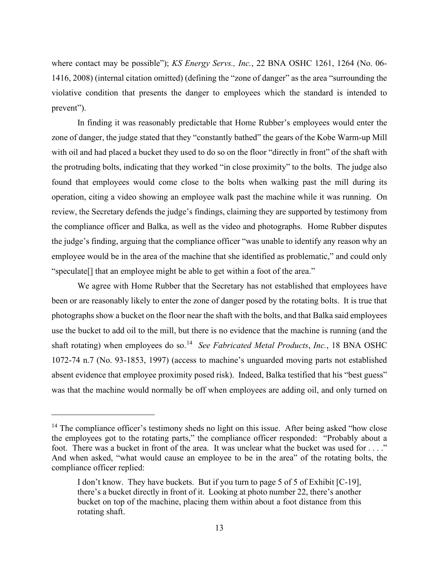where contact may be possible"); *KS Energy Servs., Inc.*, 22 BNA OSHC 1261, 1264 (No. 06- 1416, 2008) (internal citation omitted) (defining the "zone of danger" as the area "surrounding the violative condition that presents the danger to employees which the standard is intended to prevent").

In finding it was reasonably predictable that Home Rubber's employees would enter the zone of danger, the judge stated that they "constantly bathed" the gears of the Kobe Warm-up Mill with oil and had placed a bucket they used to do so on the floor "directly in front" of the shaft with the protruding bolts, indicating that they worked "in close proximity" to the bolts. The judge also found that employees would come close to the bolts when walking past the mill during its operation, citing a video showing an employee walk past the machine while it was running. On review, the Secretary defends the judge's findings, claiming they are supported by testimony from the compliance officer and Balka, as well as the video and photographs. Home Rubber disputes the judge's finding, arguing that the compliance officer "was unable to identify any reason why an employee would be in the area of the machine that she identified as problematic," and could only "speculate[] that an employee might be able to get within a foot of the area."

We agree with Home Rubber that the Secretary has not established that employees have been or are reasonably likely to enter the zone of danger posed by the rotating bolts. It is true that photographs show a bucket on the floor near the shaft with the bolts, and that Balka said employees use the bucket to add oil to the mill, but there is no evidence that the machine is running (and the shaft rotating) when employees do so. [14](#page-12-0) *See Fabricated Metal Products*, *Inc.*, 18 BNA OSHC 1072-74 n.7 (No. 93-1853, 1997) (access to machine's unguarded moving parts not established absent evidence that employee proximity posed risk). Indeed, Balka testified that his "best guess" was that the machine would normally be off when employees are adding oil, and only turned on

<span id="page-12-0"></span><sup>&</sup>lt;sup>14</sup> The compliance officer's testimony sheds no light on this issue. After being asked "how close the employees got to the rotating parts," the compliance officer responded: "Probably about a foot. There was a bucket in front of the area. It was unclear what the bucket was used for . . . ." And when asked, "what would cause an employee to be in the area" of the rotating bolts, the compliance officer replied:

I don't know. They have buckets. But if you turn to page 5 of 5 of Exhibit [C-19], there's a bucket directly in front of it. Looking at photo number 22, there's another bucket on top of the machine, placing them within about a foot distance from this rotating shaft.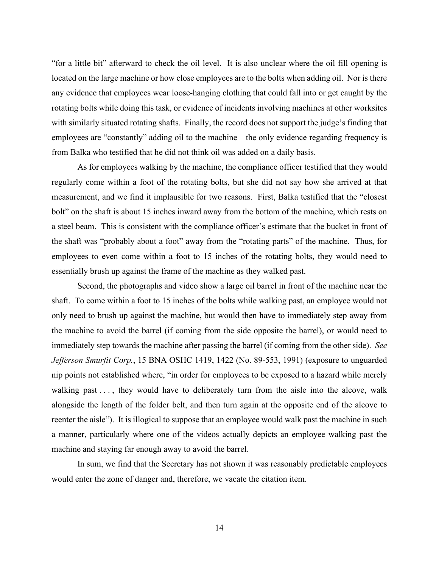"for a little bit" afterward to check the oil level. It is also unclear where the oil fill opening is located on the large machine or how close employees are to the bolts when adding oil. Nor is there any evidence that employees wear loose-hanging clothing that could fall into or get caught by the rotating bolts while doing this task, or evidence of incidents involving machines at other worksites with similarly situated rotating shafts. Finally, the record does not support the judge's finding that employees are "constantly" adding oil to the machine—the only evidence regarding frequency is from Balka who testified that he did not think oil was added on a daily basis.

As for employees walking by the machine, the compliance officer testified that they would regularly come within a foot of the rotating bolts, but she did not say how she arrived at that measurement, and we find it implausible for two reasons. First, Balka testified that the "closest bolt" on the shaft is about 15 inches inward away from the bottom of the machine, which rests on a steel beam. This is consistent with the compliance officer's estimate that the bucket in front of the shaft was "probably about a foot" away from the "rotating parts" of the machine. Thus, for employees to even come within a foot to 15 inches of the rotating bolts, they would need to essentially brush up against the frame of the machine as they walked past.

Second, the photographs and video show a large oil barrel in front of the machine near the shaft. To come within a foot to 15 inches of the bolts while walking past, an employee would not only need to brush up against the machine, but would then have to immediately step away from the machine to avoid the barrel (if coming from the side opposite the barrel), or would need to immediately step towards the machine after passing the barrel (if coming from the other side). *See Jefferson Smurfit Corp.*, 15 BNA OSHC 1419, 1422 (No. 89-553, 1991) (exposure to unguarded nip points not established where, "in order for employees to be exposed to a hazard while merely walking past . . . , they would have to deliberately turn from the aisle into the alcove, walk alongside the length of the folder belt, and then turn again at the opposite end of the alcove to reenter the aisle"). It is illogical to suppose that an employee would walk past the machine in such a manner, particularly where one of the videos actually depicts an employee walking past the machine and staying far enough away to avoid the barrel.

In sum, we find that the Secretary has not shown it was reasonably predictable employees would enter the zone of danger and, therefore, we vacate the citation item.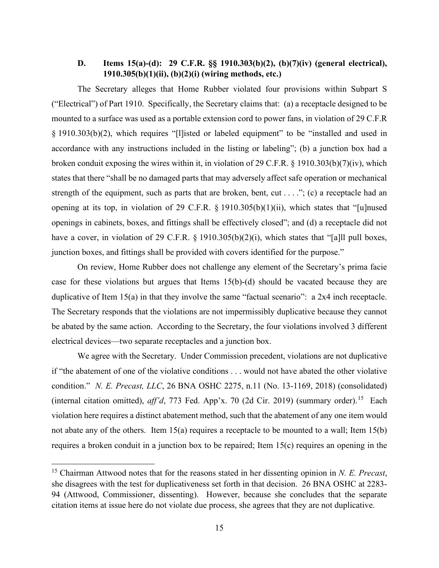# **D. Items 15(a)-(d): 29 C.F.R. §§ 1910.303(b)(2), (b)(7)(iv) (general electrical), 1910.305(b)(1)(ii), (b)(2)(i) (wiring methods, etc.)**

The Secretary alleges that Home Rubber violated four provisions within Subpart S ("Electrical") of Part 1910. Specifically, the Secretary claims that: (a) a receptacle designed to be mounted to a surface was used as a portable extension cord to power fans, in violation of 29 C.F.R § 1910.303(b)(2), which requires "[l]isted or labeled equipment" to be "installed and used in accordance with any instructions included in the listing or labeling"; (b) a junction box had a broken conduit exposing the wires within it, in violation of 29 C.F.R. § 1910.303(b)(7)(iv), which states that there "shall be no damaged parts that may adversely affect safe operation or mechanical strength of the equipment, such as parts that are broken, bent, cut . . . ."; (c) a receptacle had an opening at its top, in violation of 29 C.F.R. § 1910.305(b)(1)(ii), which states that "[u]nused openings in cabinets, boxes, and fittings shall be effectively closed"; and (d) a receptacle did not have a cover, in violation of 29 C.F.R. § 1910.305(b)(2)(i), which states that "[a]ll pull boxes, junction boxes, and fittings shall be provided with covers identified for the purpose."

On review, Home Rubber does not challenge any element of the Secretary's prima facie case for these violations but argues that Items 15(b)-(d) should be vacated because they are duplicative of Item 15(a) in that they involve the same "factual scenario": a 2x4 inch receptacle. The Secretary responds that the violations are not impermissibly duplicative because they cannot be abated by the same action. According to the Secretary, the four violations involved 3 different electrical devices—two separate receptacles and a junction box.

We agree with the Secretary. Under Commission precedent, violations are not duplicative if "the abatement of one of the violative conditions . . . would not have abated the other violative condition." *N. E. Precast, LLC*, 26 BNA OSHC 2275, n.11 (No. 13-1169, 2018) (consolidated) (internal citation omitted), *aff'd*, 773 Fed. App'x. 70 (2d Cir. 2019) (summary order). [15](#page-14-0) Each violation here requires a distinct abatement method, such that the abatement of any one item would not abate any of the others. Item 15(a) requires a receptacle to be mounted to a wall; Item 15(b) requires a broken conduit in a junction box to be repaired; Item 15(c) requires an opening in the

<span id="page-14-0"></span><sup>15</sup> Chairman Attwood notes that for the reasons stated in her dissenting opinion in *N. E. Precast*, she disagrees with the test for duplicativeness set forth in that decision. 26 BNA OSHC at 2283- 94 (Attwood, Commissioner, dissenting). However, because she concludes that the separate citation items at issue here do not violate due process, she agrees that they are not duplicative.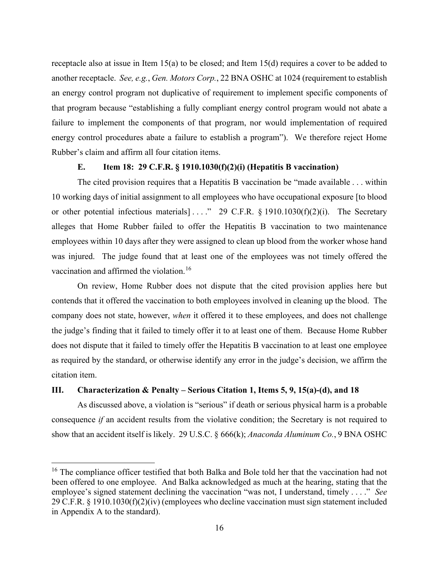receptacle also at issue in Item 15(a) to be closed; and Item 15(d) requires a cover to be added to another receptacle. *See, e.g.*, *Gen. Motors Corp.*, 22 BNA OSHC at 1024 (requirement to establish an energy control program not duplicative of requirement to implement specific components of that program because "establishing a fully compliant energy control program would not abate a failure to implement the components of that program, nor would implementation of required energy control procedures abate a failure to establish a program"). We therefore reject Home Rubber's claim and affirm all four citation items.

### **E. Item 18: 29 C.F.R. § 1910.1030(f)(2)(i) (Hepatitis B vaccination)**

The cited provision requires that a Hepatitis B vaccination be "made available . . . within 10 working days of initial assignment to all employees who have occupational exposure [to blood or other potential infectious materials  $] \ldots$ ." 29 C.F.R. § 1910.1030(f)(2)(i). The Secretary alleges that Home Rubber failed to offer the Hepatitis B vaccination to two maintenance employees within 10 days after they were assigned to clean up blood from the worker whose hand was injured. The judge found that at least one of the employees was not timely offered the vaccination and affirmed the violation.<sup>[16](#page-15-0)</sup>

On review, Home Rubber does not dispute that the cited provision applies here but contends that it offered the vaccination to both employees involved in cleaning up the blood. The company does not state, however, *when* it offered it to these employees, and does not challenge the judge's finding that it failed to timely offer it to at least one of them. Because Home Rubber does not dispute that it failed to timely offer the Hepatitis B vaccination to at least one employee as required by the standard, or otherwise identify any error in the judge's decision, we affirm the citation item.

# **III. Characterization & Penalty – Serious Citation 1, Items 5, 9, 15(a)-(d), and 18**

As discussed above, a violation is "serious" if death or serious physical harm is a probable consequence *if* an accident results from the violative condition; the Secretary is not required to show that an accident itself is likely. 29 U.S.C. § 666(k); *Anaconda Aluminum Co.*, 9 BNA OSHC

<span id="page-15-0"></span><sup>&</sup>lt;sup>16</sup> The compliance officer testified that both Balka and Bole told her that the vaccination had not been offered to one employee. And Balka acknowledged as much at the hearing, stating that the employee's signed statement declining the vaccination "was not, I understand, timely . . . ." *See*  29 C.F.R. § 1910.1030(f)(2)(iv) (employees who decline vaccination must sign statement included in Appendix A to the standard).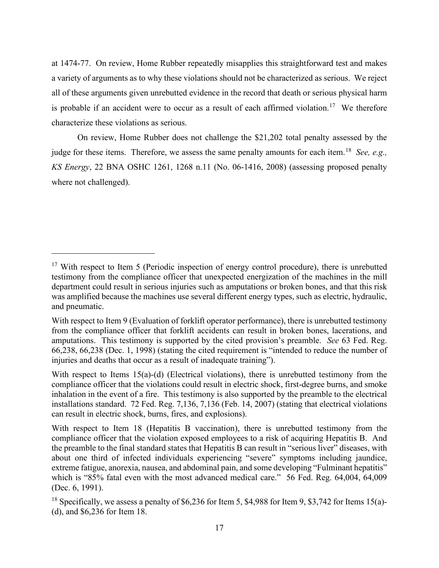at 1474-77. On review, Home Rubber repeatedly misapplies this straightforward test and makes a variety of arguments as to why these violations should not be characterized as serious. We reject all of these arguments given unrebutted evidence in the record that death or serious physical harm is probable if an accident were to occur as a result of each affirmed violation.<sup>17</sup> We therefore characterize these violations as serious.

On review, Home Rubber does not challenge the \$21,202 total penalty assessed by the judge for these items. Therefore, we assess the same penalty amounts for each item. [18](#page-16-1) *See, e.g., KS Energy*, 22 BNA OSHC 1261, 1268 n.11 (No. 06-1416, 2008) (assessing proposed penalty where not challenged).

<span id="page-16-0"></span> $17$  With respect to Item 5 (Periodic inspection of energy control procedure), there is unrebutted testimony from the compliance officer that unexpected energization of the machines in the mill department could result in serious injuries such as amputations or broken bones, and that this risk was amplified because the machines use several different energy types, such as electric, hydraulic, and pneumatic.

With respect to Item 9 (Evaluation of forklift operator performance), there is unrebutted testimony from the compliance officer that forklift accidents can result in broken bones, lacerations, and amputations. This testimony is supported by the cited provision's preamble. *See* 63 Fed. Reg. 66,238, 66,238 (Dec. 1, 1998) (stating the cited requirement is "intended to reduce the number of injuries and deaths that occur as a result of inadequate training").

With respect to Items 15(a)-(d) (Electrical violations), there is unrebutted testimony from the compliance officer that the violations could result in electric shock, first-degree burns, and smoke inhalation in the event of a fire. This testimony is also supported by the preamble to the electrical installations standard. 72 Fed. Reg. 7,136, 7,136 (Feb. 14, 2007) (stating that electrical violations can result in electric shock, burns, fires, and explosions).

With respect to Item 18 (Hepatitis B vaccination), there is unrebutted testimony from the compliance officer that the violation exposed employees to a risk of acquiring Hepatitis B. And the preamble to the final standard states that Hepatitis B can result in "serious liver" diseases, with about one third of infected individuals experiencing "severe" symptoms including jaundice, extreme fatigue, anorexia, nausea, and abdominal pain, and some developing "Fulminant hepatitis" which is "85% fatal even with the most advanced medical care." 56 Fed. Reg. 64,004, 64,009 (Dec. 6, 1991).

<span id="page-16-1"></span><sup>&</sup>lt;sup>18</sup> Specifically, we assess a penalty of \$6,236 for Item 5, \$4,988 for Item 9, \$3,742 for Items 15(a)-(d), and \$6,236 for Item 18.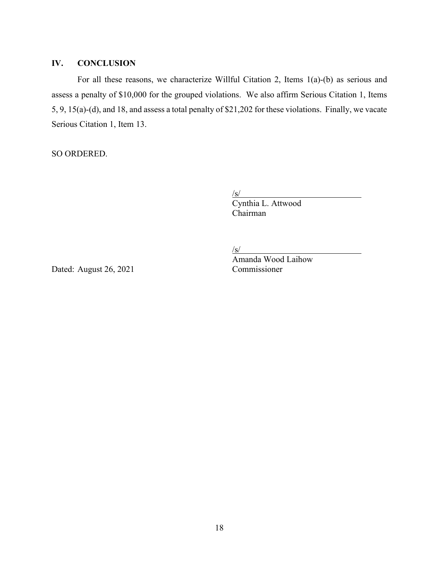### **IV. CONCLUSION**

For all these reasons, we characterize Willful Citation 2, Items 1(a)-(b) as serious and assess a penalty of \$10,000 for the grouped violations. We also affirm Serious Citation 1, Items 5, 9, 15(a)-(d), and 18, and assess a total penalty of \$21,202 for these violations. Finally, we vacate Serious Citation 1, Item 13.

SO ORDERED.

 $\sqrt{s/2}$ 

 Cynthia L. Attwood Chairman

 $/s/$ 

Dated: August 26, 2021 Commissioner

Amanda Wood Laihow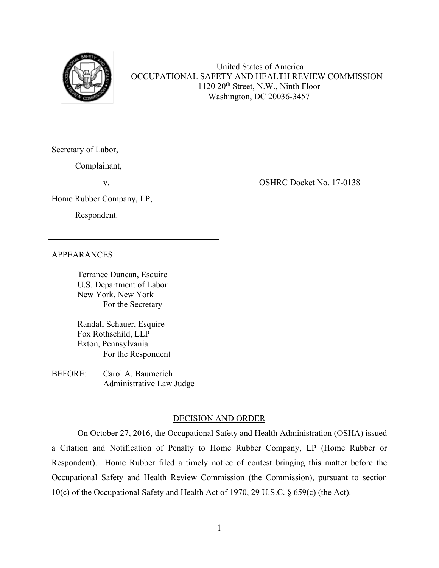

United States of America OCCUPATIONAL SAFETY AND HEALTH REVIEW COMMISSION 1120 20th Street, N.W., Ninth Floor Washington, DC 20036-3457

Secretary of Labor,

Complainant,

Home Rubber Company, LP,

Respondent.

v.

APPEARANCES:

Terrance Duncan, Esquire U.S. Department of Labor New York, New York For the Secretary

 Randall Schauer, Esquire Fox Rothschild, LLP Exton, Pennsylvania For the Respondent

BEFORE: Carol A. Baumerich Administrative Law Judge

### DECISION AND ORDER

On October 27, 2016, the Occupational Safety and Health Administration (OSHA) issued a Citation and Notification of Penalty to Home Rubber Company, LP (Home Rubber or Respondent). Home Rubber filed a timely notice of contest bringing this matter before the Occupational Safety and Health Review Commission (the Commission), pursuant to section 10(c) of the Occupational Safety and Health Act of 1970, 29 U.S.C. § 659(c) (the Act).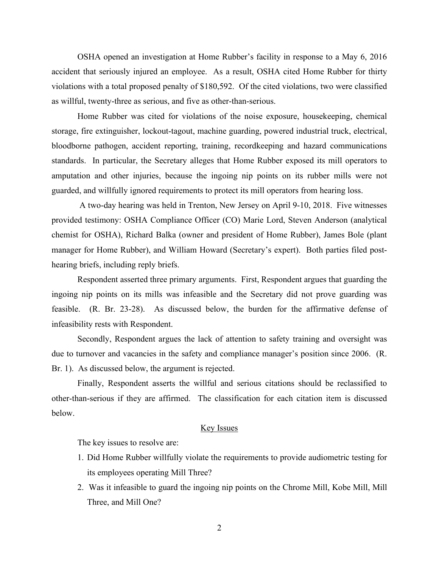OSHA opened an investigation at Home Rubber's facility in response to a May 6, 2016 accident that seriously injured an employee. As a result, OSHA cited Home Rubber for thirty violations with a total proposed penalty of \$180,592. Of the cited violations, two were classified as willful, twenty-three as serious, and five as other-than-serious.

Home Rubber was cited for violations of the noise exposure, housekeeping, chemical storage, fire extinguisher, lockout-tagout, machine guarding, powered industrial truck, electrical, bloodborne pathogen, accident reporting, training, recordkeeping and hazard communications standards. In particular, the Secretary alleges that Home Rubber exposed its mill operators to amputation and other injuries, because the ingoing nip points on its rubber mills were not guarded, and willfully ignored requirements to protect its mill operators from hearing loss.

 A two-day hearing was held in Trenton, New Jersey on April 9-10, 2018. Five witnesses provided testimony: OSHA Compliance Officer (CO) Marie Lord, Steven Anderson (analytical chemist for OSHA), Richard Balka (owner and president of Home Rubber), James Bole (plant manager for Home Rubber), and William Howard (Secretary's expert). Both parties filed posthearing briefs, including reply briefs.

Respondent asserted three primary arguments. First, Respondent argues that guarding the ingoing nip points on its mills was infeasible and the Secretary did not prove guarding was feasible. (R. Br. 23-28). As discussed below, the burden for the affirmative defense of infeasibility rests with Respondent.

Secondly, Respondent argues the lack of attention to safety training and oversight was due to turnover and vacancies in the safety and compliance manager's position since 2006. (R. Br. 1). As discussed below, the argument is rejected.

Finally, Respondent asserts the willful and serious citations should be reclassified to other-than-serious if they are affirmed. The classification for each citation item is discussed below.

### Key Issues

The key issues to resolve are:

- 1. Did Home Rubber willfully violate the requirements to provide audiometric testing for its employees operating Mill Three?
- 2. Was it infeasible to guard the ingoing nip points on the Chrome Mill, Kobe Mill, Mill Three, and Mill One?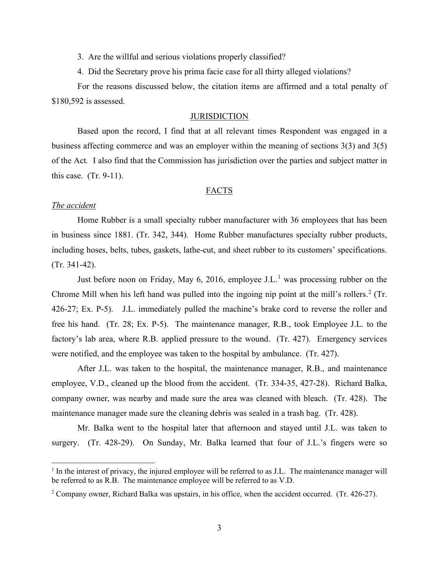3. Are the willful and serious violations properly classified?

4. Did the Secretary prove his prima facie case for all thirty alleged violations?

For the reasons discussed below, the citation items are affirmed and a total penalty of \$180,592 is assessed.

### **JURISDICTION**

Based upon the record, I find that at all relevant times Respondent was engaged in a business affecting commerce and was an employer within the meaning of sections 3(3) and 3(5) of the Act*.* I also find that the Commission has jurisdiction over the parties and subject matter in this case. (Tr. 9-11).

#### FACTS

### *The accident*

Home Rubber is a small specialty rubber manufacturer with 36 employees that has been in business since 1881. (Tr. 342, 344). Home Rubber manufactures specialty rubber products, including hoses, belts, tubes, gaskets, lathe-cut, and sheet rubber to its customers' specifications. (Tr. 341-42).

Just before noon on Friday, May 6, 20[1](#page-20-0)6, employee J.L.<sup>1</sup> was processing rubber on the Chrome Mill when his left hand was pulled into the ingoing nip point at the mill's rollers.<sup>[2](#page-20-1)</sup> (Tr. 426-27; Ex. P-5). J.L. immediately pulled the machine's brake cord to reverse the roller and free his hand. (Tr. 28; Ex. P-5). The maintenance manager, R.B., took Employee J.L. to the factory's lab area, where R.B. applied pressure to the wound. (Tr. 427). Emergency services were notified, and the employee was taken to the hospital by ambulance. (Tr. 427).

After J.L. was taken to the hospital, the maintenance manager, R.B., and maintenance employee, V.D., cleaned up the blood from the accident. (Tr. 334-35, 427-28). Richard Balka, company owner, was nearby and made sure the area was cleaned with bleach. (Tr. 428). The maintenance manager made sure the cleaning debris was sealed in a trash bag. (Tr. 428).

Mr. Balka went to the hospital later that afternoon and stayed until J.L. was taken to surgery. (Tr. 428-29). On Sunday, Mr. Balka learned that four of J.L.'s fingers were so

<span id="page-20-0"></span> $<sup>1</sup>$  In the interest of privacy, the injured employee will be referred to as J.L. The maintenance manager will</sup> be referred to as R.B. The maintenance employee will be referred to as V.D.

<span id="page-20-1"></span><sup>2</sup> Company owner, Richard Balka was upstairs, in his office, when the accident occurred. (Tr. 426-27).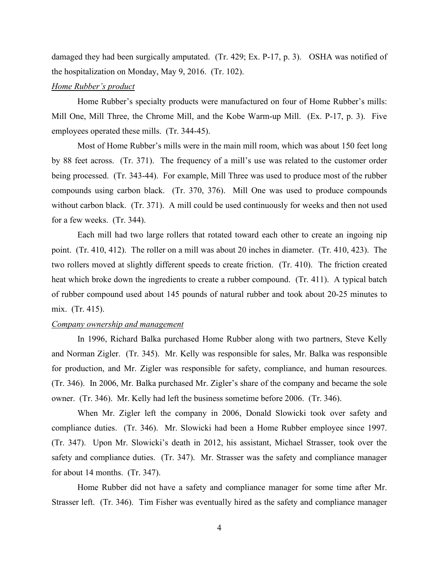damaged they had been surgically amputated. (Tr. 429; Ex. P-17, p. 3). OSHA was notified of the hospitalization on Monday, May 9, 2016. (Tr. 102).

### *Home Rubber's product*

Home Rubber's specialty products were manufactured on four of Home Rubber's mills: Mill One, Mill Three, the Chrome Mill, and the Kobe Warm-up Mill. (Ex. P-17, p. 3). Five employees operated these mills. (Tr. 344-45).

Most of Home Rubber's mills were in the main mill room, which was about 150 feet long by 88 feet across. (Tr. 371). The frequency of a mill's use was related to the customer order being processed. (Tr. 343-44). For example, Mill Three was used to produce most of the rubber compounds using carbon black. (Tr. 370, 376). Mill One was used to produce compounds without carbon black. (Tr. 371). A mill could be used continuously for weeks and then not used for a few weeks. (Tr. 344).

Each mill had two large rollers that rotated toward each other to create an ingoing nip point. (Tr. 410, 412). The roller on a mill was about 20 inches in diameter. (Tr. 410, 423). The two rollers moved at slightly different speeds to create friction. (Tr. 410). The friction created heat which broke down the ingredients to create a rubber compound. (Tr. 411). A typical batch of rubber compound used about 145 pounds of natural rubber and took about 20-25 minutes to mix. (Tr. 415).

#### *Company ownership and management*

In 1996, Richard Balka purchased Home Rubber along with two partners, Steve Kelly and Norman Zigler. (Tr. 345). Mr. Kelly was responsible for sales, Mr. Balka was responsible for production, and Mr. Zigler was responsible for safety, compliance, and human resources. (Tr. 346). In 2006, Mr. Balka purchased Mr. Zigler's share of the company and became the sole owner. (Tr. 346). Mr. Kelly had left the business sometime before 2006. (Tr. 346).

When Mr. Zigler left the company in 2006, Donald Slowicki took over safety and compliance duties. (Tr. 346). Mr. Slowicki had been a Home Rubber employee since 1997. (Tr. 347). Upon Mr. Slowicki's death in 2012, his assistant, Michael Strasser, took over the safety and compliance duties. (Tr. 347). Mr. Strasser was the safety and compliance manager for about 14 months. (Tr. 347).

Home Rubber did not have a safety and compliance manager for some time after Mr. Strasser left. (Tr. 346). Tim Fisher was eventually hired as the safety and compliance manager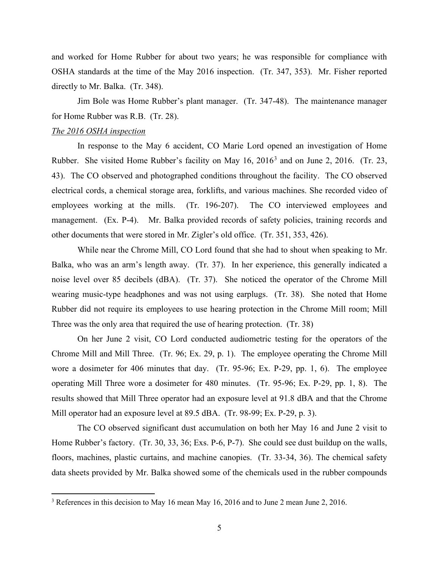and worked for Home Rubber for about two years; he was responsible for compliance with OSHA standards at the time of the May 2016 inspection. (Tr. 347, 353). Mr. Fisher reported directly to Mr. Balka. (Tr. 348).

Jim Bole was Home Rubber's plant manager. (Tr. 347-48). The maintenance manager for Home Rubber was R.B. (Tr. 28).

#### *The 2016 OSHA inspection*

In response to the May 6 accident, CO Marie Lord opened an investigation of Home Rubber. She visited Home Rubber's facility on May 16, 2016[3](#page-22-0) and on June 2, 2016. (Tr. 23, 43). The CO observed and photographed conditions throughout the facility. The CO observed electrical cords, a chemical storage area, forklifts, and various machines. She recorded video of employees working at the mills. (Tr. 196-207). The CO interviewed employees and management. (Ex. P-4). Mr. Balka provided records of safety policies, training records and other documents that were stored in Mr. Zigler's old office. (Tr. 351, 353, 426).

While near the Chrome Mill, CO Lord found that she had to shout when speaking to Mr. Balka, who was an arm's length away. (Tr. 37). In her experience, this generally indicated a noise level over 85 decibels (dBA). (Tr. 37). She noticed the operator of the Chrome Mill wearing music-type headphones and was not using earplugs. (Tr. 38). She noted that Home Rubber did not require its employees to use hearing protection in the Chrome Mill room; Mill Three was the only area that required the use of hearing protection. (Tr. 38)

On her June 2 visit, CO Lord conducted audiometric testing for the operators of the Chrome Mill and Mill Three. (Tr. 96; Ex. 29, p. 1). The employee operating the Chrome Mill wore a dosimeter for 406 minutes that day. (Tr. 95-96; Ex. P-29, pp. 1, 6). The employee operating Mill Three wore a dosimeter for 480 minutes. (Tr. 95-96; Ex. P-29, pp. 1, 8). The results showed that Mill Three operator had an exposure level at 91.8 dBA and that the Chrome Mill operator had an exposure level at 89.5 dBA. (Tr. 98-99; Ex. P-29, p. 3).

 The CO observed significant dust accumulation on both her May 16 and June 2 visit to Home Rubber's factory. (Tr. 30, 33, 36; Exs. P-6, P-7). She could see dust buildup on the walls, floors, machines, plastic curtains, and machine canopies. (Tr. 33-34, 36). The chemical safety data sheets provided by Mr. Balka showed some of the chemicals used in the rubber compounds

<span id="page-22-0"></span><sup>&</sup>lt;sup>3</sup> References in this decision to May 16 mean May 16, 2016 and to June 2 mean June 2, 2016.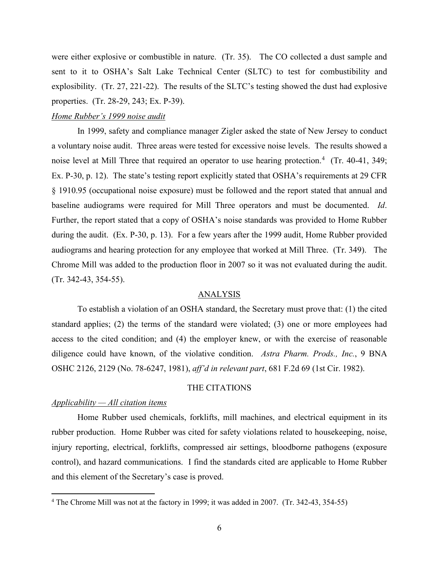were either explosive or combustible in nature. (Tr. 35). The CO collected a dust sample and sent to it to OSHA's Salt Lake Technical Center (SLTC) to test for combustibility and explosibility. (Tr. 27, 221-22). The results of the SLTC's testing showed the dust had explosive properties. (Tr. 28-29, 243; Ex. P-39).

### *Home Rubber's 1999 noise audit*

In 1999, safety and compliance manager Zigler asked the state of New Jersey to conduct a voluntary noise audit. Three areas were tested for excessive noise levels. The results showed a noise level at Mill Three that required an operator to use hearing protection.<sup>[4](#page-23-0)</sup> (Tr. 40-41, 349; Ex. P-30, p. 12). The state's testing report explicitly stated that OSHA's requirements at 29 CFR § 1910.95 (occupational noise exposure) must be followed and the report stated that annual and baseline audiograms were required for Mill Three operators and must be documented. *Id*. Further, the report stated that a copy of OSHA's noise standards was provided to Home Rubber during the audit. (Ex. P-30, p. 13). For a few years after the 1999 audit, Home Rubber provided audiograms and hearing protection for any employee that worked at Mill Three. (Tr. 349). The Chrome Mill was added to the production floor in 2007 so it was not evaluated during the audit. (Tr. 342-43, 354-55).

#### ANALYSIS

To establish a violation of an OSHA standard, the Secretary must prove that: (1) the cited standard applies; (2) the terms of the standard were violated; (3) one or more employees had access to the cited condition; and (4) the employer knew, or with the exercise of reasonable diligence could have known, of the violative condition. *Astra Pharm. Prods., Inc.*, 9 BNA OSHC 2126, 2129 (No. 78-6247, 1981), *aff'd in relevant part*, 681 F.2d 69 (1st Cir. 1982).

#### THE CITATIONS

### *Applicability — All citation items*

Home Rubber used chemicals, forklifts, mill machines, and electrical equipment in its rubber production. Home Rubber was cited for safety violations related to housekeeping, noise, injury reporting, electrical, forklifts, compressed air settings, bloodborne pathogens (exposure control), and hazard communications. I find the standards cited are applicable to Home Rubber and this element of the Secretary's case is proved.

<span id="page-23-0"></span><sup>&</sup>lt;sup>4</sup> The Chrome Mill was not at the factory in 1999; it was added in 2007. (Tr. 342-43, 354-55)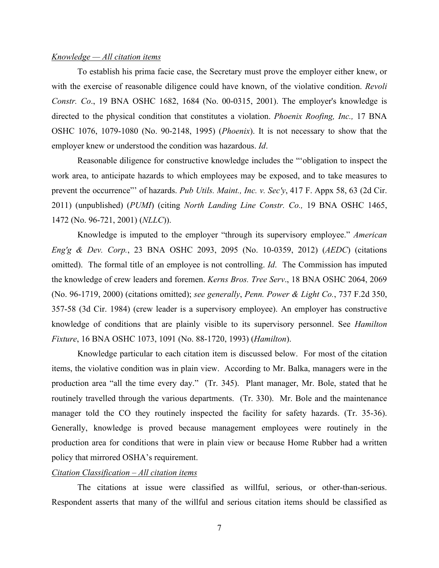#### *Knowledge — All citation items*

To establish his prima facie case, the Secretary must prove the employer either knew, or with the exercise of reasonable diligence could have known, of the violative condition. *Revoli Constr. Co*., 19 BNA OSHC 1682, 1684 (No. 00-0315, 2001). The employer's knowledge is directed to the physical condition that constitutes a violation. *Phoenix Roofing, Inc.,* 17 BNA OSHC 1076, 1079-1080 (No. 90-2148, 1995) (*Phoenix*). It is not necessary to show that the employer knew or understood the condition was hazardous. *Id*.

Reasonable diligence for constructive knowledge includes the "'obligation to inspect the work area, to anticipate hazards to which employees may be exposed, and to take measures to prevent the occurrence"' of hazards. *Pub Utils. Maint., Inc. v. Sec'y*, 417 F. Appx 58, 63 (2d Cir. 2011) (unpublished) (*PUMI*) (citing *North Landing Line Constr. Co.,* 19 BNA OSHC 1465, 1472 (No. 96-721, 2001) (*NLLC*)).

Knowledge is imputed to the employer "through its supervisory employee." *American Eng'g & Dev. Corp.*, 23 BNA OSHC 2093, 2095 (No. 10-0359, 2012) (*AEDC*) (citations omitted). The formal title of an employee is not controlling. *Id*. The Commission has imputed the knowledge of crew leaders and foremen. *Kerns Bros. Tree Serv*., 18 BNA OSHC 2064, 2069 (No. 96-1719, 2000) (citations omitted); *see generally*, *Penn. Power & Light Co.*, 737 F.2d 350, 357-58 (3d Cir. 1984) (crew leader is a supervisory employee). An employer has constructive knowledge of conditions that are plainly visible to its supervisory personnel. See *Hamilton Fixture*, 16 BNA OSHC 1073, 1091 (No. 88-1720, 1993) (*Hamilton*).

Knowledge particular to each citation item is discussed below. For most of the citation items, the violative condition was in plain view. According to Mr. Balka, managers were in the production area "all the time every day." (Tr. 345). Plant manager, Mr. Bole, stated that he routinely travelled through the various departments. (Tr. 330). Mr. Bole and the maintenance manager told the CO they routinely inspected the facility for safety hazards. (Tr. 35-36). Generally, knowledge is proved because management employees were routinely in the production area for conditions that were in plain view or because Home Rubber had a written policy that mirrored OSHA's requirement.

### *Citation Classification – All citation items*

The citations at issue were classified as willful, serious, or other-than-serious. Respondent asserts that many of the willful and serious citation items should be classified as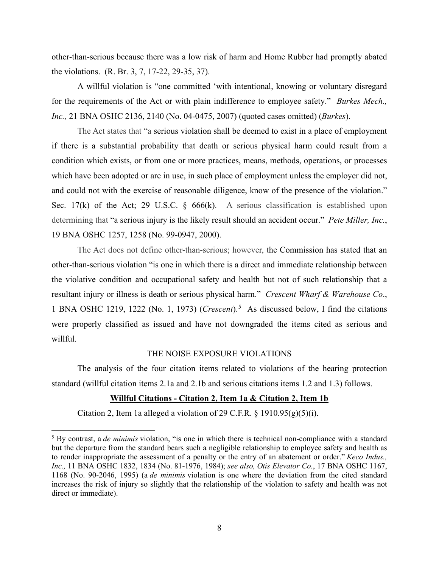other-than-serious because there was a low risk of harm and Home Rubber had promptly abated the violations. (R. Br. 3, 7, 17-22, 29-35, 37).

A willful violation is "one committed 'with intentional, knowing or voluntary disregard for the requirements of the Act or with plain indifference to employee safety." *Burkes Mech., Inc.,* 21 BNA OSHC 2136, 2140 (No. 04-0475, 2007) (quoted cases omitted) (*Burkes*).

The Act states that "a serious violation shall be deemed to exist in a place of employment if there is a substantial probability that death or serious physical harm could result from a condition which exists, or from one or more practices, means, methods, operations, or processes which have been adopted or are in use, in such place of employment unless the employer did not, and could not with the exercise of reasonable diligence, know of the presence of the violation." Sec. 17(k) of the Act; 29 U.S.C.  $\frac{666}{k}$ . A serious classification is established upon determining that "a serious injury is the likely result should an accident occur." *Pete Miller, Inc.*, 19 BNA OSHC 1257, 1258 (No. 99-0947, 2000).

The Act does not define other-than-serious; however, the Commission has stated that an other-than-serious violation "is one in which there is a direct and immediate relationship between the violative condition and occupational safety and health but not of such relationship that a resultant injury or illness is death or serious physical harm." *Crescent Wharf & Warehouse Co*., 1 BNA OSHC 1219, 1222 (No. 1, 1973) (*Crescent*).<sup>[5](#page-25-0)</sup> As discussed below, I find the citations were properly classified as issued and have not downgraded the items cited as serious and willful.

#### THE NOISE EXPOSURE VIOLATIONS

The analysis of the four citation items related to violations of the hearing protection standard (willful citation items 2.1a and 2.1b and serious citations items 1.2 and 1.3) follows.

# **Willful Citations - Citation 2, Item 1a & Citation 2, Item 1b**

Citation 2, Item 1a alleged a violation of 29 C.F.R. § 1910.95 $(g)(5)(i)$ .

<span id="page-25-0"></span><sup>5</sup> By contrast, a *de minimis* violation, "is one in which there is technical non-compliance with a standard but the departure from the standard bears such a negligible relationship to employee safety and health as to render inappropriate the assessment of a penalty or the entry of an abatement or order." *Keco Indus., Inc.,* 11 BNA OSHC 1832, 1834 (No. 81-1976, 1984); *see also, Otis Elevator Co.*, 17 BNA OSHC 1167, 1168 (No. 90-2046, 1995) (a *de minimis* violation is one where the deviation from the cited standard increases the risk of injury so slightly that the relationship of the violation to safety and health was not direct or immediate).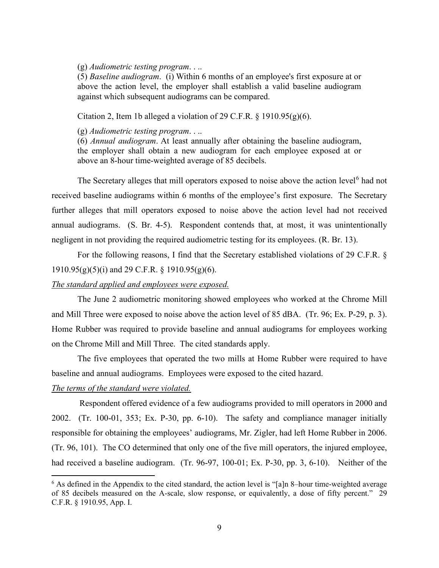### (g) *Audiometric testing program*. . ..

(5) *Baseline audiogram*. (i) Within 6 months of an employee's first exposure at or above the action level, the employer shall establish a valid baseline audiogram against which subsequent audiograms can be compared.

Citation 2, Item 1b alleged a violation of 29 C.F.R.  $\S$  1910.95(g)(6).

(g) *Audiometric testing program*. . ..

(6) *Annual audiogram*. At least annually after obtaining the baseline audiogram, the employer shall obtain a new audiogram for each employee exposed at or above an 8-hour time-weighted average of 85 decibels.

The Secretary alleges that mill operators exposed to noise above the action level<sup>[6](#page-26-0)</sup> had not received baseline audiograms within 6 months of the employee's first exposure. The Secretary further alleges that mill operators exposed to noise above the action level had not received annual audiograms. (S. Br. 4-5). Respondent contends that, at most, it was unintentionally negligent in not providing the required audiometric testing for its employees. (R. Br. 13).

For the following reasons, I find that the Secretary established violations of 29 C.F.R. §  $1910.95(g)(5)(i)$  and 29 C.F.R. § 1910.95(g)(6).

#### *The standard applied and employees were exposed.*

The June 2 audiometric monitoring showed employees who worked at the Chrome Mill and Mill Three were exposed to noise above the action level of 85 dBA. (Tr. 96; Ex. P-29, p. 3). Home Rubber was required to provide baseline and annual audiograms for employees working on the Chrome Mill and Mill Three. The cited standards apply.

The five employees that operated the two mills at Home Rubber were required to have baseline and annual audiograms. Employees were exposed to the cited hazard.

#### *The terms of the standard were violated.*

Respondent offered evidence of a few audiograms provided to mill operators in 2000 and 2002. (Tr. 100-01, 353; Ex. P-30, pp. 6-10). The safety and compliance manager initially responsible for obtaining the employees' audiograms, Mr. Zigler, had left Home Rubber in 2006. (Tr. 96, 101). The CO determined that only one of the five mill operators, the injured employee, had received a baseline audiogram. (Tr. 96-97, 100-01; Ex. P-30, pp. 3, 6-10). Neither of the

<span id="page-26-0"></span><sup>6</sup> As defined in the Appendix to the cited standard, the action level is "[a]n 8–hour time-weighted average of 85 decibels measured on the A-scale, slow response, or equivalently, a dose of fifty percent." 29 C.F.R. § 1910.95, App. I.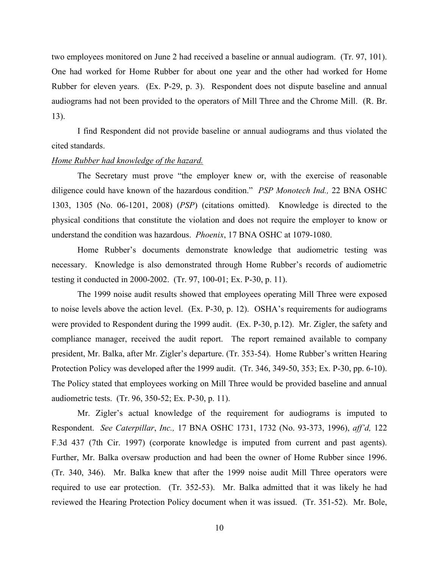two employees monitored on June 2 had received a baseline or annual audiogram. (Tr. 97, 101). One had worked for Home Rubber for about one year and the other had worked for Home Rubber for eleven years. (Ex. P-29, p. 3). Respondent does not dispute baseline and annual audiograms had not been provided to the operators of Mill Three and the Chrome Mill. (R. Br. 13).

I find Respondent did not provide baseline or annual audiograms and thus violated the cited standards.

#### *Home Rubber had knowledge of the hazard.*

The Secretary must prove "the employer knew or, with the exercise of reasonable diligence could have known of the hazardous condition." *PSP Monotech Ind.,* 22 BNA OSHC 1303, 1305 (No. 06-1201, 2008) (*PSP*) (citations omitted). Knowledge is directed to the physical conditions that constitute the violation and does not require the employer to know or understand the condition was hazardous. *Phoenix*, 17 BNA OSHC at 1079-1080.

 Home Rubber's documents demonstrate knowledge that audiometric testing was necessary. Knowledge is also demonstrated through Home Rubber's records of audiometric testing it conducted in 2000-2002. (Tr. 97, 100-01; Ex. P-30, p. 11).

The 1999 noise audit results showed that employees operating Mill Three were exposed to noise levels above the action level. (Ex. P-30, p. 12). OSHA's requirements for audiograms were provided to Respondent during the 1999 audit. (Ex. P-30, p.12). Mr. Zigler, the safety and compliance manager, received the audit report. The report remained available to company president, Mr. Balka, after Mr. Zigler's departure. (Tr. 353-54). Home Rubber's written Hearing Protection Policy was developed after the 1999 audit. (Tr. 346, 349-50, 353; Ex. P-30, pp. 6-10). The Policy stated that employees working on Mill Three would be provided baseline and annual audiometric tests. (Tr. 96, 350-52; Ex. P-30, p. 11).

Mr. Zigler's actual knowledge of the requirement for audiograms is imputed to Respondent. *See Caterpillar*, *Inc.,* 17 BNA OSHC 1731, 1732 (No. 93-373, 1996), *aff'd,* 122 F.3d 437 (7th Cir. 1997) (corporate knowledge is imputed from current and past agents). Further, Mr. Balka oversaw production and had been the owner of Home Rubber since 1996. (Tr. 340, 346). Mr. Balka knew that after the 1999 noise audit Mill Three operators were required to use ear protection. (Tr. 352-53). Mr. Balka admitted that it was likely he had reviewed the Hearing Protection Policy document when it was issued. (Tr. 351-52). Mr. Bole,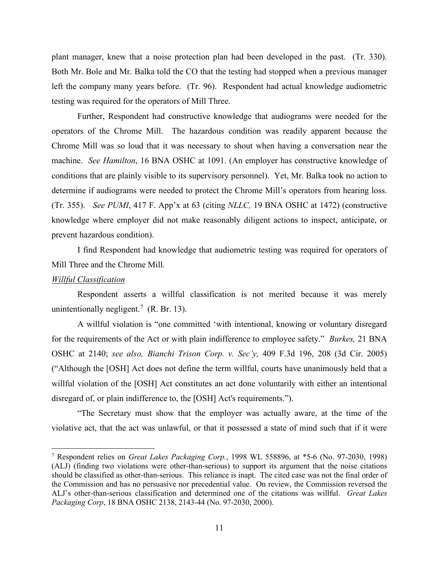plant manager, knew that a noise protection plan had been developed in the past. (Tr. 330). Both Mr. Bole and Mr. Balka told the CO that the testing had stopped when a previous manager left the company many years before. (Tr. 96). Respondent had actual knowledge audiometric testing was required for the operators of Mill Three.

Further, Respondent had constructive knowledge that audiograms were needed for the operators of the Chrome Mill. The hazardous condition was readily apparent because the Chrome Mill was so loud that it was necessary to shout when having a conversation near the machine. *See Hamilton*, 16 BNA OSHC at 1091. (An employer has constructive knowledge of conditions that are plainly visible to its supervisory personnel). Yet, Mr. Balka took no action to determine if audiograms were needed to protect the Chrome Mill's operators from hearing loss. (Tr. 355). *See PUMI*, 417 F. App'x at 63 (citing *NLLC,* 19 BNA OSHC at 1472) (constructive knowledge where employer did not make reasonably diligent actions to inspect, anticipate, or prevent hazardous condition).

I find Respondent had knowledge that audiometric testing was required for operators of Mill Three and the Chrome Mill.

### *Willful Classification*

Respondent asserts a willful classification is not merited because it was merely unintentionally negligent.<sup>[7](#page-28-0)</sup> (R. Br. 13).

A willful violation is "one committed 'with intentional, knowing or voluntary disregard for the requirements of the Act or with plain indifference to employee safety." *Burkes,* 21 BNA OSHC at 2140; *see also, Bianchi Trison Corp. v. Sec'y,* 409 F.3d 196, 208 (3d Cir. 2005) ("Although the [OSH] Act does not define the term willful, courts have unanimously held that a willful violation of the [OSH] Act constitutes an act done voluntarily with either an intentional disregard of, or plain indifference to, the [OSH] Act's requirements.").

"The Secretary must show that the employer was actually aware, at the time of the violative act, that the act was unlawful, or that it possessed a state of mind such that if it were

<span id="page-28-0"></span><sup>7</sup> Respondent relies on *Great Lakes Packaging Corp.*, 1998 WL 558896, at \*5-6 (No. 97-2030, 1998) (ALJ) (finding two violations were other-than-serious) to support its argument that the noise citations should be classified as other-than-serious. This reliance is inapt. The cited case was not the final order of the Commission and has no persuasive nor precedential value. On review, the Commission reversed the ALJ's other-than-serious classification and determined one of the citations was willful. *Great Lakes Packaging Corp*, 18 BNA OSHC 2138, 2143-44 (No. 97-2030, 2000).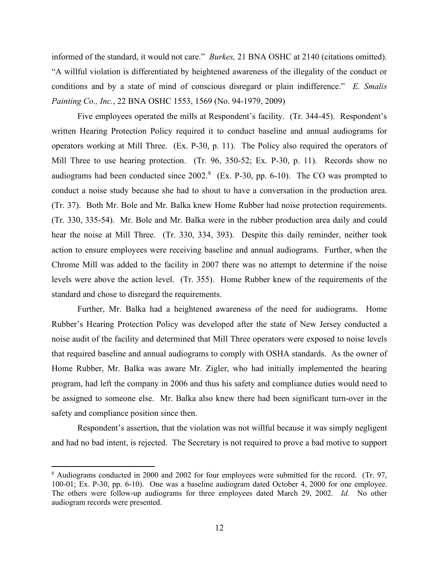informed of the standard, it would not care." *Burkes,* 21 BNA OSHC at 2140 (citations omitted). "A willful violation is differentiated by heightened awareness of the illegality of the conduct or conditions and by a state of mind of conscious disregard or plain indifference." *E. Smalis Painting Co., Inc.*, 22 BNA OSHC 1553, 1569 (No. 94-1979, 2009)

Five employees operated the mills at Respondent's facility. (Tr. 344-45). Respondent's written Hearing Protection Policy required it to conduct baseline and annual audiograms for operators working at Mill Three. (Ex. P-30, p. 11). The Policy also required the operators of Mill Three to use hearing protection. (Tr. 96, 350-52; Ex. P-30, p. 11). Records show no audiograms had been conducted since  $2002$ .<sup>[8](#page-29-0)</sup> (Ex. P-30, pp. 6-10). The CO was prompted to conduct a noise study because she had to shout to have a conversation in the production area. (Tr. 37). Both Mr. Bole and Mr. Balka knew Home Rubber had noise protection requirements. (Tr. 330, 335-54). Mr. Bole and Mr. Balka were in the rubber production area daily and could hear the noise at Mill Three. (Tr. 330, 334, 393). Despite this daily reminder, neither took action to ensure employees were receiving baseline and annual audiograms. Further, when the Chrome Mill was added to the facility in 2007 there was no attempt to determine if the noise levels were above the action level. (Tr. 355). Home Rubber knew of the requirements of the standard and chose to disregard the requirements.

Further, Mr. Balka had a heightened awareness of the need for audiograms. Home Rubber's Hearing Protection Policy was developed after the state of New Jersey conducted a noise audit of the facility and determined that Mill Three operators were exposed to noise levels that required baseline and annual audiograms to comply with OSHA standards. As the owner of Home Rubber, Mr. Balka was aware Mr. Zigler, who had initially implemented the hearing program, had left the company in 2006 and thus his safety and compliance duties would need to be assigned to someone else. Mr. Balka also knew there had been significant turn-over in the safety and compliance position since then.

 Respondent's assertion, that the violation was not willful because it was simply negligent and had no bad intent, is rejected. The Secretary is not required to prove a bad motive to support

<span id="page-29-0"></span><sup>&</sup>lt;sup>8</sup> Audiograms conducted in 2000 and 2002 for four employees were submitted for the record. (Tr. 97, 100-01; Ex. P-30, pp. 6-10). One was a baseline audiogram dated October 4, 2000 for one employee. The others were follow-up audiograms for three employees dated March 29, 2002. *Id.* No other audiogram records were presented.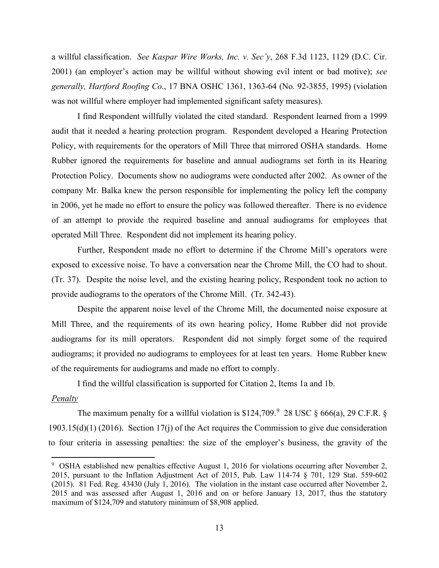a willful classification. *See Kaspar Wire Works, Inc. v. Sec'y*, 268 F.3d 1123, 1129 (D.C. Cir. 2001) (an employer's action may be willful without showing evil intent or bad motive); *see generally, Hartford Roofing Co*., 17 BNA OSHC 1361, 1363-64 (No. 92-3855, 1995) (violation was not willful where employer had implemented significant safety measures).

I find Respondent willfully violated the cited standard. Respondent learned from a 1999 audit that it needed a hearing protection program. Respondent developed a Hearing Protection Policy, with requirements for the operators of Mill Three that mirrored OSHA standards. Home Rubber ignored the requirements for baseline and annual audiograms set forth in its Hearing Protection Policy. Documents show no audiograms were conducted after 2002. As owner of the company Mr. Balka knew the person responsible for implementing the policy left the company in 2006, yet he made no effort to ensure the policy was followed thereafter. There is no evidence of an attempt to provide the required baseline and annual audiograms for employees that operated Mill Three. Respondent did not implement its hearing policy.

Further, Respondent made no effort to determine if the Chrome Mill's operators were exposed to excessive noise. To have a conversation near the Chrome Mill, the CO had to shout. (Tr. 37). Despite the noise level, and the existing hearing policy, Respondent took no action to provide audiograms to the operators of the Chrome Mill. (Tr. 342-43).

Despite the apparent noise level of the Chrome Mill, the documented noise exposure at Mill Three, and the requirements of its own hearing policy, Home Rubber did not provide audiograms for its mill operators. Respondent did not simply forget some of the required audiograms; it provided no audiograms to employees for at least ten years. Home Rubber knew of the requirements for audiograms and made no effort to comply.

I find the willful classification is supported for Citation 2, Items 1a and 1b.

### *Penalty*

The maximum penalty for a willful violation is \$124,70[9](#page-30-0).<sup>9</sup> 28 USC § 666(a), 29 C.F.R. § 1903.15(d)(1) (2016). Section 17(j) of the Act requires the Commission to give due consideration to four criteria in assessing penalties: the size of the employer's business, the gravity of the

<span id="page-30-0"></span><sup>&</sup>lt;sup>9</sup> OSHA established new penalties effective August 1, 2016 for violations occurring after November 2, 2015, pursuant to the Inflation Adjustment Act of 2015, Pub. Law 114-74 § 701, 129 Stat. 559-602 (2015). 81 Fed. Reg. 43430 (July 1, 2016). The violation in the instant case occurred after November 2, 2015 and was assessed after August 1, 2016 and on or before January 13, 2017, thus the statutory maximum of \$124,709 and statutory minimum of \$8,908 applied.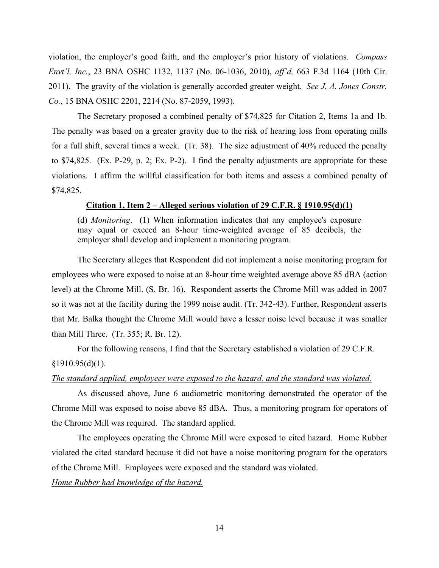violation, the employer's good faith, and the employer's prior history of violations. *Compass Envt'l, Inc.*, 23 BNA OSHC 1132, 1137 (No. 06-1036, 2010), *aff'd,* 663 F.3d 1164 (10th Cir. 2011). The gravity of the violation is generally accorded greater weight. *See J. A. Jones Constr. Co.*, 15 BNA OSHC 2201, 2214 (No. 87-2059, 1993).

The Secretary proposed a combined penalty of \$74,825 for Citation 2, Items 1a and 1b. The penalty was based on a greater gravity due to the risk of hearing loss from operating mills for a full shift, several times a week. (Tr. 38). The size adjustment of 40% reduced the penalty to \$74,825. (Ex. P-29, p. 2; Ex. P-2). I find the penalty adjustments are appropriate for these violations. I affirm the willful classification for both items and assess a combined penalty of \$74,825.

### **Citation 1, Item 2 – Alleged serious violation of 29 C.F.R. § 1910.95(d)(1)**

(d) *Monitoring*. (1) When information indicates that any employee's exposure may equal or exceed an 8-hour time-weighted average of 85 decibels, the employer shall develop and implement a monitoring program.

The Secretary alleges that Respondent did not implement a noise monitoring program for employees who were exposed to noise at an 8-hour time weighted average above 85 dBA (action level) at the Chrome Mill. (S. Br. 16). Respondent asserts the Chrome Mill was added in 2007 so it was not at the facility during the 1999 noise audit. (Tr. 342-43). Further, Respondent asserts that Mr. Balka thought the Chrome Mill would have a lesser noise level because it was smaller than Mill Three. (Tr. 355; R. Br. 12).

 For the following reasons, I find that the Secretary established a violation of 29 C.F.R.  $§1910.95(d)(1).$ 

#### *The standard applied, employees were exposed to the hazard, and the standard was violated.*

 As discussed above, June 6 audiometric monitoring demonstrated the operator of the Chrome Mill was exposed to noise above 85 dBA. Thus, a monitoring program for operators of the Chrome Mill was required. The standard applied.

The employees operating the Chrome Mill were exposed to cited hazard. Home Rubber violated the cited standard because it did not have a noise monitoring program for the operators of the Chrome Mill. Employees were exposed and the standard was violated.

*Home Rubber had knowledge of the hazard.*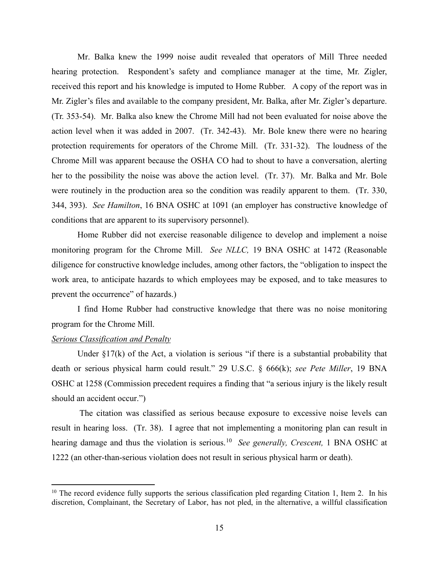Mr. Balka knew the 1999 noise audit revealed that operators of Mill Three needed hearing protection. Respondent's safety and compliance manager at the time, Mr. Zigler, received this report and his knowledge is imputed to Home Rubber. A copy of the report was in Mr. Zigler's files and available to the company president, Mr. Balka, after Mr. Zigler's departure. (Tr. 353-54). Mr. Balka also knew the Chrome Mill had not been evaluated for noise above the action level when it was added in 2007. (Tr. 342-43). Mr. Bole knew there were no hearing protection requirements for operators of the Chrome Mill. (Tr. 331-32). The loudness of the Chrome Mill was apparent because the OSHA CO had to shout to have a conversation, alerting her to the possibility the noise was above the action level. (Tr. 37). Mr. Balka and Mr. Bole were routinely in the production area so the condition was readily apparent to them. (Tr. 330, 344, 393). *See Hamilton*, 16 BNA OSHC at 1091 (an employer has constructive knowledge of conditions that are apparent to its supervisory personnel).

Home Rubber did not exercise reasonable diligence to develop and implement a noise monitoring program for the Chrome Mill. *See NLLC,* 19 BNA OSHC at 1472 (Reasonable diligence for constructive knowledge includes, among other factors, the "obligation to inspect the work area, to anticipate hazards to which employees may be exposed, and to take measures to prevent the occurrence" of hazards.)

I find Home Rubber had constructive knowledge that there was no noise monitoring program for the Chrome Mill.

### *Serious Classification and Penalty*

Under  $\S17(k)$  of the Act, a violation is serious "if there is a substantial probability that death or serious physical harm could result." 29 U.S.C. § 666(k); *see Pete Miller*, 19 BNA OSHC at 1258 (Commission precedent requires a finding that "a serious injury is the likely result should an accident occur.")

The citation was classified as serious because exposure to excessive noise levels can result in hearing loss. (Tr. 38). I agree that not implementing a monitoring plan can result in hearing damage and thus the violation is serious.[10](#page-32-0) *See generally, Crescent,* 1 BNA OSHC at 1222 (an other-than-serious violation does not result in serious physical harm or death).

<span id="page-32-0"></span> $10$  The record evidence fully supports the serious classification pled regarding Citation 1, Item 2. In his discretion, Complainant, the Secretary of Labor, has not pled, in the alternative, a willful classification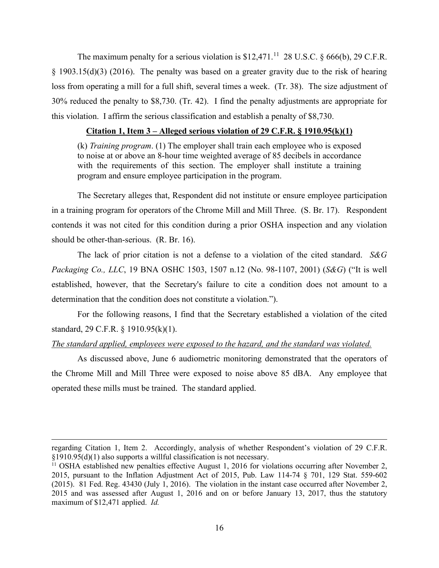The maximum penalty for a serious violation is  $$12,471$ .<sup>11</sup> 28 U.S.C.  $§$  666(b), 29 C.F.R.  $§$  1903.15(d)(3) (2016). The penalty was based on a greater gravity due to the risk of hearing loss from operating a mill for a full shift, several times a week. (Tr. 38). The size adjustment of 30% reduced the penalty to \$8,730. (Tr. 42). I find the penalty adjustments are appropriate for this violation. I affirm the serious classification and establish a penalty of \$8,730.

#### **Citation 1, Item 3 – Alleged serious violation of 29 C.F.R. § 1910.95(k)(1)**

(k) *Training program*. (1) The employer shall train each employee who is exposed to noise at or above an 8-hour time weighted average of 85 decibels in accordance with the requirements of this section. The employer shall institute a training program and ensure employee participation in the program.

The Secretary alleges that, Respondent did not institute or ensure employee participation in a training program for operators of the Chrome Mill and Mill Three. (S. Br. 17). Respondent contends it was not cited for this condition during a prior OSHA inspection and any violation should be other-than-serious. (R. Br. 16).

The lack of prior citation is not a defense to a violation of the cited standard. *S&G Packaging Co., LLC*, 19 BNA OSHC 1503, 1507 n.12 (No. 98-1107, 2001) (*S&G*) ("It is well established, however, that the Secretary's failure to cite a condition does not amount to a determination that the condition does not constitute a violation.").

For the following reasons, I find that the Secretary established a violation of the cited standard, 29 C.F.R. § 1910.95(k)(1).

### *The standard applied, employees were exposed to the hazard, and the standard was violated.*

As discussed above, June 6 audiometric monitoring demonstrated that the operators of the Chrome Mill and Mill Three were exposed to noise above 85 dBA. Any employee that operated these mills must be trained. The standard applied.

regarding Citation 1, Item 2. Accordingly, analysis of whether Respondent's violation of 29 C.F.R.  $\S1910.95(d)(1)$  also supports a willful classification is not necessary.<br><sup>11</sup> OSHA established new penalties effective August 1, 2016 for violations occurring after November 2,

<span id="page-33-0"></span><sup>2015,</sup> pursuant to the Inflation Adjustment Act of 2015, Pub. Law 114-74 § 701, 129 Stat. 559-602 (2015). 81 Fed. Reg. 43430 (July 1, 2016). The violation in the instant case occurred after November 2, 2015 and was assessed after August 1, 2016 and on or before January 13, 2017, thus the statutory maximum of \$12,471 applied. *Id.*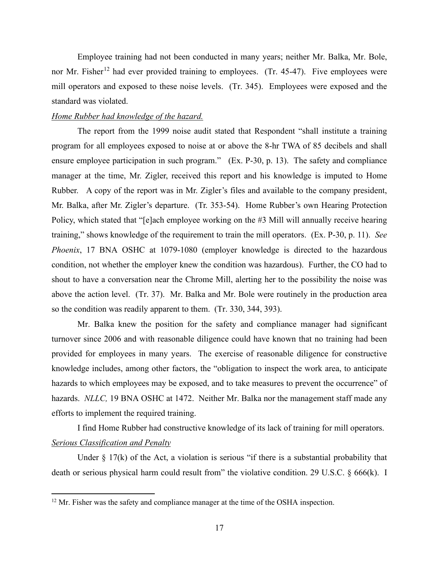Employee training had not been conducted in many years; neither Mr. Balka, Mr. Bole, nor Mr. Fisher<sup>[12](#page-34-0)</sup> had ever provided training to employees. (Tr. 45-47). Five employees were mill operators and exposed to these noise levels. (Tr. 345). Employees were exposed and the standard was violated.

#### *Home Rubber had knowledge of the hazard.*

The report from the 1999 noise audit stated that Respondent "shall institute a training program for all employees exposed to noise at or above the 8-hr TWA of 85 decibels and shall ensure employee participation in such program." (Ex. P-30, p. 13). The safety and compliance manager at the time, Mr. Zigler, received this report and his knowledge is imputed to Home Rubber. A copy of the report was in Mr. Zigler's files and available to the company president, Mr. Balka, after Mr. Zigler's departure. (Tr. 353-54). Home Rubber's own Hearing Protection Policy, which stated that "[e]ach employee working on the #3 Mill will annually receive hearing training," shows knowledge of the requirement to train the mill operators. (Ex. P-30, p. 11). *See Phoenix*, 17 BNA OSHC at 1079-1080 (employer knowledge is directed to the hazardous condition, not whether the employer knew the condition was hazardous). Further, the CO had to shout to have a conversation near the Chrome Mill, alerting her to the possibility the noise was above the action level. (Tr. 37). Mr. Balka and Mr. Bole were routinely in the production area so the condition was readily apparent to them. (Tr. 330, 344, 393).

Mr. Balka knew the position for the safety and compliance manager had significant turnover since 2006 and with reasonable diligence could have known that no training had been provided for employees in many years. The exercise of reasonable diligence for constructive knowledge includes, among other factors, the "obligation to inspect the work area, to anticipate hazards to which employees may be exposed, and to take measures to prevent the occurrence" of hazards. *NLLC,* 19 BNA OSHC at 1472. Neither Mr. Balka nor the management staff made any efforts to implement the required training.

I find Home Rubber had constructive knowledge of its lack of training for mill operators. *Serious Classification and Penalty*

Under  $\S$  17(k) of the Act, a violation is serious "if there is a substantial probability that death or serious physical harm could result from" the violative condition. 29 U.S.C. § 666(k). I

<span id="page-34-0"></span><sup>&</sup>lt;sup>12</sup> Mr. Fisher was the safety and compliance manager at the time of the OSHA inspection.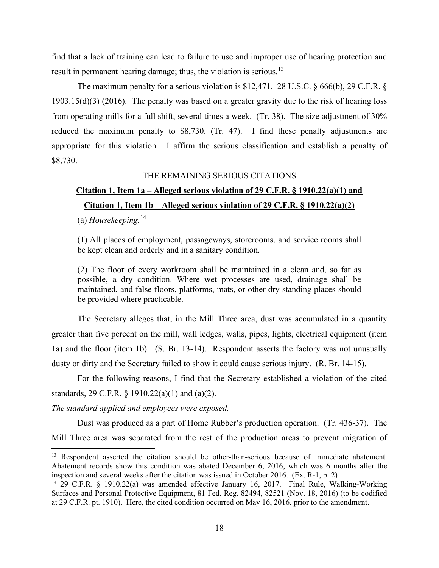find that a lack of training can lead to failure to use and improper use of hearing protection and result in permanent hearing damage; thus, the violation is serious.<sup>[13](#page-35-0)</sup>

The maximum penalty for a serious violation is \$12,471. 28 U.S.C. § 666(b), 29 C.F.R. § 1903.15(d)(3) (2016). The penalty was based on a greater gravity due to the risk of hearing loss from operating mills for a full shift, several times a week. (Tr. 38). The size adjustment of 30% reduced the maximum penalty to \$8,730. (Tr. 47). I find these penalty adjustments are appropriate for this violation. I affirm the serious classification and establish a penalty of \$8,730.

#### THE REMAINING SERIOUS CITATIONS

# **Citation 1, Item 1a – Alleged serious violation of 29 C.F.R. § 1910.22(a)(1) and Citation 1, Item 1b – Alleged serious violation of 29 C.F.R. § 1910.22(a)(2)**

(a) *Housekeeping.*[14](#page-35-1)

(1) All places of employment, passageways, storerooms, and service rooms shall be kept clean and orderly and in a sanitary condition.

(2) The floor of every workroom shall be maintained in a clean and, so far as possible, a dry condition. Where wet processes are used, drainage shall be maintained, and false floors, platforms, mats, or other dry standing places should be provided where practicable.

The Secretary alleges that, in the Mill Three area, dust was accumulated in a quantity greater than five percent on the mill, wall ledges, walls, pipes, lights, electrical equipment (item 1a) and the floor (item 1b). (S. Br. 13-14). Respondent asserts the factory was not unusually dusty or dirty and the Secretary failed to show it could cause serious injury. (R. Br. 14-15).

For the following reasons, I find that the Secretary established a violation of the cited standards, 29 C.F.R. § 1910.22(a)(1) and (a)(2).

#### *The standard applied and employees were exposed.*

Dust was produced as a part of Home Rubber's production operation. (Tr. 436-37). The Mill Three area was separated from the rest of the production areas to prevent migration of

<span id="page-35-0"></span><sup>&</sup>lt;sup>13</sup> Respondent asserted the citation should be other-than-serious because of immediate abatement. Abatement records show this condition was abated December 6, 2016, which was 6 months after the inspection and several weeks after the citation was issued in October 2016. (Ex. R-1, p. 2)

<span id="page-35-1"></span><sup>14</sup> 29 C.F.R. § 1910.22(a) was amended effective January 16, 2017. Final Rule, Walking-Working Surfaces and Personal Protective Equipment, 81 Fed. Reg. 82494, 82521 (Nov. 18, 2016) (to be codified at 29 C.F.R. pt. 1910). Here, the cited condition occurred on May 16, 2016, prior to the amendment.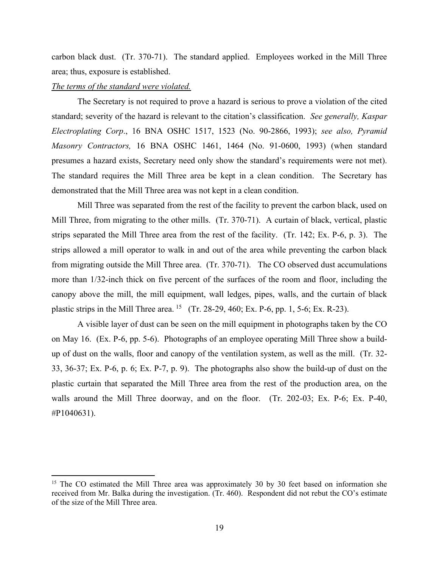carbon black dust. (Tr. 370-71). The standard applied. Employees worked in the Mill Three area; thus, exposure is established.

## *The terms of the standard were violated.*

The Secretary is not required to prove a hazard is serious to prove a violation of the cited standard; severity of the hazard is relevant to the citation's classification. *See generally, Kaspar Electroplating Corp*., 16 BNA OSHC 1517, 1523 (No. 90-2866, 1993); *see also, Pyramid Masonry Contractors,* 16 BNA OSHC 1461, 1464 (No. 91-0600, 1993) (when standard presumes a hazard exists, Secretary need only show the standard's requirements were not met). The standard requires the Mill Three area be kept in a clean condition. The Secretary has demonstrated that the Mill Three area was not kept in a clean condition.

Mill Three was separated from the rest of the facility to prevent the carbon black, used on Mill Three, from migrating to the other mills. (Tr. 370-71). A curtain of black, vertical, plastic strips separated the Mill Three area from the rest of the facility. (Tr. 142; Ex. P-6, p. 3). The strips allowed a mill operator to walk in and out of the area while preventing the carbon black from migrating outside the Mill Three area. (Tr. 370-71). The CO observed dust accumulations more than 1/32-inch thick on five percent of the surfaces of the room and floor, including the canopy above the mill, the mill equipment, wall ledges, pipes, walls, and the curtain of black plastic strips in the Mill Three area. <sup>15</sup> (Tr. 28-29, 460; Ex. P-6, pp. 1, 5-6; Ex. R-23).

A visible layer of dust can be seen on the mill equipment in photographs taken by the CO on May 16. (Ex. P-6, pp. 5-6). Photographs of an employee operating Mill Three show a buildup of dust on the walls, floor and canopy of the ventilation system, as well as the mill. (Tr. 32- 33, 36-37; Ex. P-6, p. 6; Ex. P-7, p. 9). The photographs also show the build-up of dust on the plastic curtain that separated the Mill Three area from the rest of the production area, on the walls around the Mill Three doorway, and on the floor. (Tr. 202-03; Ex. P-6; Ex. P-40, #P1040631).

<span id="page-36-0"></span><sup>&</sup>lt;sup>15</sup> The CO estimated the Mill Three area was approximately 30 by 30 feet based on information she received from Mr. Balka during the investigation. (Tr. 460). Respondent did not rebut the CO's estimate of the size of the Mill Three area.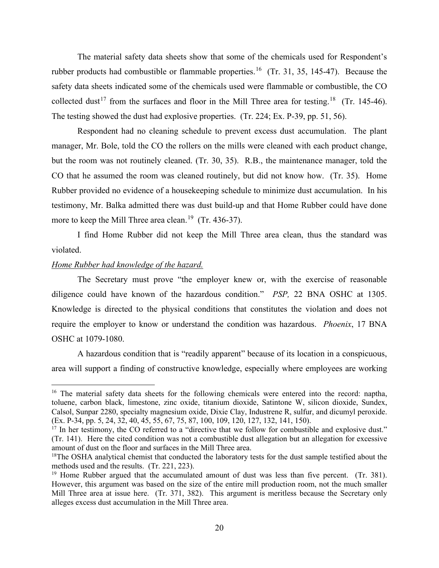The material safety data sheets show that some of the chemicals used for Respondent's rubber products had combustible or flammable properties.<sup>[16](#page-37-0)</sup> (Tr. 31, 35, 145-47). Because the safety data sheets indicated some of the chemicals used were flammable or combustible, the CO collected dust<sup>[17](#page-37-1)</sup> from the surfaces and floor in the Mill Three area for testing.<sup>[18](#page-37-2)</sup> (Tr. 145-46). The testing showed the dust had explosive properties. (Tr. 224; Ex. P-39, pp. 51, 56).

Respondent had no cleaning schedule to prevent excess dust accumulation. The plant manager, Mr. Bole, told the CO the rollers on the mills were cleaned with each product change, but the room was not routinely cleaned. (Tr. 30, 35). R.B., the maintenance manager, told the CO that he assumed the room was cleaned routinely, but did not know how. (Tr. 35). Home Rubber provided no evidence of a housekeeping schedule to minimize dust accumulation. In his testimony, Mr. Balka admitted there was dust build-up and that Home Rubber could have done more to keep the Mill Three area clean.<sup>[19](#page-37-3)</sup> (Tr. 436-37).

I find Home Rubber did not keep the Mill Three area clean, thus the standard was violated.

## *Home Rubber had knowledge of the hazard.*

The Secretary must prove "the employer knew or, with the exercise of reasonable diligence could have known of the hazardous condition." *PSP,* 22 BNA OSHC at 1305. Knowledge is directed to the physical conditions that constitutes the violation and does not require the employer to know or understand the condition was hazardous. *Phoenix*, 17 BNA OSHC at 1079-1080.

A hazardous condition that is "readily apparent" because of its location in a conspicuous, area will support a finding of constructive knowledge, especially where employees are working

<span id="page-37-0"></span><sup>&</sup>lt;sup>16</sup> The material safety data sheets for the following chemicals were entered into the record: naptha, toluene, carbon black, limestone, zinc oxide, titanium dioxide, Satintone W, silicon dioxide, Sundex, Calsol, Sunpar 2280, specialty magnesium oxide, Dixie Clay, Industrene R, sulfur, and dicumyl peroxide. (Ex. P-34, pp. 5, 24, 32, 40, 45, 55, 67, 75, 87, 100, 109, 120, 127, 132, 141, 150).

<span id="page-37-1"></span><sup>&</sup>lt;sup>17</sup> In her testimony, the CO referred to a "directive that we follow for combustible and explosive dust." (Tr. 141). Here the cited condition was not a combustible dust allegation but an allegation for excessive amount of dust on the floor and surfaces in the Mill Three area.<br><sup>18</sup>The OSHA analytical chemist that conducted the laboratory tests for the dust sample testified about the

<span id="page-37-2"></span>methods used and the results. (Tr. 221, 223).

<span id="page-37-3"></span><sup>&</sup>lt;sup>19</sup> Home Rubber argued that the accumulated amount of dust was less than five percent. (Tr. 381). However, this argument was based on the size of the entire mill production room, not the much smaller Mill Three area at issue here. (Tr. 371, 382). This argument is meritless because the Secretary only alleges excess dust accumulation in the Mill Three area.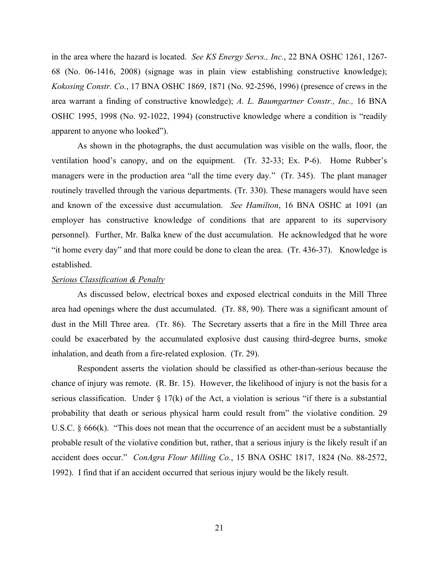in the area where the hazard is located. *See KS Energy Servs., Inc.*, 22 BNA OSHC 1261, 1267- 68 (No. 06-1416, 2008) (signage was in plain view establishing constructive knowledge); *Kokosing Constr. Co.*, 17 BNA OSHC 1869, 1871 (No. 92-2596, 1996) (presence of crews in the area warrant a finding of constructive knowledge); *A. L. Baumgartner Constr., Inc.,* 16 BNA OSHC 1995, 1998 (No. 92-1022, 1994) (constructive knowledge where a condition is "readily apparent to anyone who looked").

As shown in the photographs, the dust accumulation was visible on the walls, floor, the ventilation hood's canopy, and on the equipment. (Tr. 32-33; Ex. P-6). Home Rubber's managers were in the production area "all the time every day." (Tr. 345). The plant manager routinely travelled through the various departments. (Tr. 330). These managers would have seen and known of the excessive dust accumulation. *See Hamilton*, 16 BNA OSHC at 1091 (an employer has constructive knowledge of conditions that are apparent to its supervisory personnel). Further, Mr. Balka knew of the dust accumulation. He acknowledged that he wore "it home every day" and that more could be done to clean the area. (Tr. 436-37). Knowledge is established.

## *Serious Classification & Penalty*

As discussed below, electrical boxes and exposed electrical conduits in the Mill Three area had openings where the dust accumulated. (Tr. 88, 90). There was a significant amount of dust in the Mill Three area. (Tr. 86). The Secretary asserts that a fire in the Mill Three area could be exacerbated by the accumulated explosive dust causing third-degree burns, smoke inhalation, and death from a fire-related explosion. (Tr. 29).

Respondent asserts the violation should be classified as other-than-serious because the chance of injury was remote. (R. Br. 15). However, the likelihood of injury is not the basis for a serious classification. Under  $\S 17(k)$  of the Act, a violation is serious "if there is a substantial probability that death or serious physical harm could result from" the violative condition. 29 U.S.C. § 666(k). "This does not mean that the occurrence of an accident must be a substantially probable result of the violative condition but, rather, that a serious injury is the likely result if an accident does occur." *ConAgra Flour Milling Co.*, 15 BNA OSHC 1817, 1824 (No. 88-2572, 1992). I find that if an accident occurred that serious injury would be the likely result.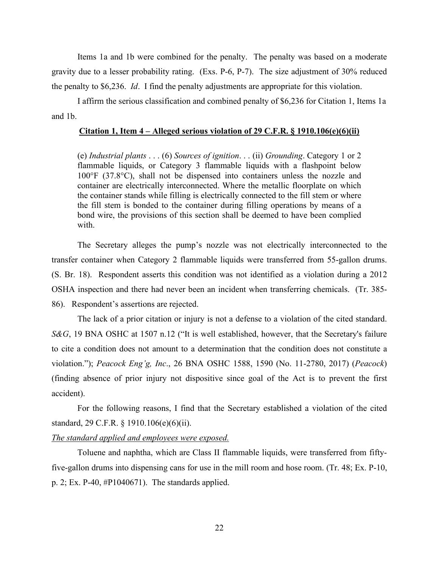Items 1a and 1b were combined for the penalty. The penalty was based on a moderate gravity due to a lesser probability rating. (Exs. P-6, P-7). The size adjustment of 30% reduced the penalty to \$6,236. *Id*. I find the penalty adjustments are appropriate for this violation.

I affirm the serious classification and combined penalty of \$6,236 for Citation 1, Items 1a and 1b.

### **Citation 1, Item 4 – Alleged serious violation of 29 C.F.R. § 1910.106(e)(6)(ii)**

(e) *Industrial plants* . . . (6) *Sources of ignition*. . . (ii) *Grounding*. Category 1 or 2 flammable liquids, or Category 3 flammable liquids with a flashpoint below 100°F (37.8°C), shall not be dispensed into containers unless the nozzle and container are electrically interconnected. Where the metallic floorplate on which the container stands while filling is electrically connected to the fill stem or where the fill stem is bonded to the container during filling operations by means of a bond wire, the provisions of this section shall be deemed to have been complied with.

The Secretary alleges the pump's nozzle was not electrically interconnected to the transfer container when Category 2 flammable liquids were transferred from 55-gallon drums. (S. Br. 18). Respondent asserts this condition was not identified as a violation during a 2012 OSHA inspection and there had never been an incident when transferring chemicals. (Tr. 385- 86). Respondent's assertions are rejected.

The lack of a prior citation or injury is not a defense to a violation of the cited standard. *S&G*, 19 BNA OSHC at 1507 n.12 ("It is well established, however, that the Secretary's failure to cite a condition does not amount to a determination that the condition does not constitute a violation."); *Peacock Eng'g, Inc*., 26 BNA OSHC 1588, 1590 (No. 11-2780, 2017) (*Peacock*) (finding absence of prior injury not dispositive since goal of the Act is to prevent the first accident).

For the following reasons, I find that the Secretary established a violation of the cited standard, 29 C.F.R. § 1910.106(e)(6)(ii).

## *The standard applied and employees were exposed.*

Toluene and naphtha, which are Class II flammable liquids, were transferred from fiftyfive-gallon drums into dispensing cans for use in the mill room and hose room. (Tr. 48; Ex. P-10, p. 2; Ex. P-40, #P1040671). The standards applied.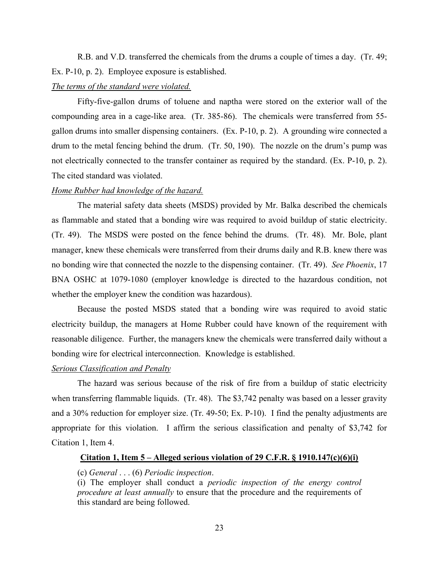R.B. and V.D. transferred the chemicals from the drums a couple of times a day. (Tr. 49; Ex. P-10, p. 2). Employee exposure is established.

## *The terms of the standard were violated.*

Fifty-five-gallon drums of toluene and naptha were stored on the exterior wall of the compounding area in a cage-like area. (Tr. 385-86). The chemicals were transferred from 55 gallon drums into smaller dispensing containers. (Ex. P-10, p. 2). A grounding wire connected a drum to the metal fencing behind the drum. (Tr. 50, 190). The nozzle on the drum's pump was not electrically connected to the transfer container as required by the standard. (Ex. P-10, p. 2). The cited standard was violated.

## *Home Rubber had knowledge of the hazard.*

The material safety data sheets (MSDS) provided by Mr. Balka described the chemicals as flammable and stated that a bonding wire was required to avoid buildup of static electricity. (Tr. 49). The MSDS were posted on the fence behind the drums. (Tr. 48). Mr. Bole, plant manager, knew these chemicals were transferred from their drums daily and R.B. knew there was no bonding wire that connected the nozzle to the dispensing container. (Tr. 49). *See Phoenix*, 17 BNA OSHC at 1079-1080 (employer knowledge is directed to the hazardous condition, not whether the employer knew the condition was hazardous).

Because the posted MSDS stated that a bonding wire was required to avoid static electricity buildup, the managers at Home Rubber could have known of the requirement with reasonable diligence. Further, the managers knew the chemicals were transferred daily without a bonding wire for electrical interconnection. Knowledge is established.

## *Serious Classification and Penalty*

The hazard was serious because of the risk of fire from a buildup of static electricity when transferring flammable liquids. (Tr. 48). The \$3,742 penalty was based on a lesser gravity and a 30% reduction for employer size. (Tr. 49-50; Ex. P-10). I find the penalty adjustments are appropriate for this violation. I affirm the serious classification and penalty of \$3,742 for Citation 1, Item 4.

## **Citation 1, Item 5 – Alleged serious violation of 29 C.F.R. § 1910.147(c)(6)(i)**

## (c) *General* . . . (6) *Periodic inspection*.

(i) The employer shall conduct a *periodic inspection of the energy control procedure at least annually* to ensure that the procedure and the requirements of this standard are being followed.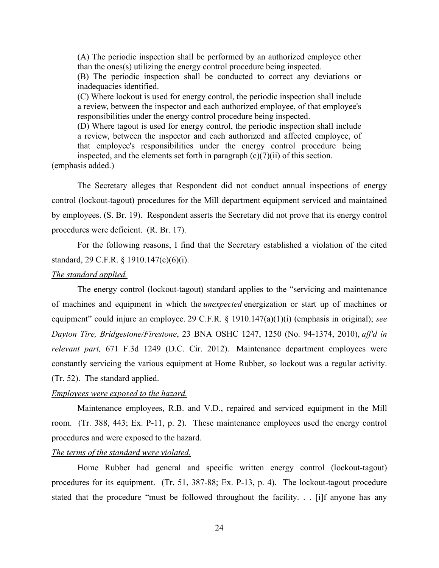(A) The periodic inspection shall be performed by an authorized employee other than the ones(s) utilizing the energy control procedure being inspected.

(B) The periodic inspection shall be conducted to correct any deviations or inadequacies identified.

(C) Where lockout is used for energy control, the periodic inspection shall include a review, between the inspector and each authorized employee, of that employee's responsibilities under the energy control procedure being inspected.

(D) Where tagout is used for energy control, the periodic inspection shall include a review, between the inspector and each authorized and affected employee, of that employee's responsibilities under the energy control procedure being inspected, and the elements set forth in paragraph  $(c)(7)(ii)$  of this section.

(emphasis added.)

The Secretary alleges that Respondent did not conduct annual inspections of energy control (lockout-tagout) procedures for the Mill department equipment serviced and maintained by employees. (S. Br. 19). Respondent asserts the Secretary did not prove that its energy control procedures were deficient. (R. Br. 17).

For the following reasons, I find that the Secretary established a violation of the cited standard, 29 C.F.R. § 1910.147(c)(6)(i).

#### *The standard applied.*

The energy control (lockout-tagout) standard applies to the "servicing and maintenance of machines and equipment in which the *unexpected* energization or start up of machines or equipment" could injure an employee. 29 C.F.R. § 1910.147(a)(1)(i) (emphasis in original); *see Dayton Tire, Bridgestone/Firestone*, 23 BNA OSHC 1247, 1250 (No. 94-1374, 2010), *aff'd in relevant part,* 671 F.3d 1249 (D.C. Cir. 2012). Maintenance department employees were constantly servicing the various equipment at Home Rubber, so lockout was a regular activity. (Tr. 52). The standard applied.

#### *Employees were exposed to the hazard.*

Maintenance employees, R.B. and V.D., repaired and serviced equipment in the Mill room. (Tr. 388, 443; Ex. P-11, p. 2). These maintenance employees used the energy control procedures and were exposed to the hazard.

#### *The terms of the standard were violated.*

Home Rubber had general and specific written energy control (lockout-tagout) procedures for its equipment. (Tr. 51, 387-88; Ex. P-13, p. 4). The lockout-tagout procedure stated that the procedure "must be followed throughout the facility. . . [i]f anyone has any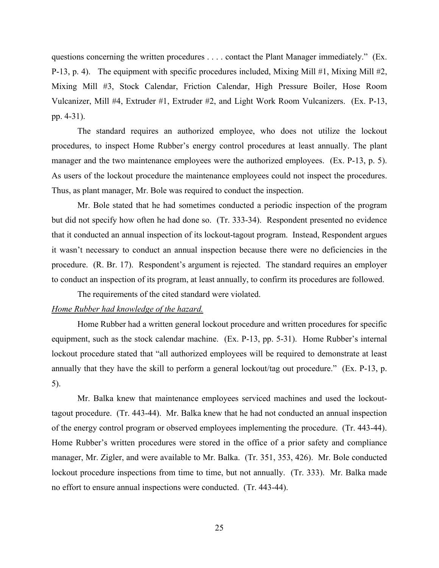questions concerning the written procedures . . . . contact the Plant Manager immediately." (Ex. P-13, p. 4). The equipment with specific procedures included, Mixing Mill  $\#1$ , Mixing Mill  $\#2$ , Mixing Mill #3, Stock Calendar, Friction Calendar, High Pressure Boiler, Hose Room Vulcanizer, Mill #4, Extruder #1, Extruder #2, and Light Work Room Vulcanizers. (Ex. P-13, pp. 4-31).

The standard requires an authorized employee, who does not utilize the lockout procedures, to inspect Home Rubber's energy control procedures at least annually. The plant manager and the two maintenance employees were the authorized employees. (Ex. P-13, p. 5). As users of the lockout procedure the maintenance employees could not inspect the procedures. Thus, as plant manager, Mr. Bole was required to conduct the inspection.

Mr. Bole stated that he had sometimes conducted a periodic inspection of the program but did not specify how often he had done so. (Tr. 333-34). Respondent presented no evidence that it conducted an annual inspection of its lockout-tagout program. Instead, Respondent argues it wasn't necessary to conduct an annual inspection because there were no deficiencies in the procedure. (R. Br. 17). Respondent's argument is rejected. The standard requires an employer to conduct an inspection of its program, at least annually, to confirm its procedures are followed.

The requirements of the cited standard were violated.

## *Home Rubber had knowledge of the hazard.*

 Home Rubber had a written general lockout procedure and written procedures for specific equipment, such as the stock calendar machine. (Ex. P-13, pp. 5-31). Home Rubber's internal lockout procedure stated that "all authorized employees will be required to demonstrate at least annually that they have the skill to perform a general lockout/tag out procedure." (Ex. P-13, p. 5).

Mr. Balka knew that maintenance employees serviced machines and used the lockouttagout procedure. (Tr. 443-44). Mr. Balka knew that he had not conducted an annual inspection of the energy control program or observed employees implementing the procedure. (Tr. 443-44). Home Rubber's written procedures were stored in the office of a prior safety and compliance manager, Mr. Zigler, and were available to Mr. Balka. (Tr. 351, 353, 426). Mr. Bole conducted lockout procedure inspections from time to time, but not annually. (Tr. 333). Mr. Balka made no effort to ensure annual inspections were conducted. (Tr. 443-44).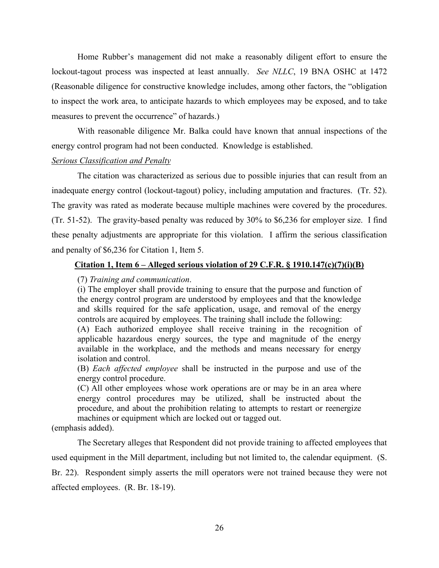Home Rubber's management did not make a reasonably diligent effort to ensure the lockout-tagout process was inspected at least annually. *See NLLC*, 19 BNA OSHC at 1472 (Reasonable diligence for constructive knowledge includes, among other factors, the "obligation to inspect the work area, to anticipate hazards to which employees may be exposed, and to take measures to prevent the occurrence" of hazards.)

 With reasonable diligence Mr. Balka could have known that annual inspections of the energy control program had not been conducted. Knowledge is established.

#### *Serious Classification and Penalty*

The citation was characterized as serious due to possible injuries that can result from an inadequate energy control (lockout-tagout) policy, including amputation and fractures. (Tr. 52). The gravity was rated as moderate because multiple machines were covered by the procedures. (Tr. 51-52). The gravity-based penalty was reduced by 30% to \$6,236 for employer size. I find these penalty adjustments are appropriate for this violation. I affirm the serious classification and penalty of \$6,236 for Citation 1, Item 5.

## **Citation 1, Item 6 – Alleged serious violation of 29 C.F.R. § 1910.147(c)(7)(i)(B)**

## (7) *Training and communication*.

(i) The employer shall provide training to ensure that the purpose and function of the energy control program are understood by employees and that the knowledge and skills required for the safe application, usage, and removal of the energy controls are acquired by employees. The training shall include the following:

(A) Each authorized employee shall receive training in the recognition of applicable hazardous energy sources, the type and magnitude of the energy available in the workplace, and the methods and means necessary for energy isolation and control.

(B) *Each affected employee* shall be instructed in the purpose and use of the energy control procedure.

(C) All other employees whose work operations are or may be in an area where energy control procedures may be utilized, shall be instructed about the procedure, and about the prohibition relating to attempts to restart or reenergize machines or equipment which are locked out or tagged out.

(emphasis added).

The Secretary alleges that Respondent did not provide training to affected employees that used equipment in the Mill department, including but not limited to, the calendar equipment. (S. Br. 22). Respondent simply asserts the mill operators were not trained because they were not affected employees. (R. Br. 18-19).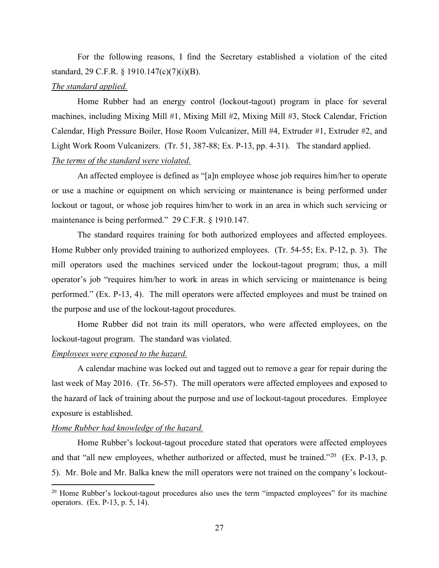For the following reasons, I find the Secretary established a violation of the cited standard, 29 C.F.R. § 1910.147(c)(7)(i)(B).

## *The standard applied.*

Home Rubber had an energy control (lockout-tagout) program in place for several machines, including Mixing Mill #1, Mixing Mill #2, Mixing Mill #3, Stock Calendar, Friction Calendar, High Pressure Boiler, Hose Room Vulcanizer, Mill #4, Extruder #1, Extruder #2, and Light Work Room Vulcanizers. (Tr. 51, 387-88; Ex. P-13, pp. 4-31). The standard applied. *The terms of the standard were violated.*

An affected employee is defined as "[a]n employee whose job requires him/her to operate or use a machine or equipment on which servicing or maintenance is being performed under lockout or tagout, or whose job requires him/her to work in an area in which such servicing or maintenance is being performed." 29 C.F.R. § 1910.147.

The standard requires training for both authorized employees and affected employees. Home Rubber only provided training to authorized employees. (Tr. 54-55; Ex. P-12, p. 3). The mill operators used the machines serviced under the lockout-tagout program; thus, a mill operator's job "requires him/her to work in areas in which servicing or maintenance is being performed." (Ex. P-13, 4). The mill operators were affected employees and must be trained on the purpose and use of the lockout-tagout procedures.

Home Rubber did not train its mill operators, who were affected employees, on the lockout-tagout program. The standard was violated.

## *Employees were exposed to the hazard.*

A calendar machine was locked out and tagged out to remove a gear for repair during the last week of May 2016. (Tr. 56-57). The mill operators were affected employees and exposed to the hazard of lack of training about the purpose and use of lockout-tagout procedures. Employee exposure is established.

#### *Home Rubber had knowledge of the hazard.*

Home Rubber's lockout-tagout procedure stated that operators were affected employees and that "all new employees, whether authorized or affected, must be trained."<sup>[20](#page-44-0)</sup> (Ex. P-13, p. 5). Mr. Bole and Mr. Balka knew the mill operators were not trained on the company's lockout-

<span id="page-44-0"></span><sup>&</sup>lt;sup>20</sup> Home Rubber's lockout-tagout procedures also uses the term "impacted employees" for its machine operators. (Ex. P-13, p. 5, 14).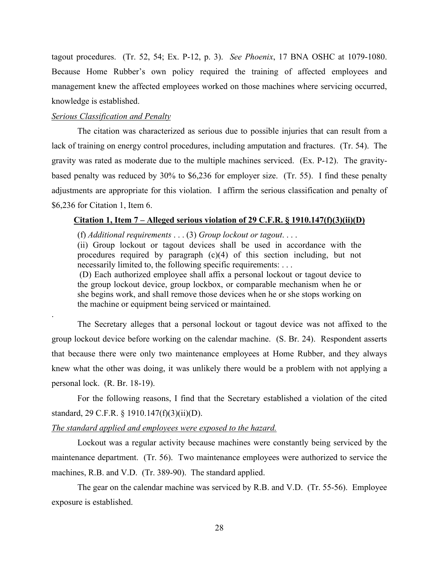tagout procedures. (Tr. 52, 54; Ex. P-12, p. 3). *See Phoenix*, 17 BNA OSHC at 1079-1080. Because Home Rubber's own policy required the training of affected employees and management knew the affected employees worked on those machines where servicing occurred, knowledge is established.

## *Serious Classification and Penalty*

.

The citation was characterized as serious due to possible injuries that can result from a lack of training on energy control procedures, including amputation and fractures. (Tr. 54). The gravity was rated as moderate due to the multiple machines serviced. (Ex. P-12). The gravitybased penalty was reduced by 30% to \$6,236 for employer size. (Tr. 55). I find these penalty adjustments are appropriate for this violation. I affirm the serious classification and penalty of \$6,236 for Citation 1, Item 6.

### **Citation 1, Item 7 – Alleged serious violation of 29 C.F.R. § 1910.147(f)(3)(ii)(D)**

(f) *Additional requirements* . . . (3) *Group lockout or tagout*. . . .

(ii) Group lockout or tagout devices shall be used in accordance with the procedures required by paragraph (c)(4) of this section including, but not necessarily limited to, the following specific requirements: . . .

(D) Each authorized employee shall affix a personal lockout or tagout device to the group lockout device, group lockbox, or comparable mechanism when he or she begins work, and shall remove those devices when he or she stops working on the machine or equipment being serviced or maintained.

The Secretary alleges that a personal lockout or tagout device was not affixed to the group lockout device before working on the calendar machine. (S. Br. 24). Respondent asserts that because there were only two maintenance employees at Home Rubber, and they always knew what the other was doing, it was unlikely there would be a problem with not applying a personal lock. (R. Br. 18-19).

For the following reasons, I find that the Secretary established a violation of the cited standard, 29 C.F.R. § 1910.147(f)(3)(ii)(D).

## *The standard applied and employees were exposed to the hazard.*

Lockout was a regular activity because machines were constantly being serviced by the maintenance department. (Tr. 56). Two maintenance employees were authorized to service the machines, R.B. and V.D. (Tr. 389-90). The standard applied.

The gear on the calendar machine was serviced by R.B. and V.D. (Tr. 55-56). Employee exposure is established.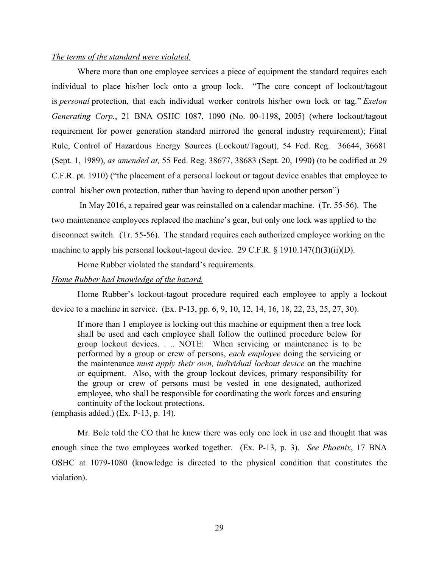## *The terms of the standard were violated.*

Where more than one employee services a piece of equipment the standard requires each individual to place his/her lock onto a group lock. "The core concept of lockout/tagout is *personal* protection, that each individual worker controls his/her own lock or tag." *Exelon Generating Corp.*, 21 BNA OSHC 1087, 1090 (No. 00-1198, 2005) (where lockout/tagout requirement for power generation standard mirrored the general industry requirement); Final Rule, Control of Hazardous Energy Sources (Lockout/Tagout), 54 Fed. Reg. 36644, 36681 (Sept. 1, 1989), *as amended at,* 55 Fed. Reg. 38677, 38683 (Sept. 20, 1990) (to be codified at 29 C.F.R. pt. 1910) ("the placement of a personal lockout or tagout device enables that employee to control his/her own protection, rather than having to depend upon another person")

 In May 2016, a repaired gear was reinstalled on a calendar machine. (Tr. 55-56). The two maintenance employees replaced the machine's gear, but only one lock was applied to the disconnect switch. (Tr. 55-56). The standard requires each authorized employee working on the machine to apply his personal lockout-tagout device. 29 C.F.R. § 1910.147(f)(3)(ii)(D).

Home Rubber violated the standard's requirements.

## *Home Rubber had knowledge of the hazard.*

Home Rubber's lockout-tagout procedure required each employee to apply a lockout device to a machine in service. (Ex. P-13, pp. 6, 9, 10, 12, 14, 16, 18, 22, 23, 25, 27, 30).

If more than 1 employee is locking out this machine or equipment then a tree lock shall be used and each employee shall follow the outlined procedure below for group lockout devices. . .. NOTE: When servicing or maintenance is to be performed by a group or crew of persons, *each employee* doing the servicing or the maintenance *must apply their own, individual lockout device* on the machine or equipment. Also, with the group lockout devices, primary responsibility for the group or crew of persons must be vested in one designated, authorized employee, who shall be responsible for coordinating the work forces and ensuring continuity of the lockout protections.

(emphasis added.) (Ex. P-13, p. 14).

 Mr. Bole told the CO that he knew there was only one lock in use and thought that was enough since the two employees worked together. (Ex. P-13, p. 3). *See Phoenix*, 17 BNA OSHC at 1079-1080 (knowledge is directed to the physical condition that constitutes the violation).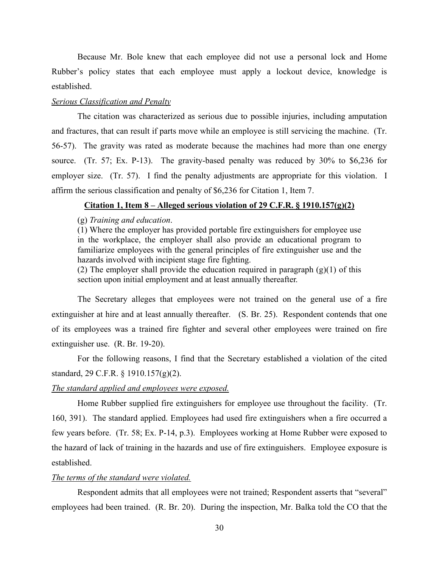Because Mr. Bole knew that each employee did not use a personal lock and Home Rubber's policy states that each employee must apply a lockout device, knowledge is established.

## *Serious Classification and Penalty*

The citation was characterized as serious due to possible injuries, including amputation and fractures, that can result if parts move while an employee is still servicing the machine. (Tr. 56-57). The gravity was rated as moderate because the machines had more than one energy source. (Tr. 57; Ex. P-13). The gravity-based penalty was reduced by 30% to \$6,236 for employer size. (Tr. 57). I find the penalty adjustments are appropriate for this violation. I affirm the serious classification and penalty of \$6,236 for Citation 1, Item 7.

## **Citation 1, Item 8 – Alleged serious violation of 29 C.F.R. § 1910.157(g)(2)**

### (g) *Training and education*.

(1) Where the employer has provided portable fire extinguishers for employee use in the workplace, the employer shall also provide an educational program to familiarize employees with the general principles of fire extinguisher use and the hazards involved with incipient stage fire fighting.

(2) The employer shall provide the education required in paragraph  $(g)(1)$  of this section upon initial employment and at least annually thereafter.

The Secretary alleges that employees were not trained on the general use of a fire extinguisher at hire and at least annually thereafter. (S. Br. 25). Respondent contends that one of its employees was a trained fire fighter and several other employees were trained on fire extinguisher use. (R. Br. 19-20).

For the following reasons, I find that the Secretary established a violation of the cited standard, 29 C.F.R. § 1910.157(g)(2).

#### *The standard applied and employees were exposed.*

Home Rubber supplied fire extinguishers for employee use throughout the facility. (Tr. 160, 391). The standard applied. Employees had used fire extinguishers when a fire occurred a few years before. (Tr. 58; Ex. P-14, p.3). Employees working at Home Rubber were exposed to the hazard of lack of training in the hazards and use of fire extinguishers. Employee exposure is established.

#### *The terms of the standard were violated.*

Respondent admits that all employees were not trained; Respondent asserts that "several" employees had been trained. (R. Br. 20). During the inspection, Mr. Balka told the CO that the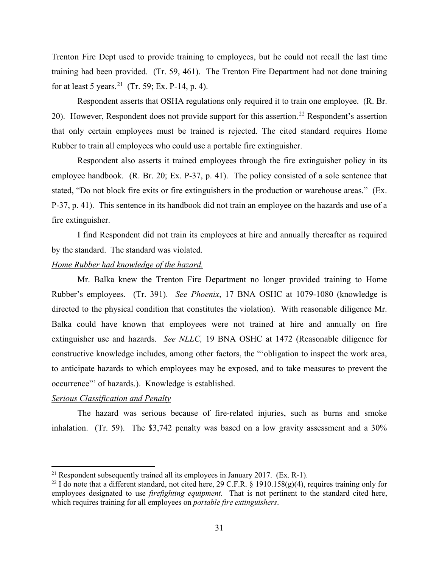Trenton Fire Dept used to provide training to employees, but he could not recall the last time training had been provided. (Tr. 59, 461). The Trenton Fire Department had not done training for at least 5 years.<sup>21</sup> (Tr. 59; Ex. P-14, p. 4).

Respondent asserts that OSHA regulations only required it to train one employee. (R. Br. 20). However, Respondent does not provide support for this assertion.<sup>[22](#page-48-1)</sup> Respondent's assertion that only certain employees must be trained is rejected. The cited standard requires Home Rubber to train all employees who could use a portable fire extinguisher.

 Respondent also asserts it trained employees through the fire extinguisher policy in its employee handbook. (R. Br. 20; Ex. P-37, p. 41). The policy consisted of a sole sentence that stated, "Do not block fire exits or fire extinguishers in the production or warehouse areas." (Ex. P-37, p. 41). This sentence in its handbook did not train an employee on the hazards and use of a fire extinguisher.

 I find Respondent did not train its employees at hire and annually thereafter as required by the standard. The standard was violated.

## *Home Rubber had knowledge of the hazard.*

Mr. Balka knew the Trenton Fire Department no longer provided training to Home Rubber's employees. (Tr. 391). *See Phoenix*, 17 BNA OSHC at 1079-1080 (knowledge is directed to the physical condition that constitutes the violation). With reasonable diligence Mr. Balka could have known that employees were not trained at hire and annually on fire extinguisher use and hazards. *See NLLC,* 19 BNA OSHC at 1472 (Reasonable diligence for constructive knowledge includes, among other factors, the "'obligation to inspect the work area, to anticipate hazards to which employees may be exposed, and to take measures to prevent the occurrence"' of hazards.). Knowledge is established.

## *Serious Classification and Penalty*

The hazard was serious because of fire-related injuries, such as burns and smoke inhalation. (Tr. 59). The \$3,742 penalty was based on a low gravity assessment and a 30%

<span id="page-48-0"></span><sup>&</sup>lt;sup>21</sup> Respondent subsequently trained all its employees in January 2017. (Ex. R-1).

<span id="page-48-1"></span><sup>&</sup>lt;sup>22</sup> I do note that a different standard, not cited here, 29 C.F.R. § 1910.158(g)(4), requires training only for employees designated to use *firefighting equipment*. That is not pertinent to the standard cited here, which requires training for all employees on *portable fire extinguishers*.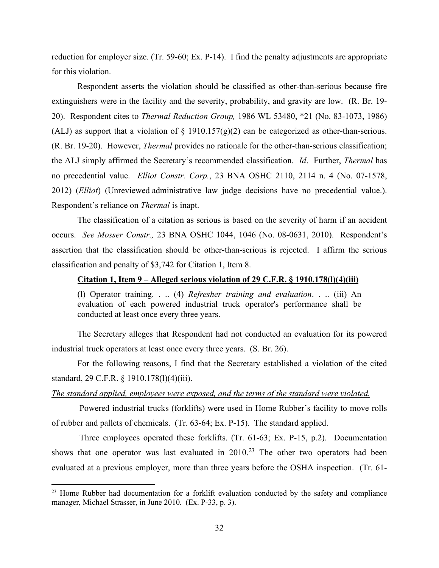reduction for employer size. (Tr. 59-60; Ex. P-14). I find the penalty adjustments are appropriate for this violation.

 Respondent asserts the violation should be classified as other-than-serious because fire extinguishers were in the facility and the severity, probability, and gravity are low. (R. Br. 19- 20). Respondent cites to *Thermal Reduction Group,* 1986 WL 53480, \*21 (No. 83-1073, 1986) (ALJ) as support that a violation of  $\S$  1910.157(g)(2) can be categorized as other-than-serious. (R. Br. 19-20). However, *Thermal* provides no rationale for the other-than-serious classification; the ALJ simply affirmed the Secretary's recommended classification. *Id*. Further, *Thermal* has no precedential value. *Elliot Constr. Corp.*, 23 BNA OSHC 2110, 2114 n. 4 (No. 07-1578, 2012) (*Elliot*) (Unreviewed administrative law judge decisions have no precedential value.). Respondent's reliance on *Thermal* is inapt.

The classification of a citation as serious is based on the severity of harm if an accident occurs. *See Mosser Constr.,* 23 BNA OSHC 1044, 1046 (No. 08-0631, 2010). Respondent's assertion that the classification should be other-than-serious is rejected. I affirm the serious classification and penalty of \$3,742 for Citation 1, Item 8.

### **Citation 1, Item 9 – Alleged serious violation of 29 C.F.R. § 1910.178(l)(4)(iii)**

(l) Operator training. . .. (4) *Refresher training and evaluation*. . .. (iii) An evaluation of each powered industrial truck operator's performance shall be conducted at least once every three years.

The Secretary alleges that Respondent had not conducted an evaluation for its powered industrial truck operators at least once every three years. (S. Br. 26).

For the following reasons, I find that the Secretary established a violation of the cited standard, 29 C.F.R. § 1910.178(l)(4)(iii).

#### *The standard applied, employees were exposed, and the terms of the standard were violated.*

 Powered industrial trucks (forklifts) were used in Home Rubber's facility to move rolls of rubber and pallets of chemicals. (Tr. 63-64; Ex. P-15). The standard applied.

 Three employees operated these forklifts. (Tr. 61-63; Ex. P-15, p.2). Documentation shows that one operator was last evaluated in  $2010<sup>23</sup>$  $2010<sup>23</sup>$  $2010<sup>23</sup>$  The other two operators had been evaluated at a previous employer, more than three years before the OSHA inspection. (Tr. 61-

<span id="page-49-0"></span><sup>&</sup>lt;sup>23</sup> Home Rubber had documentation for a forklift evaluation conducted by the safety and compliance manager, Michael Strasser, in June 2010. (Ex. P-33, p. 3).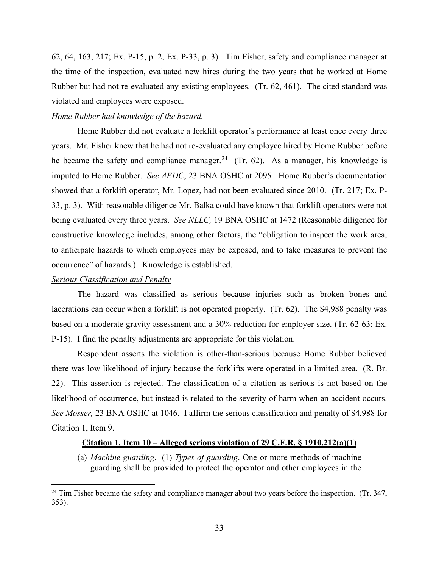62, 64, 163, 217; Ex. P-15, p. 2; Ex. P-33, p. 3). Tim Fisher, safety and compliance manager at the time of the inspection, evaluated new hires during the two years that he worked at Home Rubber but had not re-evaluated any existing employees. (Tr. 62, 461). The cited standard was violated and employees were exposed.

### *Home Rubber had knowledge of the hazard.*

Home Rubber did not evaluate a forklift operator's performance at least once every three years. Mr. Fisher knew that he had not re-evaluated any employee hired by Home Rubber before he became the safety and compliance manager.<sup>24</sup> (Tr. 62). As a manager, his knowledge is imputed to Home Rubber. *See AEDC*, 23 BNA OSHC at 2095*.* Home Rubber's documentation showed that a forklift operator, Mr. Lopez, had not been evaluated since 2010. (Tr. 217; Ex. P-33, p. 3). With reasonable diligence Mr. Balka could have known that forklift operators were not being evaluated every three years. *See NLLC,* 19 BNA OSHC at 1472 (Reasonable diligence for constructive knowledge includes, among other factors, the "obligation to inspect the work area, to anticipate hazards to which employees may be exposed, and to take measures to prevent the occurrence" of hazards.). Knowledge is established.

## *Serious Classification and Penalty*

The hazard was classified as serious because injuries such as broken bones and lacerations can occur when a forklift is not operated properly. (Tr. 62). The \$4,988 penalty was based on a moderate gravity assessment and a 30% reduction for employer size. (Tr. 62-63; Ex. P-15). I find the penalty adjustments are appropriate for this violation.

 Respondent asserts the violation is other-than-serious because Home Rubber believed there was low likelihood of injury because the forklifts were operated in a limited area. (R. Br. 22). This assertion is rejected. The classification of a citation as serious is not based on the likelihood of occurrence, but instead is related to the severity of harm when an accident occurs. *See Mosser,* 23 BNA OSHC at 1046. I affirm the serious classification and penalty of \$4,988 for Citation 1, Item 9.

## **Citation 1, Item 10 – Alleged serious violation of 29 C.F.R. § 1910.212(a)(1)**

(a) *Machine guarding*. (1) *Types of guarding*. One or more methods of machine guarding shall be provided to protect the operator and other employees in the

<span id="page-50-0"></span> $24$  Tim Fisher became the safety and compliance manager about two years before the inspection. (Tr. 347, 353).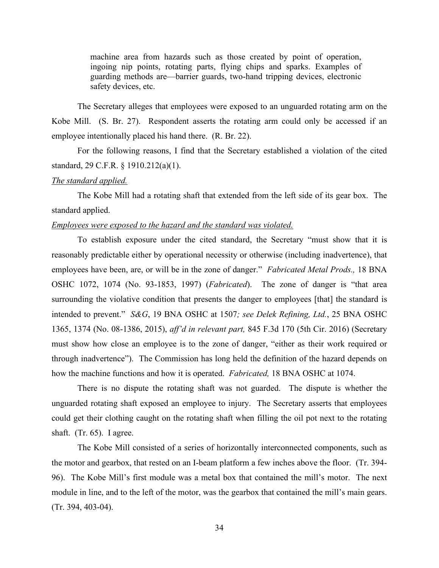machine area from hazards such as those created by point of operation, ingoing nip points, rotating parts, flying chips and sparks. Examples of guarding methods are—barrier guards, two-hand tripping devices, electronic safety devices, etc.

The Secretary alleges that employees were exposed to an unguarded rotating arm on the Kobe Mill. (S. Br. 27). Respondent asserts the rotating arm could only be accessed if an employee intentionally placed his hand there. (R. Br. 22).

For the following reasons, I find that the Secretary established a violation of the cited standard, 29 C.F.R. § 1910.212(a)(1).

#### *The standard applied.*

The Kobe Mill had a rotating shaft that extended from the left side of its gear box. The standard applied.

## *Employees were exposed to the hazard and the standard was violated.*

To establish exposure under the cited standard, the Secretary "must show that it is reasonably predictable either by operational necessity or otherwise (including inadvertence), that employees have been, are, or will be in the zone of danger." *Fabricated Metal Prods.,* 18 BNA OSHC 1072, 1074 (No. 93-1853, 1997) (*Fabricated*). The zone of danger is "that area surrounding the violative condition that presents the danger to employees [that] the standard is intended to prevent." *S&G*, 19 BNA OSHC at 1507*; see Delek Refining, Ltd.*, 25 BNA OSHC 1365, 1374 (No. 08-1386, 2015), *aff'd in relevant part,* 845 F.3d 170 (5th Cir. 2016) (Secretary must show how close an employee is to the zone of danger, "either as their work required or through inadvertence"). The Commission has long held the definition of the hazard depends on how the machine functions and how it is operated. *Fabricated,* 18 BNA OSHC at 1074.

There is no dispute the rotating shaft was not guarded. The dispute is whether the unguarded rotating shaft exposed an employee to injury. The Secretary asserts that employees could get their clothing caught on the rotating shaft when filling the oil pot next to the rotating shaft. (Tr. 65). I agree.

 The Kobe Mill consisted of a series of horizontally interconnected components, such as the motor and gearbox, that rested on an I-beam platform a few inches above the floor. (Tr. 394- 96). The Kobe Mill's first module was a metal box that contained the mill's motor. The next module in line, and to the left of the motor, was the gearbox that contained the mill's main gears. (Tr. 394, 403-04).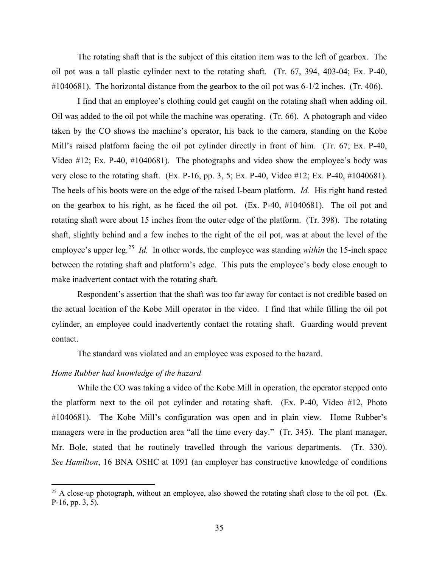The rotating shaft that is the subject of this citation item was to the left of gearbox. The oil pot was a tall plastic cylinder next to the rotating shaft. (Tr. 67, 394, 403-04; Ex. P-40, #1040681). The horizontal distance from the gearbox to the oil pot was 6-1/2 inches. (Tr. 406).

I find that an employee's clothing could get caught on the rotating shaft when adding oil. Oil was added to the oil pot while the machine was operating. (Tr. 66). A photograph and video taken by the CO shows the machine's operator, his back to the camera, standing on the Kobe Mill's raised platform facing the oil pot cylinder directly in front of him. (Tr. 67; Ex. P-40, Video #12; Ex. P-40, #1040681). The photographs and video show the employee's body was very close to the rotating shaft. (Ex. P-16, pp. 3, 5; Ex. P-40, Video #12; Ex. P-40, #1040681). The heels of his boots were on the edge of the raised I-beam platform. *Id.* His right hand rested on the gearbox to his right, as he faced the oil pot. (Ex. P-40, #1040681). The oil pot and rotating shaft were about 15 inches from the outer edge of the platform. (Tr. 398). The rotating shaft, slightly behind and a few inches to the right of the oil pot, was at about the level of the employee's upper leg.<sup>[25](#page-52-0)</sup> *Id.* In other words, the employee was standing *within* the 15-inch space between the rotating shaft and platform's edge. This puts the employee's body close enough to make inadvertent contact with the rotating shaft.

Respondent's assertion that the shaft was too far away for contact is not credible based on the actual location of the Kobe Mill operator in the video. I find that while filling the oil pot cylinder, an employee could inadvertently contact the rotating shaft. Guarding would prevent contact.

The standard was violated and an employee was exposed to the hazard.

#### *Home Rubber had knowledge of the hazard*

While the CO was taking a video of the Kobe Mill in operation, the operator stepped onto the platform next to the oil pot cylinder and rotating shaft. (Ex. P-40, Video #12, Photo #1040681). The Kobe Mill's configuration was open and in plain view. Home Rubber's managers were in the production area "all the time every day." (Tr. 345). The plant manager, Mr. Bole, stated that he routinely travelled through the various departments. (Tr. 330). *See Hamilton*, 16 BNA OSHC at 1091 (an employer has constructive knowledge of conditions

<span id="page-52-0"></span> $25$  A close-up photograph, without an employee, also showed the rotating shaft close to the oil pot. (Ex. P-16, pp. 3, 5).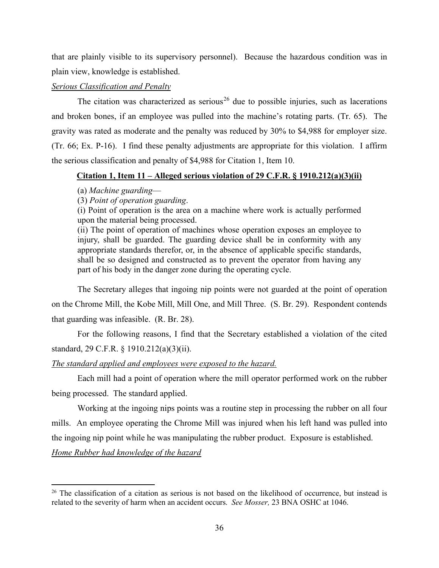that are plainly visible to its supervisory personnel). Because the hazardous condition was in plain view, knowledge is established.

## *Serious Classification and Penalty*

The citation was characterized as serious<sup>[26](#page-53-0)</sup> due to possible injuries, such as lacerations and broken bones, if an employee was pulled into the machine's rotating parts. (Tr. 65). The gravity was rated as moderate and the penalty was reduced by 30% to \$4,988 for employer size. (Tr. 66; Ex. P-16). I find these penalty adjustments are appropriate for this violation. I affirm the serious classification and penalty of \$4,988 for Citation 1, Item 10.

## **Citation 1, Item 11 – Alleged serious violation of 29 C.F.R. § 1910.212(a)(3)(ii)**

### (a) *Machine guarding*—

(3) *Point of operation guarding*.

(i) Point of operation is the area on a machine where work is actually performed upon the material being processed.

(ii) The point of operation of machines whose operation exposes an employee to injury, shall be guarded. The guarding device shall be in conformity with any appropriate standards therefor, or, in the absence of applicable specific standards, shall be so designed and constructed as to prevent the operator from having any part of his body in the danger zone during the operating cycle.

The Secretary alleges that ingoing nip points were not guarded at the point of operation on the Chrome Mill, the Kobe Mill, Mill One, and Mill Three. (S. Br. 29). Respondent contends that guarding was infeasible. (R. Br. 28).

For the following reasons, I find that the Secretary established a violation of the cited standard, 29 C.F.R. § 1910.212(a)(3)(ii).

## *The standard applied and employees were exposed to the hazard.*

Each mill had a point of operation where the mill operator performed work on the rubber being processed. The standard applied.

Working at the ingoing nips points was a routine step in processing the rubber on all four mills. An employee operating the Chrome Mill was injured when his left hand was pulled into the ingoing nip point while he was manipulating the rubber product. Exposure is established.

## *Home Rubber had knowledge of the hazard*

<span id="page-53-0"></span> $26$  The classification of a citation as serious is not based on the likelihood of occurrence, but instead is related to the severity of harm when an accident occurs. *See Mosser,* 23 BNA OSHC at 1046.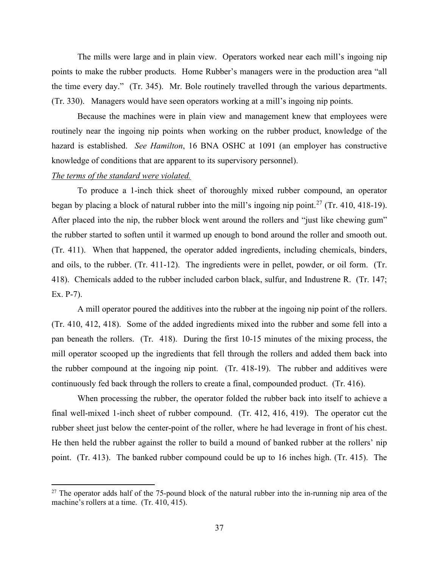The mills were large and in plain view. Operators worked near each mill's ingoing nip points to make the rubber products. Home Rubber's managers were in the production area "all the time every day." (Tr. 345). Mr. Bole routinely travelled through the various departments. (Tr. 330). Managers would have seen operators working at a mill's ingoing nip points.

Because the machines were in plain view and management knew that employees were routinely near the ingoing nip points when working on the rubber product, knowledge of the hazard is established. *See Hamilton*, 16 BNA OSHC at 1091 (an employer has constructive knowledge of conditions that are apparent to its supervisory personnel).

## *The terms of the standard were violated.*

To produce a 1-inch thick sheet of thoroughly mixed rubber compound, an operator began by placing a block of natural rubber into the mill's ingoing nip point.<sup>[27](#page-54-0)</sup> (Tr. 410, 418-19). After placed into the nip, the rubber block went around the rollers and "just like chewing gum" the rubber started to soften until it warmed up enough to bond around the roller and smooth out. (Tr. 411). When that happened, the operator added ingredients, including chemicals, binders, and oils, to the rubber. (Tr. 411-12). The ingredients were in pellet, powder, or oil form. (Tr. 418). Chemicals added to the rubber included carbon black, sulfur, and Industrene R. (Tr. 147; Ex. P-7).

A mill operator poured the additives into the rubber at the ingoing nip point of the rollers. (Tr. 410, 412, 418). Some of the added ingredients mixed into the rubber and some fell into a pan beneath the rollers. (Tr. 418). During the first 10-15 minutes of the mixing process, the mill operator scooped up the ingredients that fell through the rollers and added them back into the rubber compound at the ingoing nip point. (Tr. 418-19). The rubber and additives were continuously fed back through the rollers to create a final, compounded product. (Tr. 416).

When processing the rubber, the operator folded the rubber back into itself to achieve a final well-mixed 1-inch sheet of rubber compound. (Tr. 412, 416, 419). The operator cut the rubber sheet just below the center-point of the roller, where he had leverage in front of his chest. He then held the rubber against the roller to build a mound of banked rubber at the rollers' nip point. (Tr. 413). The banked rubber compound could be up to 16 inches high. (Tr. 415). The

<span id="page-54-0"></span> $27$  The operator adds half of the 75-pound block of the natural rubber into the in-running nip area of the machine's rollers at a time. (Tr. 410, 415).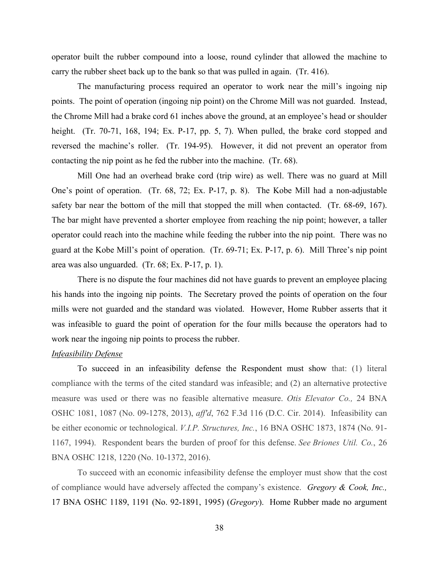operator built the rubber compound into a loose, round cylinder that allowed the machine to carry the rubber sheet back up to the bank so that was pulled in again. (Tr. 416).

The manufacturing process required an operator to work near the mill's ingoing nip points. The point of operation (ingoing nip point) on the Chrome Mill was not guarded. Instead, the Chrome Mill had a brake cord 61 inches above the ground, at an employee's head or shoulder height. (Tr. 70-71, 168, 194; Ex. P-17, pp. 5, 7). When pulled, the brake cord stopped and reversed the machine's roller. (Tr. 194-95). However, it did not prevent an operator from contacting the nip point as he fed the rubber into the machine. (Tr. 68).

Mill One had an overhead brake cord (trip wire) as well. There was no guard at Mill One's point of operation. (Tr. 68, 72; Ex. P-17, p. 8). The Kobe Mill had a non-adjustable safety bar near the bottom of the mill that stopped the mill when contacted. (Tr. 68-69, 167). The bar might have prevented a shorter employee from reaching the nip point; however, a taller operator could reach into the machine while feeding the rubber into the nip point. There was no guard at the Kobe Mill's point of operation. (Tr. 69-71; Ex. P-17, p. 6). Mill Three's nip point area was also unguarded. (Tr. 68; Ex. P-17, p. 1).

There is no dispute the four machines did not have guards to prevent an employee placing his hands into the ingoing nip points. The Secretary proved the points of operation on the four mills were not guarded and the standard was violated. However, Home Rubber asserts that it was infeasible to guard the point of operation for the four mills because the operators had to work near the ingoing nip points to process the rubber.

## *Infeasibility Defense*

To succeed in an infeasibility defense the Respondent must show that: (1) literal compliance with the terms of the cited standard was infeasible; and (2) an alternative protective measure was used or there was no feasible alternative measure. *Otis Elevator Co.,* 24 BNA OSHC 1081, 1087 (No. 09-1278, 2013), *aff'd*, 762 F.3d 116 (D.C. Cir. 2014). Infeasibility can be either economic or technological. *V.I.P. Structures, Inc.*[, 16 BNA OSHC 1873, 1874 \(No. 91-](https://1.next.westlaw.com/Link/Document/FullText?findType=Y&serNum=1994530633&pubNum=0003227&originatingDoc=Ifb080455e58e11e39488c8f438320c70&refType=CA&fi=co_pp_sp_3227_1874&originationContext=document&transitionType=DocumentItem&contextData=(sc.Folder*cid.a971af3be8534acea686b684d93cbf65*oc.Search)#co_pp_sp_3227_1874) [1167,](https://1.next.westlaw.com/Link/Document/FullText?findType=Y&serNum=1994530633&pubNum=0003227&originatingDoc=Ifb080455e58e11e39488c8f438320c70&refType=CA&fi=co_pp_sp_3227_1874&originationContext=document&transitionType=DocumentItem&contextData=(sc.Folder*cid.a971af3be8534acea686b684d93cbf65*oc.Search)#co_pp_sp_3227_1874) 1994). Respondent bears the burden of proof for this defense. *See Briones Util. Co.*, 26 BNA OSHC 1218, 1220 (No. 10-1372, 2016).

To succeed with an economic infeasibility defense the employer must show that the cost of compliance would have adversely affected the company's existence. *Gregory & Cook, Inc.,* 17 BNA OSHC 1189, 1191 (No. 92-1891, 1995) (*Gregory*). Home Rubber made no argument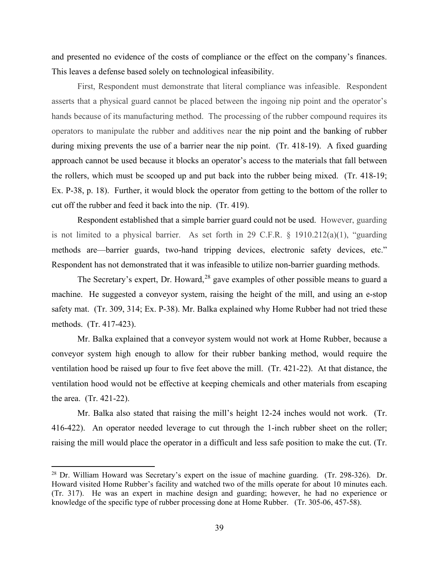and presented no evidence of the costs of compliance or the effect on the company's finances. This leaves a defense based solely on technological infeasibility.

First, Respondent must demonstrate that literal compliance was infeasible. Respondent asserts that a physical guard cannot be placed between the ingoing nip point and the operator's hands because of its manufacturing method. The processing of the rubber compound requires its operators to manipulate the rubber and additives near the nip point and the banking of rubber during mixing prevents the use of a barrier near the nip point. (Tr. 418-19). A fixed guarding approach cannot be used because it blocks an operator's access to the materials that fall between the rollers, which must be scooped up and put back into the rubber being mixed. (Tr. 418-19; Ex. P-38, p. 18). Further, it would block the operator from getting to the bottom of the roller to cut off the rubber and feed it back into the nip. (Tr. 419).

Respondent established that a simple barrier guard could not be used. However, guarding is not limited to a physical barrier. As set forth in 29 C.F.R. § 1910.212(a)(1), "guarding methods are—barrier guards, two-hand tripping devices, electronic safety devices, etc." Respondent has not demonstrated that it was infeasible to utilize non-barrier guarding methods.

The Secretary's expert, Dr. Howard,  $28$  gave examples of other possible means to guard a machine. He suggested a conveyor system, raising the height of the mill, and using an e-stop safety mat. (Tr. 309, 314; Ex. P-38). Mr. Balka explained why Home Rubber had not tried these methods. (Tr. 417-423).

Mr. Balka explained that a conveyor system would not work at Home Rubber, because a conveyor system high enough to allow for their rubber banking method, would require the ventilation hood be raised up four to five feet above the mill. (Tr. 421-22). At that distance, the ventilation hood would not be effective at keeping chemicals and other materials from escaping the area. (Tr. 421-22).

 Mr. Balka also stated that raising the mill's height 12-24 inches would not work. (Tr. 416-422). An operator needed leverage to cut through the 1-inch rubber sheet on the roller; raising the mill would place the operator in a difficult and less safe position to make the cut. (Tr.

<span id="page-56-0"></span><sup>28</sup> Dr. William Howard was Secretary's expert on the issue of machine guarding. (Tr. 298-326). Dr. Howard visited Home Rubber's facility and watched two of the mills operate for about 10 minutes each. (Tr. 317). He was an expert in machine design and guarding; however, he had no experience or knowledge of the specific type of rubber processing done at Home Rubber. (Tr. 305-06, 457-58).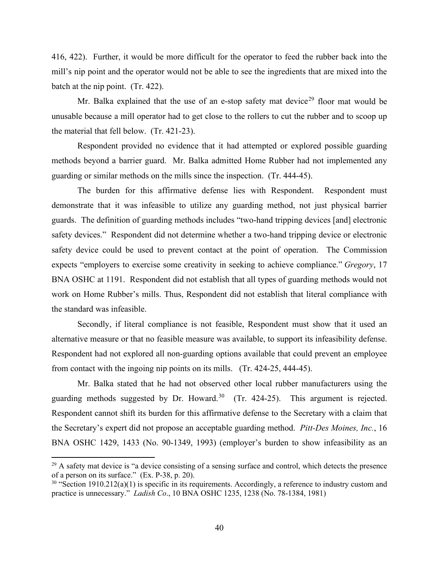416, 422). Further, it would be more difficult for the operator to feed the rubber back into the mill's nip point and the operator would not be able to see the ingredients that are mixed into the batch at the nip point. (Tr. 422).

Mr. Balka explained that the use of an e-stop safety mat device<sup>[29](#page-57-0)</sup> floor mat would be unusable because a mill operator had to get close to the rollers to cut the rubber and to scoop up the material that fell below. (Tr. 421-23).

Respondent provided no evidence that it had attempted or explored possible guarding methods beyond a barrier guard. Mr. Balka admitted Home Rubber had not implemented any guarding or similar methods on the mills since the inspection. (Tr. 444-45).

The burden for this affirmative defense lies with Respondent. Respondent must demonstrate that it was infeasible to utilize any guarding method, not just physical barrier guards. The definition of guarding methods includes "two-hand tripping devices [and] electronic safety devices." Respondent did not determine whether a two-hand tripping device or electronic safety device could be used to prevent contact at the point of operation. The Commission expects "employers to exercise some creativity in seeking to achieve compliance." *Gregory*, 17 BNA OSHC at 1191. Respondent did not establish that all types of guarding methods would not work on Home Rubber's mills. Thus, Respondent did not establish that literal compliance with the standard was infeasible.

Secondly, if literal compliance is not feasible, Respondent must show that it used an alternative measure or that no feasible measure was available, to support its infeasibility defense. Respondent had not explored all non-guarding options available that could prevent an employee from contact with the ingoing nip points on its mills. (Tr. 424-25, 444-45).

Mr. Balka stated that he had not observed other local rubber manufacturers using the guarding methods suggested by Dr. Howard. $30$  (Tr. 424-25). This argument is rejected. Respondent cannot shift its burden for this affirmative defense to the Secretary with a claim that the Secretary's expert did not propose an acceptable guarding method. *Pitt-Des Moines, Inc.*, 16 BNA OSHC 1429, 1433 (No. 90-1349, 1993) (employer's burden to show infeasibility as an

<span id="page-57-0"></span> $^{29}$  A safety mat device is "a device consisting of a sensing surface and control, which detects the presence of a person on its surface." (Ex. P-38, p. 20).

<span id="page-57-1"></span> $30$  "Section 1910.212(a)(1) is specific in its requirements. Accordingly, a reference to industry custom and practice is unnecessary." *Ladish Co*., 10 BNA OSHC 1235, 1238 (No. 78-1384, 1981)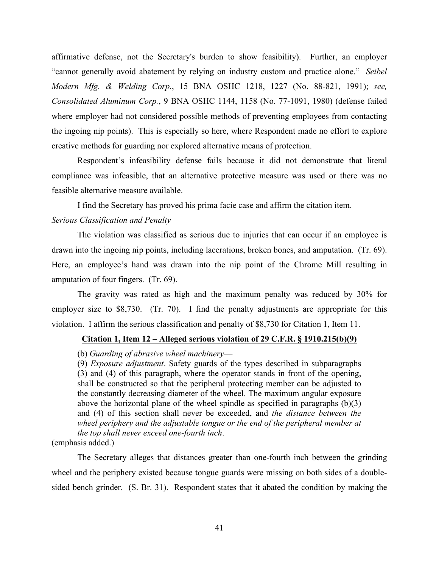affirmative defense, not the Secretary's burden to show feasibility). Further, an employer "cannot generally avoid abatement by relying on industry custom and practice alone." *Seibel Modern Mfg. & Welding Corp.*, 15 BNA OSHC 1218, 1227 (No. 88-821, 1991); *see, Consolidated Aluminum Corp.*, 9 BNA OSHC 1144, 1158 (No. 77-1091, 1980) (defense failed where employer had not considered possible methods of preventing employees from contacting the ingoing nip points). This is especially so here, where Respondent made no effort to explore creative methods for guarding nor explored alternative means of protection.

Respondent's infeasibility defense fails because it did not demonstrate that literal compliance was infeasible, that an alternative protective measure was used or there was no feasible alternative measure available.

I find the Secretary has proved his prima facie case and affirm the citation item.

### *Serious Classification and Penalty*

The violation was classified as serious due to injuries that can occur if an employee is drawn into the ingoing nip points, including lacerations, broken bones, and amputation. (Tr. 69). Here, an employee's hand was drawn into the nip point of the Chrome Mill resulting in amputation of four fingers. (Tr. 69).

The gravity was rated as high and the maximum penalty was reduced by 30% for employer size to \$8,730. (Tr. 70). I find the penalty adjustments are appropriate for this violation. I affirm the serious classification and penalty of \$8,730 for Citation 1, Item 11.

## **Citation 1, Item 12 – Alleged serious violation of 29 C.F.R. § 1910.215(b)(9)**

#### (b) *Guarding of abrasive wheel machinery*—

(9) *Exposure adjustment*. Safety guards of the types described in subparagraphs (3) and (4) of this paragraph, where the operator stands in front of the opening, shall be constructed so that the peripheral protecting member can be adjusted to the constantly decreasing diameter of the wheel. The maximum angular exposure above the horizontal plane of the wheel spindle as specified in paragraphs (b)(3) and (4) of this section shall never be exceeded, and *the distance between the wheel periphery and the adjustable tongue or the end of the peripheral member at the top shall never exceed one-fourth inch*.

(emphasis added.)

The Secretary alleges that distances greater than one-fourth inch between the grinding wheel and the periphery existed because tongue guards were missing on both sides of a doublesided bench grinder. (S. Br. 31). Respondent states that it abated the condition by making the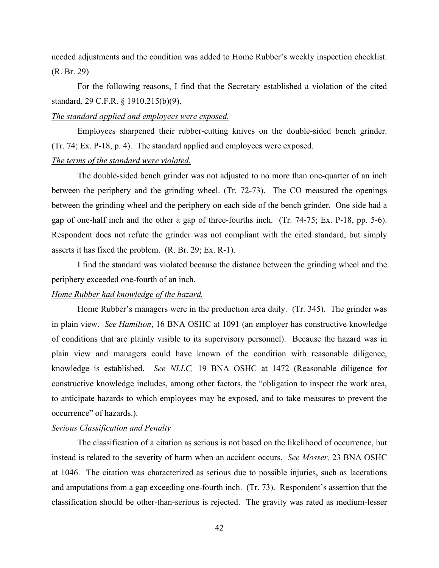needed adjustments and the condition was added to Home Rubber's weekly inspection checklist. (R. Br. 29)

For the following reasons, I find that the Secretary established a violation of the cited standard, 29 C.F.R. § 1910.215(b)(9).

#### *The standard applied and employees were exposed.*

Employees sharpened their rubber-cutting knives on the double-sided bench grinder. (Tr. 74; Ex. P-18, p. 4). The standard applied and employees were exposed. *The terms of the standard were violated.*

The double-sided bench grinder was not adjusted to no more than one-quarter of an inch between the periphery and the grinding wheel. (Tr. 72-73). The CO measured the openings between the grinding wheel and the periphery on each side of the bench grinder. One side had a gap of one-half inch and the other a gap of three-fourths inch. (Tr. 74-75; Ex. P-18, pp. 5-6). Respondent does not refute the grinder was not compliant with the cited standard, but simply asserts it has fixed the problem. (R. Br. 29; Ex. R-1).

I find the standard was violated because the distance between the grinding wheel and the periphery exceeded one-fourth of an inch.

#### *Home Rubber had knowledge of the hazard.*

Home Rubber's managers were in the production area daily. (Tr. 345). The grinder was in plain view. *See Hamilton*, 16 BNA OSHC at 1091 (an employer has constructive knowledge of conditions that are plainly visible to its supervisory personnel). Because the hazard was in plain view and managers could have known of the condition with reasonable diligence, knowledge is established. *See NLLC,* 19 BNA OSHC at 1472 (Reasonable diligence for constructive knowledge includes, among other factors, the "obligation to inspect the work area, to anticipate hazards to which employees may be exposed, and to take measures to prevent the occurrence" of hazards.).

#### *Serious Classification and Penalty*

The classification of a citation as serious is not based on the likelihood of occurrence, but instead is related to the severity of harm when an accident occurs. *See Mosser,* 23 BNA OSHC at 1046. The citation was characterized as serious due to possible injuries, such as lacerations and amputations from a gap exceeding one-fourth inch. (Tr. 73). Respondent's assertion that the classification should be other-than-serious is rejected. The gravity was rated as medium-lesser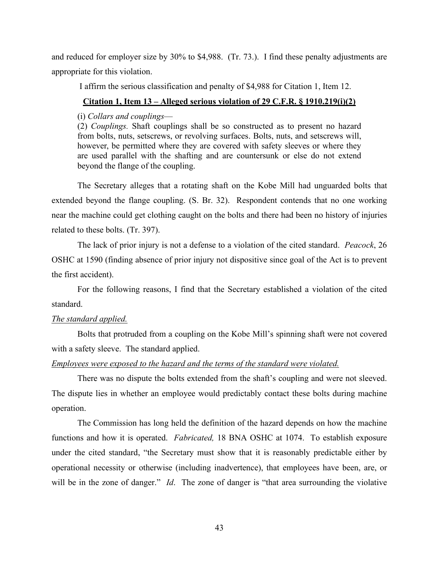and reduced for employer size by 30% to \$4,988. (Tr. 73.). I find these penalty adjustments are appropriate for this violation.

I affirm the serious classification and penalty of \$4,988 for Citation 1, Item 12.

## **Citation 1, Item 13 – Alleged serious violation of 29 C.F.R. § 1910.219(i)(2)**

(i) *Collars and couplings*—

(2) *Couplings.* Shaft couplings shall be so constructed as to present no hazard from bolts, nuts, setscrews, or revolving surfaces. Bolts, nuts, and setscrews will, however, be permitted where they are covered with safety sleeves or where they are used parallel with the shafting and are countersunk or else do not extend beyond the flange of the coupling.

The Secretary alleges that a rotating shaft on the Kobe Mill had unguarded bolts that extended beyond the flange coupling. (S. Br. 32). Respondent contends that no one working near the machine could get clothing caught on the bolts and there had been no history of injuries related to these bolts. (Tr. 397).

The lack of prior injury is not a defense to a violation of the cited standard. *Peacock*, 26 OSHC at 1590 (finding absence of prior injury not dispositive since goal of the Act is to prevent the first accident).

For the following reasons, I find that the Secretary established a violation of the cited standard.

## *The standard applied.*

 Bolts that protruded from a coupling on the Kobe Mill's spinning shaft were not covered with a safety sleeve. The standard applied.

## *Employees were exposed to the hazard and the terms of the standard were violated.*

There was no dispute the bolts extended from the shaft's coupling and were not sleeved. The dispute lies in whether an employee would predictably contact these bolts during machine operation.

The Commission has long held the definition of the hazard depends on how the machine functions and how it is operated. *Fabricated,* 18 BNA OSHC at 1074. To establish exposure under the cited standard, "the Secretary must show that it is reasonably predictable either by operational necessity or otherwise (including inadvertence), that employees have been, are, or will be in the zone of danger." *Id*. The zone of danger is "that area surrounding the violative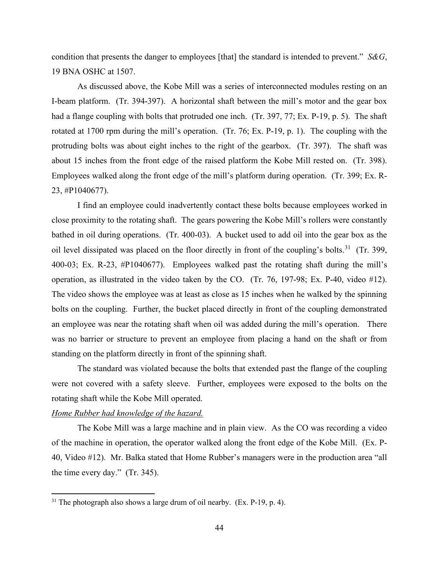condition that presents the danger to employees [that] the standard is intended to prevent." *S&G*, 19 BNA OSHC at 1507.

As discussed above, the Kobe Mill was a series of interconnected modules resting on an I-beam platform. (Tr. 394-397). A horizontal shaft between the mill's motor and the gear box had a flange coupling with bolts that protruded one inch. (Tr. 397, 77; Ex. P-19, p. 5).The shaft rotated at 1700 rpm during the mill's operation. (Tr. 76; Ex. P-19, p. 1). The coupling with the protruding bolts was about eight inches to the right of the gearbox. (Tr. 397). The shaft was about 15 inches from the front edge of the raised platform the Kobe Mill rested on. (Tr. 398). Employees walked along the front edge of the mill's platform during operation. (Tr. 399; Ex. R-23, #P1040677).

I find an employee could inadvertently contact these bolts because employees worked in close proximity to the rotating shaft. The gears powering the Kobe Mill's rollers were constantly bathed in oil during operations. (Tr. 400-03). A bucket used to add oil into the gear box as the oil level dissipated was placed on the floor directly in front of the coupling's bolts.<sup>[31](#page-61-0)</sup> (Tr. 399, 400-03; Ex. R-23, #P1040677). Employees walked past the rotating shaft during the mill's operation, as illustrated in the video taken by the CO. (Tr. 76, 197-98; Ex. P-40, video #12). The video shows the employee was at least as close as 15 inches when he walked by the spinning bolts on the coupling. Further, the bucket placed directly in front of the coupling demonstrated an employee was near the rotating shaft when oil was added during the mill's operation. There was no barrier or structure to prevent an employee from placing a hand on the shaft or from standing on the platform directly in front of the spinning shaft.

The standard was violated because the bolts that extended past the flange of the coupling were not covered with a safety sleeve. Further, employees were exposed to the bolts on the rotating shaft while the Kobe Mill operated.

#### *Home Rubber had knowledge of the hazard.*

 The Kobe Mill was a large machine and in plain view. As the CO was recording a video of the machine in operation, the operator walked along the front edge of the Kobe Mill. (Ex. P-40, Video #12). Mr. Balka stated that Home Rubber's managers were in the production area "all the time every day." (Tr. 345).

<span id="page-61-0"></span> $31$  The photograph also shows a large drum of oil nearby. (Ex. P-19, p. 4).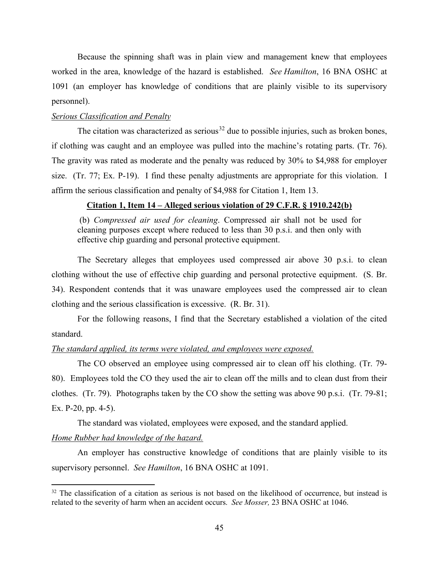Because the spinning shaft was in plain view and management knew that employees worked in the area, knowledge of the hazard is established. *See Hamilton*, 16 BNA OSHC at 1091 (an employer has knowledge of conditions that are plainly visible to its supervisory personnel).

## *Serious Classification and Penalty*

The citation was characterized as serious<sup>32</sup> due to possible injuries, such as broken bones, if clothing was caught and an employee was pulled into the machine's rotating parts. (Tr. 76). The gravity was rated as moderate and the penalty was reduced by 30% to \$4,988 for employer size. (Tr. 77; Ex. P-19). I find these penalty adjustments are appropriate for this violation. I affirm the serious classification and penalty of \$4,988 for Citation 1, Item 13.

## **Citation 1, Item 14 – Alleged serious violation of 29 C.F.R. § 1910.242(b)**

(b) *Compressed air used for cleaning*. Compressed air shall not be used for cleaning purposes except where reduced to less than 30 p.s.i. and then only with effective chip guarding and personal protective equipment.

The Secretary alleges that employees used compressed air above 30 p.s.i. to clean clothing without the use of effective chip guarding and personal protective equipment. (S. Br. 34). Respondent contends that it was unaware employees used the compressed air to clean clothing and the serious classification is excessive. (R. Br. 31).

For the following reasons, I find that the Secretary established a violation of the cited standard.

#### *The standard applied, its terms were violated, and employees were exposed.*

 The CO observed an employee using compressed air to clean off his clothing. (Tr. 79- 80). Employees told the CO they used the air to clean off the mills and to clean dust from their clothes. (Tr. 79). Photographs taken by the CO show the setting was above 90 p.s.i. (Tr. 79-81; Ex. P-20, pp. 4-5).

The standard was violated, employees were exposed, and the standard applied.

## *Home Rubber had knowledge of the hazard.*

An employer has constructive knowledge of conditions that are plainly visible to its supervisory personnel. *See Hamilton*, 16 BNA OSHC at 1091.

<span id="page-62-0"></span><sup>&</sup>lt;sup>32</sup> The classification of a citation as serious is not based on the likelihood of occurrence, but instead is related to the severity of harm when an accident occurs. *See Mosser,* 23 BNA OSHC at 1046.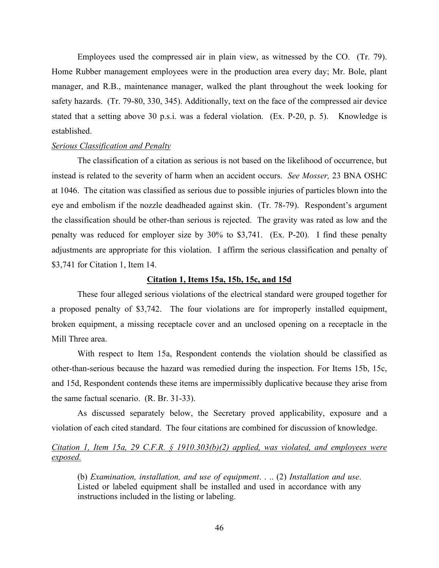Employees used the compressed air in plain view, as witnessed by the CO. (Tr. 79). Home Rubber management employees were in the production area every day; Mr. Bole, plant manager, and R.B., maintenance manager, walked the plant throughout the week looking for safety hazards. (Tr. 79-80, 330, 345). Additionally, text on the face of the compressed air device stated that a setting above 30 p.s.i. was a federal violation. (Ex. P-20, p. 5). Knowledge is established.

### *Serious Classification and Penalty*

The classification of a citation as serious is not based on the likelihood of occurrence, but instead is related to the severity of harm when an accident occurs. *See Mosser,* 23 BNA OSHC at 1046. The citation was classified as serious due to possible injuries of particles blown into the eye and embolism if the nozzle deadheaded against skin. (Tr. 78-79). Respondent's argument the classification should be other-than serious is rejected. The gravity was rated as low and the penalty was reduced for employer size by 30% to \$3,741. (Ex. P-20). I find these penalty adjustments are appropriate for this violation. I affirm the serious classification and penalty of \$3,741 for Citation 1, Item 14.

## **Citation 1, Items 15a, 15b, 15c, and 15d**

These four alleged serious violations of the electrical standard were grouped together for a proposed penalty of \$3,742. The four violations are for improperly installed equipment, broken equipment, a missing receptacle cover and an unclosed opening on a receptacle in the Mill Three area.

With respect to Item 15a, Respondent contends the violation should be classified as other-than-serious because the hazard was remedied during the inspection. For Items 15b, 15c, and 15d, Respondent contends these items are impermissibly duplicative because they arise from the same factual scenario. (R. Br. 31-33).

As discussed separately below, the Secretary proved applicability, exposure and a violation of each cited standard. The four citations are combined for discussion of knowledge.

## *Citation 1, Item 15a, 29 C.F.R. § 1910.303(b)(2) applied, was violated, and employees were exposed.*

(b) *Examination, installation, and use of equipment*. . .. (2) *Installation and use*. Listed or labeled equipment shall be installed and used in accordance with any instructions included in the listing or labeling.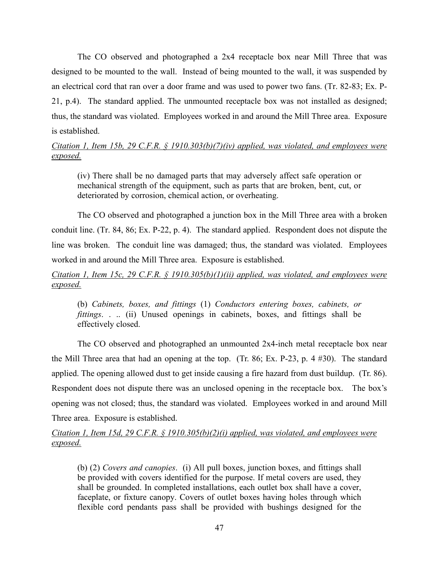The CO observed and photographed a 2x4 receptacle box near Mill Three that was designed to be mounted to the wall. Instead of being mounted to the wall, it was suspended by an electrical cord that ran over a door frame and was used to power two fans. (Tr. 82-83; Ex. P-21, p.4). The standard applied. The unmounted receptacle box was not installed as designed; thus, the standard was violated. Employees worked in and around the Mill Three area. Exposure is established.

## *Citation 1, Item 15b, 29 C.F.R. § 1910.303(b)(7)(iv) applied, was violated, and employees were exposed.*

(iv) There shall be no damaged parts that may adversely affect safe operation or mechanical strength of the equipment, such as parts that are broken, bent, cut, or deteriorated by corrosion, chemical action, or overheating.

The CO observed and photographed a junction box in the Mill Three area with a broken conduit line. (Tr. 84, 86; Ex. P-22, p. 4). The standard applied. Respondent does not dispute the line was broken. The conduit line was damaged; thus, the standard was violated. Employees worked in and around the Mill Three area. Exposure is established.

## *Citation 1, Item 15c, 29 C.F.R. § 1910.305(b)(1)(ii) applied, was violated, and employees were exposed.*

(b) *Cabinets, boxes, and fittings* (1) *Conductors entering boxes, cabinets, or fittings*. . .. (ii) Unused openings in cabinets, boxes, and fittings shall be effectively closed.

The CO observed and photographed an unmounted 2x4-inch metal receptacle box near the Mill Three area that had an opening at the top. (Tr. 86; Ex. P-23, p. 4 #30). The standard applied. The opening allowed dust to get inside causing a fire hazard from dust buildup. (Tr. 86). Respondent does not dispute there was an unclosed opening in the receptacle box. The box's opening was not closed; thus, the standard was violated. Employees worked in and around Mill Three area. Exposure is established.

## *Citation 1, Item 15d, 29 C.F.R. § 1910.305(b)(2)(i) applied, was violated, and employees were exposed.*

(b) (2) *Covers and canopies*. (i) All pull boxes, junction boxes, and fittings shall be provided with covers identified for the purpose. If metal covers are used, they shall be grounded. In completed installations, each outlet box shall have a cover, faceplate, or fixture canopy. Covers of outlet boxes having holes through which flexible cord pendants pass shall be provided with bushings designed for the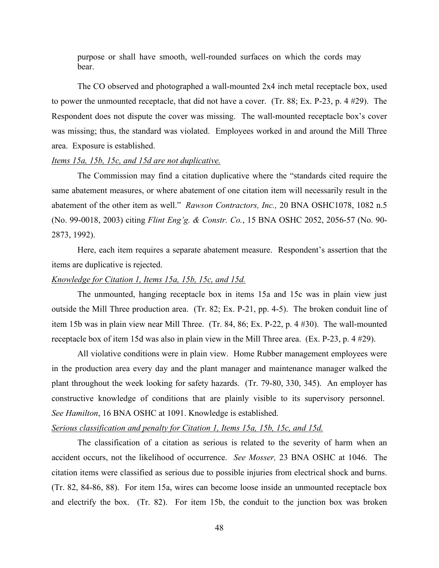purpose or shall have smooth, well-rounded surfaces on which the cords may bear.

The CO observed and photographed a wall-mounted 2x4 inch metal receptacle box, used to power the unmounted receptacle, that did not have a cover. (Tr. 88; Ex. P-23, p. 4 #29). The Respondent does not dispute the cover was missing. The wall-mounted receptacle box's cover was missing; thus, the standard was violated. Employees worked in and around the Mill Three area. Exposure is established.

#### *Items 15a, 15b, 15c, and 15d are not duplicative.*

The Commission may find a citation duplicative where the "standards cited require the same abatement measures, or where abatement of one citation item will necessarily result in the abatement of the other item as well." *Rawson Contractors, Inc.,* 20 BNA OSHC1078, 1082 n.5 (No. 99-0018, 2003) citing *Flint Eng'g. & Constr. Co.*, 15 BNA OSHC 2052, 2056-57 (No. 90- 2873, 1992).

Here, each item requires a separate abatement measure. Respondent's assertion that the items are duplicative is rejected.

## *Knowledge for Citation 1, Items 15a, 15b, 15c, and 15d.*

The unmounted, hanging receptacle box in items 15a and 15c was in plain view just outside the Mill Three production area. (Tr. 82; Ex. P-21, pp. 4-5). The broken conduit line of item 15b was in plain view near Mill Three. (Tr. 84, 86; Ex. P-22, p. 4 #30). The wall-mounted receptacle box of item 15d was also in plain view in the Mill Three area. (Ex. P-23, p. 4 #29).

All violative conditions were in plain view. Home Rubber management employees were in the production area every day and the plant manager and maintenance manager walked the plant throughout the week looking for safety hazards. (Tr. 79-80, 330, 345). An employer has constructive knowledge of conditions that are plainly visible to its supervisory personnel. *See Hamilton*, 16 BNA OSHC at 1091. Knowledge is established.

## *Serious classification and penalty for Citation 1, Items 15a, 15b, 15c, and 15d.*

The classification of a citation as serious is related to the severity of harm when an accident occurs, not the likelihood of occurrence. *See Mosser,* 23 BNA OSHC at 1046. The citation items were classified as serious due to possible injuries from electrical shock and burns. (Tr. 82, 84-86, 88). For item 15a, wires can become loose inside an unmounted receptacle box and electrify the box. (Tr. 82). For item 15b, the conduit to the junction box was broken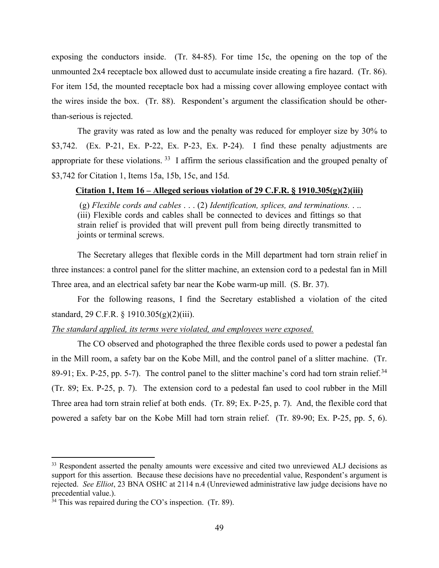exposing the conductors inside. (Tr. 84-85). For time 15c, the opening on the top of the unmounted 2x4 receptacle box allowed dust to accumulate inside creating a fire hazard. (Tr. 86). For item 15d, the mounted receptacle box had a missing cover allowing employee contact with the wires inside the box. (Tr. 88). Respondent's argument the classification should be otherthan-serious is rejected.

The gravity was rated as low and the penalty was reduced for employer size by 30% to \$3,742. (Ex. P-21, Ex. P-22, Ex. P-23, Ex. P-24). I find these penalty adjustments are appropriate for these violations.<sup>33</sup> I affirm the serious classification and the grouped penalty of \$3,742 for Citation 1, Items 15a, 15b, 15c, and 15d.

## **Citation 1, Item 16 – Alleged serious violation of 29 C.F.R. § 1910.305(g)(2)(iii)**

(g) *Flexible cords and cables* . . . (2) *Identification, splices, and terminations.* . .. (iii) Flexible cords and cables shall be connected to devices and fittings so that strain relief is provided that will prevent pull from being directly transmitted to joints or terminal screws.

The Secretary alleges that flexible cords in the Mill department had torn strain relief in three instances: a control panel for the slitter machine, an extension cord to a pedestal fan in Mill Three area, and an electrical safety bar near the Kobe warm-up mill. (S. Br. 37).

For the following reasons, I find the Secretary established a violation of the cited standard, 29 C.F.R. § 1910.305(g)(2)(iii).

## *The standard applied, its terms were violated, and employees were exposed.*

The CO observed and photographed the three flexible cords used to power a pedestal fan in the Mill room, a safety bar on the Kobe Mill, and the control panel of a slitter machine. (Tr. 89-91; Ex. P-25, pp. 5-7). The control panel to the slitter machine's cord had torn strain relief.<sup>[34](#page-66-1)</sup> (Tr. 89; Ex. P-25, p. 7). The extension cord to a pedestal fan used to cool rubber in the Mill Three area had torn strain relief at both ends. (Tr. 89; Ex. P-25, p. 7). And, the flexible cord that powered a safety bar on the Kobe Mill had torn strain relief. (Tr. 89-90; Ex. P-25, pp. 5, 6).

<span id="page-66-0"></span><sup>&</sup>lt;sup>33</sup> Respondent asserted the penalty amounts were excessive and cited two unreviewed ALJ decisions as support for this assertion. Because these decisions have no precedential value, Respondent's argument is rejected. *See Elliot*, 23 BNA OSHC at 2114 n.4 (Unreviewed administrative law judge decisions have no precedential value.).

<span id="page-66-1"></span> $34$  This was repaired during the CO's inspection. (Tr. 89).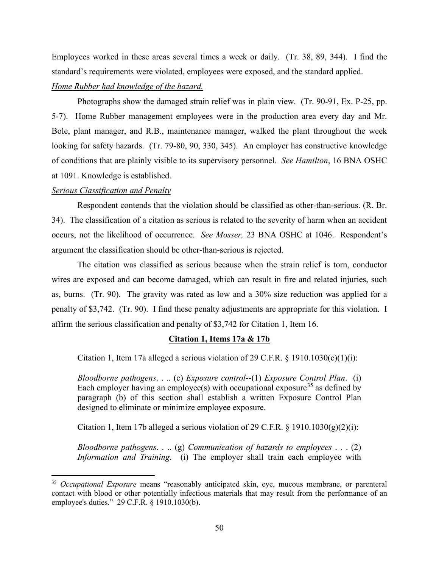Employees worked in these areas several times a week or daily. (Tr. 38, 89, 344). I find the standard's requirements were violated, employees were exposed, and the standard applied.

## *Home Rubber had knowledge of the hazard.*

Photographs show the damaged strain relief was in plain view. (Tr. 90-91, Ex. P-25, pp. 5-7). Home Rubber management employees were in the production area every day and Mr. Bole, plant manager, and R.B., maintenance manager, walked the plant throughout the week looking for safety hazards. (Tr. 79-80, 90, 330, 345). An employer has constructive knowledge of conditions that are plainly visible to its supervisory personnel. *See Hamilton*, 16 BNA OSHC at 1091. Knowledge is established.

## *Serious Classification and Penalty*

Respondent contends that the violation should be classified as other-than-serious. (R. Br. 34). The classification of a citation as serious is related to the severity of harm when an accident occurs, not the likelihood of occurrence. *See Mosser,* 23 BNA OSHC at 1046. Respondent's argument the classification should be other-than-serious is rejected.

The citation was classified as serious because when the strain relief is torn, conductor wires are exposed and can become damaged, which can result in fire and related injuries, such as, burns. (Tr. 90). The gravity was rated as low and a 30% size reduction was applied for a penalty of \$3,742. (Tr. 90). I find these penalty adjustments are appropriate for this violation. I affirm the serious classification and penalty of \$3,742 for Citation 1, Item 16.

## **Citation 1, Items 17a & 17b**

Citation 1, Item 17a alleged a serious violation of 29 C.F.R.  $\S$  1910.1030(c)(1)(i):

*Bloodborne pathogens*. . .. (c) *Exposure control*--(1) *Exposure Control Plan*. (i) Each employer having an employee(s) with occupational exposure<sup>[35](#page-67-0)</sup> as defined by paragraph (b) of this section shall establish a written Exposure Control Plan designed to eliminate or minimize employee exposure.

Citation 1, Item 17b alleged a serious violation of 29 C.F.R.  $\S$  1910.1030(g)(2)(i):

*Bloodborne pathogens*. . .. (g) *Communication of hazards to employees* . . . (2) *Information and Training*. (i) The employer shall train each employee with

<span id="page-67-0"></span><sup>35</sup> *Occupational Exposure* means "reasonably anticipated skin, eye, mucous membrane, or parenteral contact with blood or other potentially infectious materials that may result from the performance of an employee's duties." 29 C.F.R. § 1910.1030(b).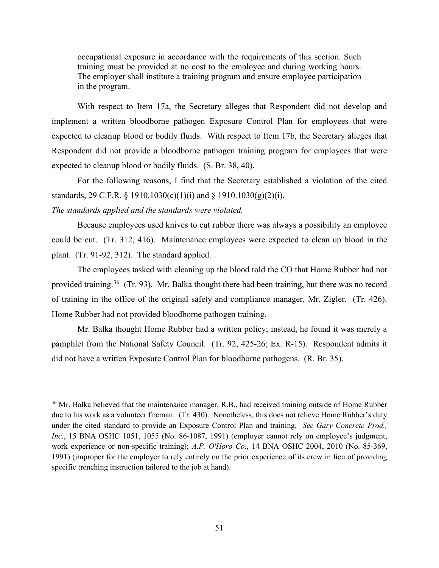occupational exposure in accordance with the requirements of this section. Such training must be provided at no cost to the employee and during working hours. The employer shall institute a training program and ensure employee participation in the program.

With respect to Item 17a, the Secretary alleges that Respondent did not develop and implement a written bloodborne pathogen Exposure Control Plan for employees that were expected to cleanup blood or bodily fluids. With respect to Item 17b, the Secretary alleges that Respondent did not provide a bloodborne pathogen training program for employees that were expected to cleanup blood or bodily fluids. (S. Br. 38, 40).

For the following reasons, I find that the Secretary established a violation of the cited standards, 29 C.F.R. § 1910.1030(c)(1)(i) and § 1910.1030(g)(2)(i).

### *The standards applied and the standards were violated.*

Because employees used knives to cut rubber there was always a possibility an employee could be cut. (Tr. 312, 416). Maintenance employees were expected to clean up blood in the plant. (Tr. 91-92, 312). The standard applied.

The employees tasked with cleaning up the blood told the CO that Home Rubber had not provided training.<sup>36</sup> (Tr. 93). Mr. Balka thought there had been training, but there was no record of training in the office of the original safety and compliance manager, Mr. Zigler. (Tr. 426). Home Rubber had not provided bloodborne pathogen training.

Mr. Balka thought Home Rubber had a written policy; instead, he found it was merely a pamphlet from the National Safety Council. (Tr. 92, 425-26; Ex. R-15). Respondent admits it did not have a written Exposure Control Plan for bloodborne pathogens. (R. Br. 35).

<span id="page-68-0"></span><sup>&</sup>lt;sup>36</sup> Mr. Balka believed that the maintenance manager, R.B., had received training outside of Home Rubber due to his work as a volunteer fireman. (Tr. 430). Nonetheless, this does not relieve Home Rubber's duty under the cited standard to provide an Exposure Control Plan and training. *See Gary Concrete Prod., Inc.*, 15 BNA OSHC 1051, 1055 (No. 86-1087, 1991) (employer cannot rely on employee's judgment, work experience or non-specific training); *A.P. O'Horo Co*., 14 BNA OSHC 2004, 2010 (No. 85-369, 1991) (improper for the employer to rely entirely on the prior experience of its crew in lieu of providing specific trenching instruction tailored to the job at hand).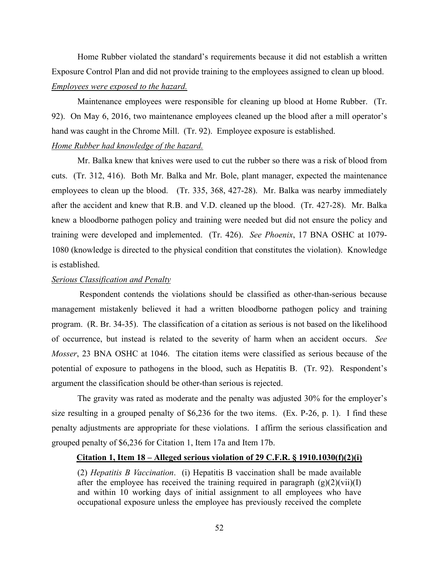Home Rubber violated the standard's requirements because it did not establish a written Exposure Control Plan and did not provide training to the employees assigned to clean up blood.

## *Employees were exposed to the hazard.*

Maintenance employees were responsible for cleaning up blood at Home Rubber. (Tr. 92). On May 6, 2016, two maintenance employees cleaned up the blood after a mill operator's hand was caught in the Chrome Mill. (Tr. 92). Employee exposure is established.

## *Home Rubber had knowledge of the hazard.*

Mr. Balka knew that knives were used to cut the rubber so there was a risk of blood from cuts. (Tr. 312, 416). Both Mr. Balka and Mr. Bole, plant manager, expected the maintenance employees to clean up the blood. (Tr. 335, 368, 427-28). Mr. Balka was nearby immediately after the accident and knew that R.B. and V.D. cleaned up the blood. (Tr. 427-28). Mr. Balka knew a bloodborne pathogen policy and training were needed but did not ensure the policy and training were developed and implemented. (Tr. 426). *See Phoenix*, 17 BNA OSHC at 1079- 1080 (knowledge is directed to the physical condition that constitutes the violation). Knowledge is established.

## *Serious Classification and Penalty*

 Respondent contends the violations should be classified as other-than-serious because management mistakenly believed it had a written bloodborne pathogen policy and training program. (R. Br. 34-35). The classification of a citation as serious is not based on the likelihood of occurrence, but instead is related to the severity of harm when an accident occurs. *See Mosser*, 23 BNA OSHC at 1046. The citation items were classified as serious because of the potential of exposure to pathogens in the blood, such as Hepatitis B. (Tr. 92). Respondent's argument the classification should be other-than serious is rejected.

The gravity was rated as moderate and the penalty was adjusted 30% for the employer's size resulting in a grouped penalty of \$6,236 for the two items. (Ex. P-26, p. 1). I find these penalty adjustments are appropriate for these violations. I affirm the serious classification and grouped penalty of \$6,236 for Citation 1, Item 17a and Item 17b.

## **Citation 1, Item 18 – Alleged serious violation of 29 C.F.R. § 1910.1030(f)(2)(i)**

(2) *Hepatitis B Vaccination*. (i) Hepatitis B vaccination shall be made available after the employee has received the training required in paragraph  $(g)(2)(vii)(I)$ and within 10 working days of initial assignment to all employees who have occupational exposure unless the employee has previously received the complete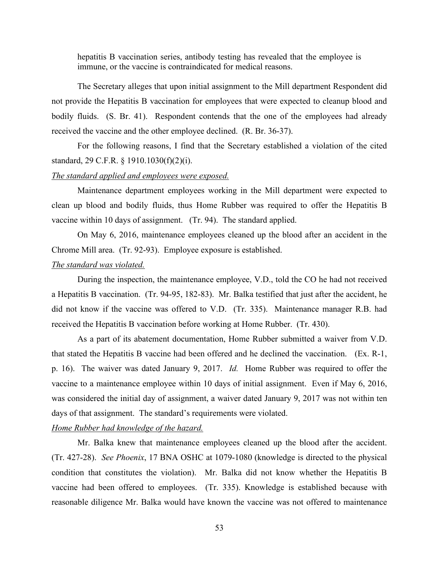hepatitis B vaccination series, antibody testing has revealed that the employee is immune, or the vaccine is contraindicated for medical reasons.

The Secretary alleges that upon initial assignment to the Mill department Respondent did not provide the Hepatitis B vaccination for employees that were expected to cleanup blood and bodily fluids. (S. Br. 41). Respondent contends that the one of the employees had already received the vaccine and the other employee declined. (R. Br. 36-37).

For the following reasons, I find that the Secretary established a violation of the cited standard, 29 C.F.R. § 1910.1030(f)(2)(i).

#### *The standard applied and employees were exposed.*

Maintenance department employees working in the Mill department were expected to clean up blood and bodily fluids, thus Home Rubber was required to offer the Hepatitis B vaccine within 10 days of assignment. (Tr. 94). The standard applied.

On May 6, 2016, maintenance employees cleaned up the blood after an accident in the Chrome Mill area. (Tr. 92-93). Employee exposure is established.

## *The standard was violated.*

During the inspection, the maintenance employee, V.D., told the CO he had not received a Hepatitis B vaccination. (Tr. 94-95, 182-83). Mr. Balka testified that just after the accident, he did not know if the vaccine was offered to V.D. (Tr. 335). Maintenance manager R.B. had received the Hepatitis B vaccination before working at Home Rubber. (Tr. 430).

As a part of its abatement documentation, Home Rubber submitted a waiver from V.D. that stated the Hepatitis B vaccine had been offered and he declined the vaccination. (Ex. R-1, p. 16). The waiver was dated January 9, 2017. *Id.* Home Rubber was required to offer the vaccine to a maintenance employee within 10 days of initial assignment. Even if May 6, 2016, was considered the initial day of assignment, a waiver dated January 9, 2017 was not within ten days of that assignment. The standard's requirements were violated.

## *Home Rubber had knowledge of the hazard.*

Mr. Balka knew that maintenance employees cleaned up the blood after the accident. (Tr. 427-28). *See Phoenix*, 17 BNA OSHC at 1079-1080 (knowledge is directed to the physical condition that constitutes the violation). Mr. Balka did not know whether the Hepatitis B vaccine had been offered to employees. (Tr. 335). Knowledge is established because with reasonable diligence Mr. Balka would have known the vaccine was not offered to maintenance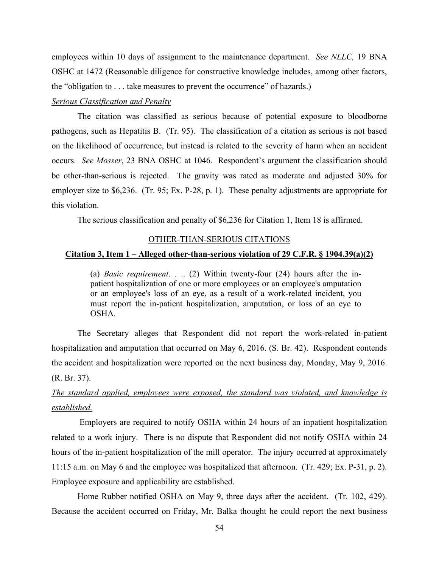employees within 10 days of assignment to the maintenance department. *See NLLC,* 19 BNA OSHC at 1472 (Reasonable diligence for constructive knowledge includes, among other factors, the "obligation to . . . take measures to prevent the occurrence" of hazards.)

## *Serious Classification and Penalty*

The citation was classified as serious because of potential exposure to bloodborne pathogens, such as Hepatitis B. (Tr. 95). The classification of a citation as serious is not based on the likelihood of occurrence, but instead is related to the severity of harm when an accident occurs. *See Mosser*, 23 BNA OSHC at 1046. Respondent's argument the classification should be other-than-serious is rejected. The gravity was rated as moderate and adjusted 30% for employer size to \$6,236. (Tr. 95; Ex. P-28, p. 1). These penalty adjustments are appropriate for this violation.

The serious classification and penalty of \$6,236 for Citation 1, Item 18 is affirmed.

## OTHER-THAN-SERIOUS CITATIONS

### **Citation 3, Item 1 – Alleged other-than-serious violation of 29 C.F.R. § 1904.39(a)(2)**

(a) *Basic requirement*. . .. (2) Within twenty-four (24) hours after the inpatient hospitalization of one or more employees or an employee's amputation or an employee's loss of an eye, as a result of a work-related incident, you must report the in-patient hospitalization, amputation, or loss of an eye to OSHA.

The Secretary alleges that Respondent did not report the work-related in-patient hospitalization and amputation that occurred on May 6, 2016. (S. Br. 42). Respondent contends the accident and hospitalization were reported on the next business day, Monday, May 9, 2016. (R. Br. 37).

# *The standard applied, employees were exposed, the standard was violated, and knowledge is established.*

 Employers are required to notify OSHA within 24 hours of an inpatient hospitalization related to a work injury. There is no dispute that Respondent did not notify OSHA within 24 hours of the in-patient hospitalization of the mill operator. The injury occurred at approximately 11:15 a.m. on May 6 and the employee was hospitalized that afternoon. (Tr. 429; Ex. P-31, p. 2). Employee exposure and applicability are established.

Home Rubber notified OSHA on May 9, three days after the accident. (Tr. 102, 429). Because the accident occurred on Friday, Mr. Balka thought he could report the next business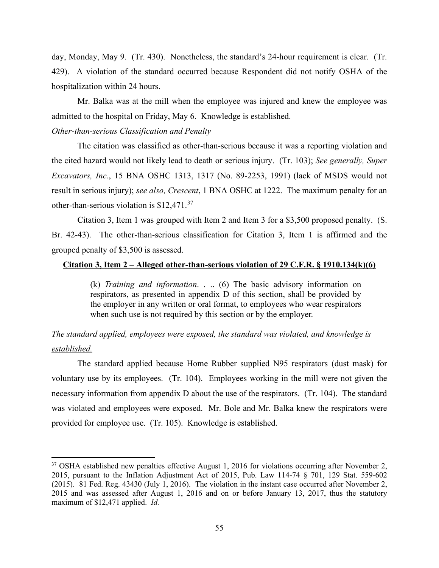day, Monday, May 9. (Tr. 430). Nonetheless, the standard's 24-hour requirement is clear. (Tr. 429). A violation of the standard occurred because Respondent did not notify OSHA of the hospitalization within 24 hours.

Mr. Balka was at the mill when the employee was injured and knew the employee was admitted to the hospital on Friday, May 6. Knowledge is established.

### *Other-than-serious Classification and Penalty*

The citation was classified as other-than-serious because it was a reporting violation and the cited hazard would not likely lead to death or serious injury. (Tr. 103); *See generally, Super Excavators, Inc.*, 15 BNA OSHC 1313, 1317 (No. 89-2253, 1991) (lack of MSDS would not result in serious injury); *see also, Crescent*, 1 BNA OSHC at 1222. The maximum penalty for an other-than-serious violation is \$12,471.[37](#page-72-0) 

Citation 3, Item 1 was grouped with Item 2 and Item 3 for a \$3,500 proposed penalty. (S. Br. 42-43). The other-than-serious classification for Citation 3, Item 1 is affirmed and the grouped penalty of \$3,500 is assessed.

### **Citation 3, Item 2 – Alleged other-than-serious violation of 29 C.F.R. § 1910.134(k)(6)**

(k) *Training and information*. . .. (6) The basic advisory information on respirators, as presented in appendix D of this section, shall be provided by the employer in any written or oral format, to employees who wear respirators when such use is not required by this section or by the employer.

# *The standard applied, employees were exposed, the standard was violated, and knowledge is established.*

 The standard applied because Home Rubber supplied N95 respirators (dust mask) for voluntary use by its employees. (Tr. 104). Employees working in the mill were not given the necessary information from appendix D about the use of the respirators. (Tr. 104). The standard was violated and employees were exposed. Mr. Bole and Mr. Balka knew the respirators were provided for employee use. (Tr. 105). Knowledge is established.

<span id="page-72-0"></span><sup>&</sup>lt;sup>37</sup> OSHA established new penalties effective August 1, 2016 for violations occurring after November 2, 2015, pursuant to the Inflation Adjustment Act of 2015, Pub. Law 114-74 § 701, 129 Stat. 559-602 (2015). 81 Fed. Reg. 43430 (July 1, 2016). The violation in the instant case occurred after November 2, 2015 and was assessed after August 1, 2016 and on or before January 13, 2017, thus the statutory maximum of \$12,471 applied. *Id.*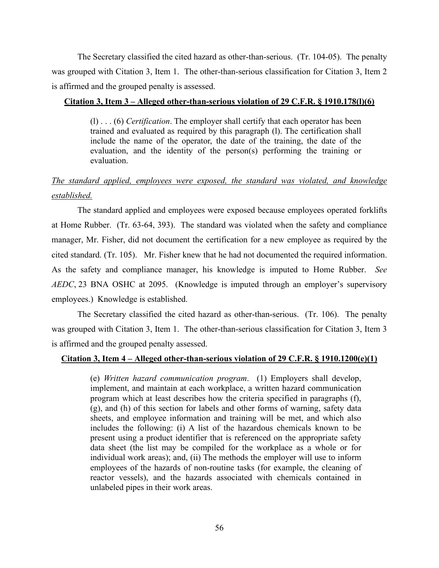The Secretary classified the cited hazard as other-than-serious. (Tr. 104-05). The penalty was grouped with Citation 3, Item 1. The other-than-serious classification for Citation 3, Item 2 is affirmed and the grouped penalty is assessed.

#### **Citation 3, Item 3 – Alleged other-than-serious violation of 29 C.F.R. § 1910.178(l)(6)**

(l) . . . (6) *Certification*. The employer shall certify that each operator has been trained and evaluated as required by this paragraph (l). The certification shall include the name of the operator, the date of the training, the date of the evaluation, and the identity of the person(s) performing the training or evaluation.

# *The standard applied, employees were exposed, the standard was violated, and knowledge established.*

The standard applied and employees were exposed because employees operated forklifts at Home Rubber. (Tr. 63-64, 393). The standard was violated when the safety and compliance manager, Mr. Fisher, did not document the certification for a new employee as required by the cited standard. (Tr. 105). Mr. Fisher knew that he had not documented the required information. As the safety and compliance manager, his knowledge is imputed to Home Rubber. *See AEDC*, 23 BNA OSHC at 2095. (Knowledge is imputed through an employer's supervisory employees.) Knowledge is established.

 The Secretary classified the cited hazard as other-than-serious. (Tr. 106). The penalty was grouped with Citation 3, Item 1. The other-than-serious classification for Citation 3, Item 3 is affirmed and the grouped penalty assessed.

#### **Citation 3, Item 4 – Alleged other-than-serious violation of 29 C.F.R. § 1910.1200(e)(1)**

(e) *Written hazard communication program*. (1) Employers shall develop, implement, and maintain at each workplace, a written hazard communication program which at least describes how the criteria specified in paragraphs (f), (g), and (h) of this section for labels and other forms of warning, safety data sheets, and employee information and training will be met, and which also includes the following: (i) A list of the hazardous chemicals known to be present using a product identifier that is referenced on the appropriate safety data sheet (the list may be compiled for the workplace as a whole or for individual work areas); and, (ii) The methods the employer will use to inform employees of the hazards of non-routine tasks (for example, the cleaning of reactor vessels), and the hazards associated with chemicals contained in unlabeled pipes in their work areas.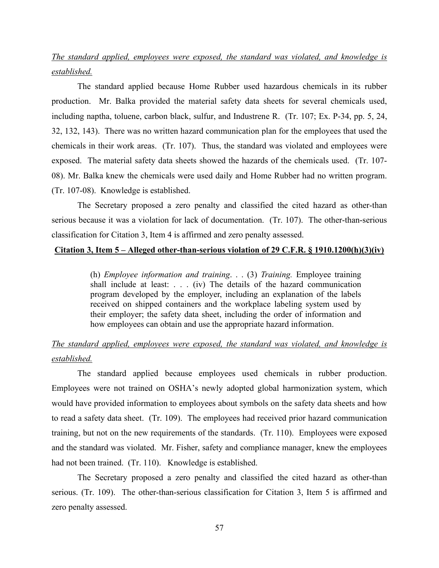# *The standard applied, employees were exposed, the standard was violated, and knowledge is established.*

The standard applied because Home Rubber used hazardous chemicals in its rubber production. Mr. Balka provided the material safety data sheets for several chemicals used, including naptha, toluene, carbon black, sulfur, and Industrene R. (Tr. 107; Ex. P-34, pp. 5, 24, 32, 132, 143). There was no written hazard communication plan for the employees that used the chemicals in their work areas. (Tr. 107). Thus, the standard was violated and employees were exposed. The material safety data sheets showed the hazards of the chemicals used. (Tr. 107- 08). Mr. Balka knew the chemicals were used daily and Home Rubber had no written program. (Tr. 107-08). Knowledge is established.

 The Secretary proposed a zero penalty and classified the cited hazard as other-than serious because it was a violation for lack of documentation. (Tr. 107). The other-than-serious classification for Citation 3, Item 4 is affirmed and zero penalty assessed.

#### **Citation 3, Item 5 – Alleged other-than-serious violation of 29 C.F.R. § 1910.1200(h)(3)(iv)**

(h) *Employee information and training*. . . (3) *Training.* Employee training shall include at least: . . . (iv) The details of the hazard communication program developed by the employer, including an explanation of the labels received on shipped containers and the workplace labeling system used by their employer; the safety data sheet, including the order of information and how employees can obtain and use the appropriate hazard information.

# *The standard applied, employees were exposed, the standard was violated, and knowledge is established.*

The standard applied because employees used chemicals in rubber production. Employees were not trained on OSHA's newly adopted global harmonization system, which would have provided information to employees about symbols on the safety data sheets and how to read a safety data sheet. (Tr. 109). The employees had received prior hazard communication training, but not on the new requirements of the standards. (Tr. 110). Employees were exposed and the standard was violated. Mr. Fisher, safety and compliance manager, knew the employees had not been trained. (Tr. 110). Knowledge is established.

The Secretary proposed a zero penalty and classified the cited hazard as other-than serious. (Tr. 109). The other-than-serious classification for Citation 3, Item 5 is affirmed and zero penalty assessed.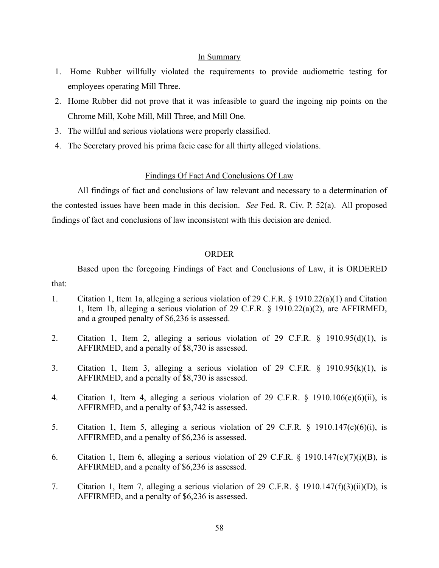#### In Summary

- 1. Home Rubber willfully violated the requirements to provide audiometric testing for employees operating Mill Three.
- 2. Home Rubber did not prove that it was infeasible to guard the ingoing nip points on the Chrome Mill, Kobe Mill, Mill Three, and Mill One.
- 3. The willful and serious violations were properly classified.
- 4. The Secretary proved his prima facie case for all thirty alleged violations.

### Findings Of Fact And Conclusions Of Law

All findings of fact and conclusions of law relevant and necessary to a determination of the contested issues have been made in this decision. *See* Fed. R. Civ. P. 52(a). All proposed findings of fact and conclusions of law inconsistent with this decision are denied.

### ORDER

 Based upon the foregoing Findings of Fact and Conclusions of Law, it is ORDERED that:

- 1. Citation 1, Item 1a, alleging a serious violation of 29 C.F.R. § 1910.22(a)(1) and Citation 1, Item 1b, alleging a serious violation of 29 C.F.R. § 1910.22(a)(2), are AFFIRMED, and a grouped penalty of \$6,236 is assessed.
- 2. Citation 1, Item 2, alleging a serious violation of 29 C.F.R. § 1910.95(d)(1), is AFFIRMED, and a penalty of \$8,730 is assessed.
- 3. Citation 1, Item 3, alleging a serious violation of 29 C.F.R. § 1910.95(k)(1), is AFFIRMED, and a penalty of \$8,730 is assessed.
- 4. Citation 1, Item 4, alleging a serious violation of 29 C.F.R. § 1910.106(e)(6)(ii), is AFFIRMED, and a penalty of \$3,742 is assessed.
- 5. Citation 1, Item 5, alleging a serious violation of 29 C.F.R. § 1910.147(c)(6)(i), is AFFIRMED, and a penalty of \$6,236 is assessed.
- 6. Citation 1, Item 6, alleging a serious violation of 29 C.F.R. § 1910.147(c)(7)(i)(B), is AFFIRMED, and a penalty of \$6,236 is assessed.
- 7. Citation 1, Item 7, alleging a serious violation of 29 C.F.R. § 1910.147(f)(3)(ii)(D), is AFFIRMED, and a penalty of \$6,236 is assessed.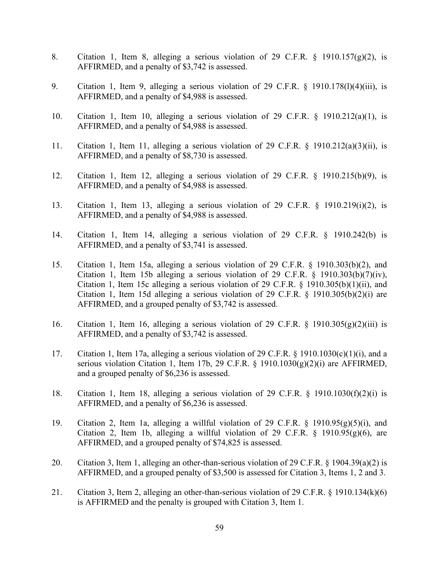- 8. Citation 1, Item 8, alleging a serious violation of 29 C.F.R. § 1910.157(g)(2), is AFFIRMED, and a penalty of \$3,742 is assessed.
- 9. Citation 1, Item 9, alleging a serious violation of 29 C.F.R. § 1910.178(l)(4)(iii), is AFFIRMED, and a penalty of \$4,988 is assessed.
- 10. Citation 1, Item 10, alleging a serious violation of 29 C.F.R. § 1910.212(a)(1), is AFFIRMED, and a penalty of \$4,988 is assessed.
- 11. Citation 1, Item 11, alleging a serious violation of 29 C.F.R. § 1910.212(a)(3)(ii), is AFFIRMED, and a penalty of \$8,730 is assessed.
- 12. Citation 1, Item 12, alleging a serious violation of 29 C.F.R. § 1910.215(b)(9), is AFFIRMED, and a penalty of \$4,988 is assessed.
- 13. Citation 1, Item 13, alleging a serious violation of 29 C.F.R. § 1910.219(i)(2), is AFFIRMED, and a penalty of \$4,988 is assessed.
- 14. Citation 1, Item 14, alleging a serious violation of 29 C.F.R. § 1910.242(b) is AFFIRMED, and a penalty of \$3,741 is assessed.
- 15. Citation 1, Item 15a, alleging a serious violation of 29 C.F.R. § 1910.303(b)(2), and Citation 1, Item 15b alleging a serious violation of 29 C.F.R.  $\S$  1910.303(b)(7)(iv), Citation 1, Item 15c alleging a serious violation of 29 C.F.R. § 1910.305(b)(1)(ii), and Citation 1, Item 15d alleging a serious violation of 29 C.F.R. § 1910.305(b)(2)(i) are AFFIRMED, and a grouped penalty of \$3,742 is assessed.
- 16. Citation 1, Item 16, alleging a serious violation of 29 C.F.R.  $\S$  1910.305(g)(2)(iii) is AFFIRMED, and a penalty of \$3,742 is assessed.
- 17. Citation 1, Item 17a, alleging a serious violation of 29 C.F.R. § 1910.1030(c)(1)(i), and a serious violation Citation 1, Item 17b, 29 C.F.R. § 1910.1030(g)(2)(i) are AFFIRMED, and a grouped penalty of \$6,236 is assessed.
- 18. Citation 1, Item 18, alleging a serious violation of 29 C.F.R. § 1910.1030(f)(2)(i) is AFFIRMED, and a penalty of \$6,236 is assessed.
- 19. Citation 2, Item 1a, alleging a willful violation of 29 C.F.R. § 1910.95(g)(5)(i), and Citation 2, Item 1b, alleging a willful violation of 29 C.F.R.  $\S$  1910.95(g)(6), are AFFIRMED, and a grouped penalty of \$74,825 is assessed.
- 20. Citation 3, Item 1, alleging an other-than-serious violation of 29 C.F.R. § 1904.39(a)(2) is AFFIRMED, and a grouped penalty of \$3,500 is assessed for Citation 3, Items 1, 2 and 3.
- 21. Citation 3, Item 2, alleging an other-than-serious violation of 29 C.F.R. § 1910.134(k)(6) is AFFIRMED and the penalty is grouped with Citation 3, Item 1.